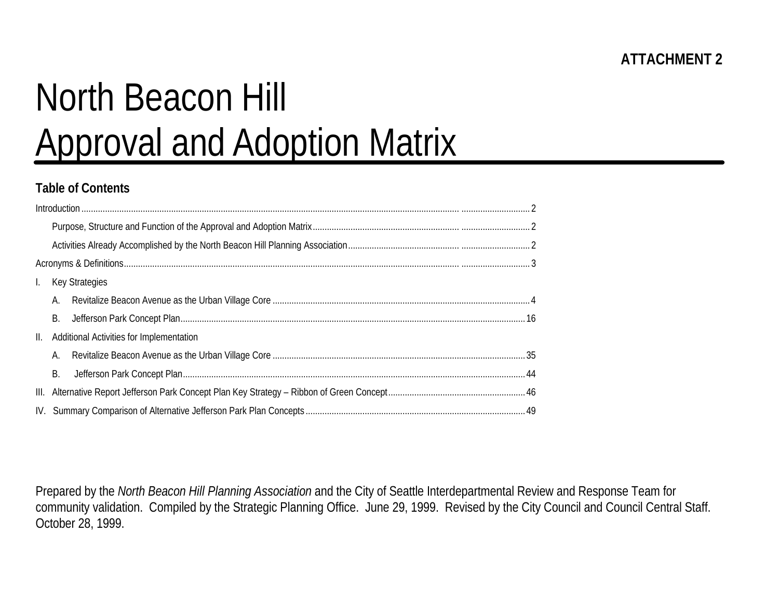# North Beacon Hill Approval and Adoption Matrix

## **Table of Contents**

| Ι.  |    | <b>Key Strategies</b>                    |  |  |  |  |  |  |  |  |
|-----|----|------------------------------------------|--|--|--|--|--|--|--|--|
|     | А. |                                          |  |  |  |  |  |  |  |  |
|     | В. |                                          |  |  |  |  |  |  |  |  |
| II. |    | Additional Activities for Implementation |  |  |  |  |  |  |  |  |
|     | А. |                                          |  |  |  |  |  |  |  |  |
|     | Β. |                                          |  |  |  |  |  |  |  |  |
|     |    |                                          |  |  |  |  |  |  |  |  |
|     |    |                                          |  |  |  |  |  |  |  |  |

Prepared by the *North Beacon Hill Planning Association* and the City of Seattle Interdepartmental Review and Response Team for community validation. Compiled by the Strategic Planning Office. June 29, 1999. Revised by the City Council and Council Central Staff. October 28, 1999.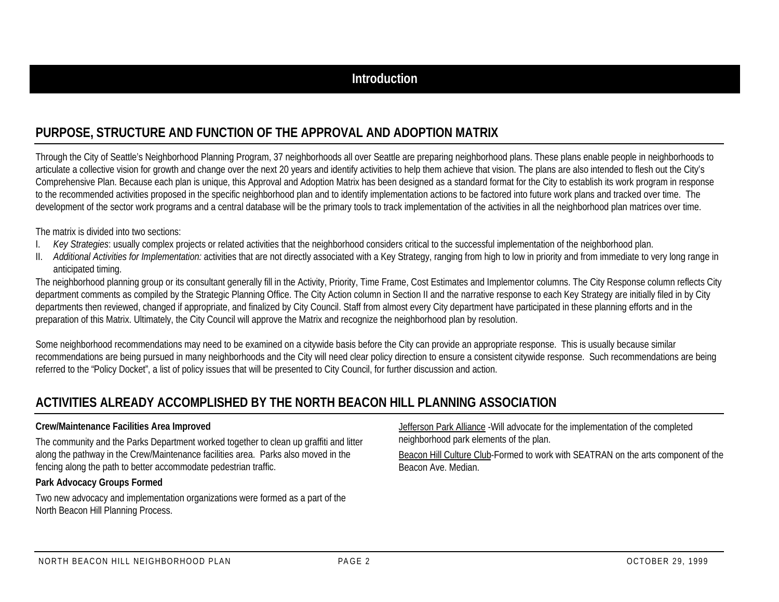## **PURPOSE, STRUCTURE AND FUNCTION OF THE APPROVAL AND ADOPTION MATRIX**

Through the City of Seattle's Neighborhood Planning Program, 37 neighborhoods all over Seattle are preparing neighborhood plans. These plans enable people in neighborhoods to articulate a collective vision for growth and change over the next 20 years and identify activities to help them achieve that vision. The plans are also intended to flesh out the City's Comprehensive Plan. Because each plan is unique, this Approval and Adoption Matrix has been designed as a standard format for the City to establish its work program in response to the recommended activities proposed in the specific neighborhood plan and to identify implementation actions to be factored into future work plans and tracked over time. The development of the sector work programs and a central database will be the primary tools to track implementation of the activities in all the neighborhood plan matrices over time.

The matrix is divided into two sections:

- I. *Key Strategies*: usually complex projects or related activities that the neighborhood considers critical to the successful implementation of the neighborhood plan.
- II. *Additional Activities for Implementation:* activities that are not directly associated with a Key Strategy, ranging from high to low in priority and from immediate to very long range in anticipated timing.

The neighborhood planning group or its consultant generally fill in the Activity, Priority, Time Frame, Cost Estimates and Implementor columns. The City Response column reflects City department comments as compiled by the Strategic Planning Office. The City Action column in Section II and the narrative response to each Key Strategy are initially filed in by City departments then reviewed, changed if appropriate, and finalized by City Council. Staff from almost every City department have participated in these planning efforts and in the preparation of this Matrix. Ultimately, the City Council will approve the Matrix and recognize the neighborhood plan by resolution.

Some neighborhood recommendations may need to be examined on a citywide basis before the City can provide an appropriate response. This is usually because similar recommendations are being pursued in many neighborhoods and the City will need clear policy direction to ensure a consistent citywide response. Such recommendations are being referred to the "Policy Docket", a list of policy issues that will be presented to City Council, for further discussion and action.

## **ACTIVITIES ALREADY ACCOMPLISHED BY THE NORTH BEACON HILL PLANNING ASSOCIATION**

#### **Crew/Maintenance Facilities Area Improved**

The community and the Parks Department worked together to clean up graffiti and litter along the pathway in the Crew/Maintenance facilities area. Parks also moved in the fencing along the path to better accommodate pedestrian traffic.

#### **Park Advocacy Groups Formed**

Two new advocacy and implementation organizations were formed as a part of the North Beacon Hill Planning Process.

Jefferson Park Alliance -Will advocate for the implementation of the completed neighborhood park elements of the plan.

Beacon Hill Culture Club-Formed to work with SEATRAN on the arts component of the Beacon Ave. Median.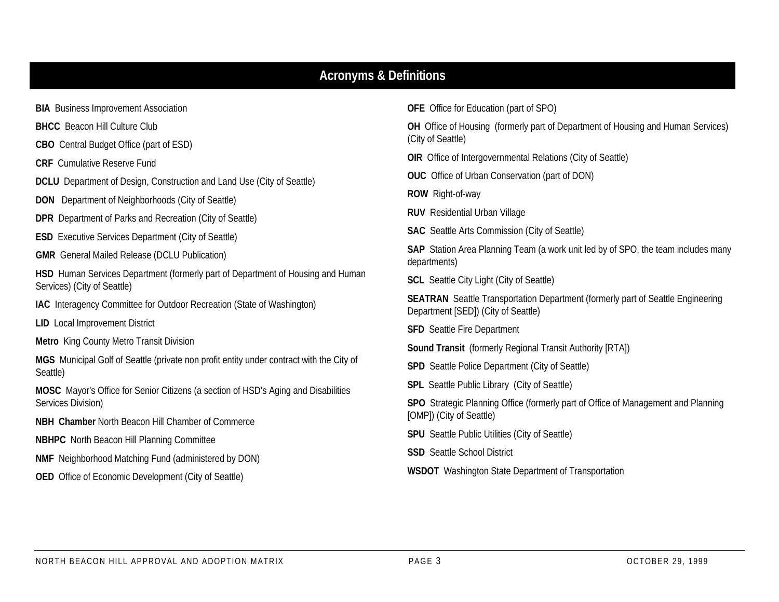## **Acronyms & Definitions**

**BIA** Business Improvement Association

**BHCC** Beacon Hill Culture Club

**CBO** Central Budget Office (part of ESD)

**CRF** Cumulative Reserve Fund

**DCLU** Department of Design, Construction and Land Use (City of Seattle)

**DON** Department of Neighborhoods (City of Seattle)

**DPR** Department of Parks and Recreation (City of Seattle)

**ESD** Executive Services Department (City of Seattle)

**GMR** General Mailed Release (DCLU Publication)

**HSD** Human Services Department (formerly part of Department of Housing and Human Services) (City of Seattle)

**IAC** Interagency Committee for Outdoor Recreation (State of Washington)

**LID** Local Improvement District

**Metro** King County Metro Transit Division

**MGS** Municipal Golf of Seattle (private non profit entity under contract with the City of Seattle)

**MOSC** Mayor's Office for Senior Citizens (a section of HSD's Aging and Disabilities Services Division)

**NBH Chamber** North Beacon Hill Chamber of Commerce

**NBHPC** North Beacon Hill Planning Committee

**NMF** Neighborhood Matching Fund (administered by DON)

**OED** Office of Economic Development (City of Seattle)

**OFE** Office for Education (part of SPO)

**OH** Office of Housing (formerly part of Department of Housing and Human Services) (City of Seattle)

**OIR** Office of Intergovernmental Relations (City of Seattle)

**OUC** Office of Urban Conservation (part of DON)

**ROW** Right-of-way

**RUV** Residential Urban Village

**SAC** Seattle Arts Commission (City of Seattle)

**SAP** Station Area Planning Team (a work unit led by of SPO, the team includes many departments)

**SCL** Seattle City Light (City of Seattle)

**SEATRAN** Seattle Transportation Department (formerly part of Seattle Engineering Department [SED]) (City of Seattle)

**SFD** Seattle Fire Department

**Sound Transit** (formerly Regional Transit Authority [RTA])

**SPD** Seattle Police Department (City of Seattle)

**SPL** Seattle Public Library (City of Seattle)

**SPO** Strategic Planning Office (formerly part of Office of Management and Planning [OMP]) (City of Seattle)

**SPU** Seattle Public Utilities (City of Seattle)

**SSD** Seattle School District

**WSDOT** Washington State Department of Transportation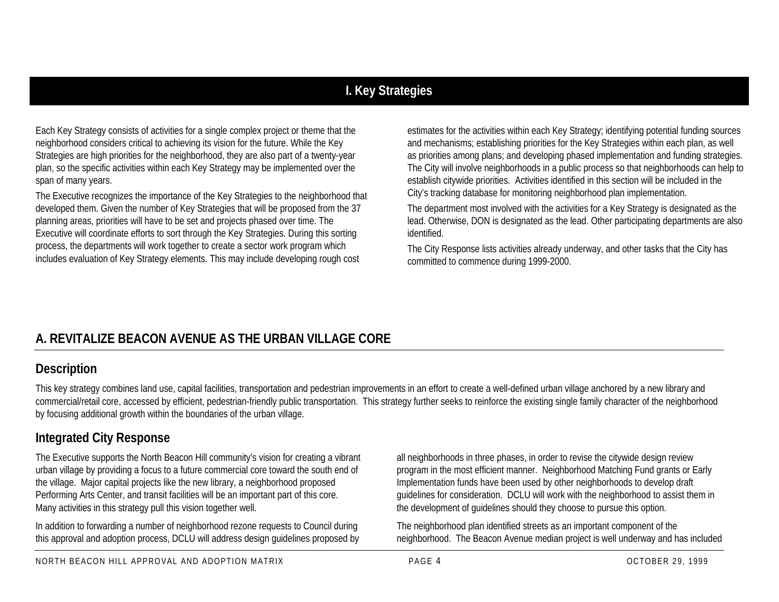# **I. Key Strategies**

Each Key Strategy consists of activities for a single complex project or theme that the neighborhood considers critical to achieving its vision for the future. While the Key Strategies are high priorities for the neighborhood, they are also part of a twenty-year plan, so the specific activities within each Key Strategy may be implemented over the span of many years.

The Executive recognizes the importance of the Key Strategies to the neighborhood that developed them. Given the number of Key Strategies that will be proposed from the 37 planning areas, priorities will have to be set and projects phased over time. The Executive will coordinate efforts to sort through the Key Strategies. During this sorting process, the departments will work together to create a sector work program which includes evaluation of Key Strategy elements. This may include developing rough cost

estimates for the activities within each Key Strategy; identifying potential funding sources and mechanisms; establishing priorities for the Key Strategies within each plan, as well as priorities among plans; and developing phased implementation and funding strategies. The City will involve neighborhoods in a public process so that neighborhoods can help to establish citywide priorities. Activities identified in this section will be included in the City's tracking database for monitoring neighborhood plan implementation.

The department most involved with the activities for a Key Strategy is designated as the lead. Otherwise, DON is designated as the lead. Other participating departments are also identified.

The City Response lists activities already underway, and other tasks that the City has committed to commence during 1999-2000.

# **A. REVITALIZE BEACON AVENUE AS THE URBAN VILLAGE CORE**

#### **Description**

This key strategy combines land use, capital facilities, transportation and pedestrian improvements in an effort to create a well-defined urban village anchored by a new library and commercial/retail core, accessed by efficient, pedestrian-friendly public transportation. This strategy further seeks to reinforce the existing single family character of the neighborhood by focusing additional growth within the boundaries of the urban village.

## **Integrated City Response**

The Executive supports the North Beacon Hill community's vision for creating a vibrant urban village by providing a focus to a future commercial core toward the south end of the village. Major capital projects like the new library, a neighborhood proposed Performing Arts Center, and transit facilities will be an important part of this core. Many activities in this strategy pull this vision together well.

In addition to forwarding a number of neighborhood rezone requests to Council during this approval and adoption process, DCLU will address design guidelines proposed by all neighborhoods in three phases, in order to revise the citywide design review program in the most efficient manner. Neighborhood Matching Fund grants or Early Implementation funds have been used by other neighborhoods to develop draft guidelines for consideration. DCLU will work with the neighborhood to assist them in the development of guidelines should they choose to pursue this option.

The neighborhood plan identified streets as an important component of the neighborhood. The Beacon Avenue median project is well underway and has included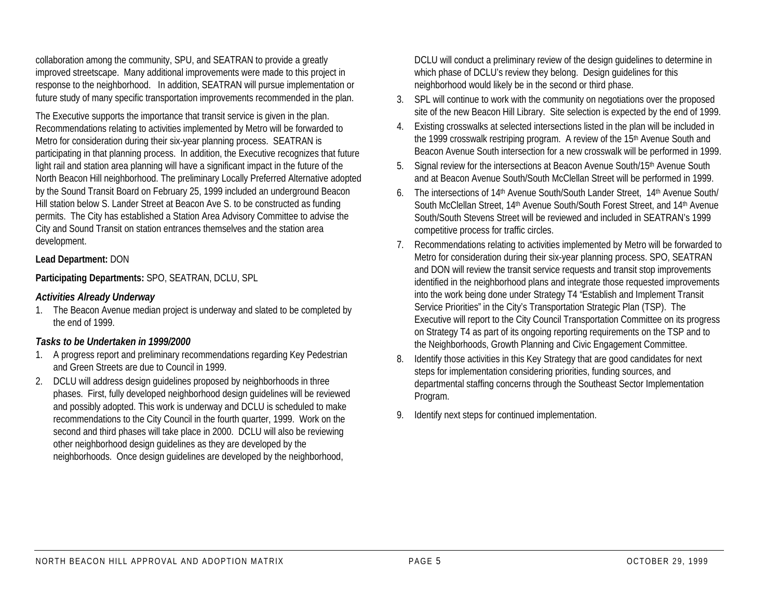collaboration among the community, SPU, and SEATRAN to provide a greatly improved streetscape. Many additional improvements were made to this project in response to the neighborhood. In addition, SEATRAN will pursue implementation or future study of many specific transportation improvements recommended in the plan.

The Executive supports the importance that transit service is given in the plan. Recommendations relating to activities implemented by Metro will be forwarded to Metro for consideration during their six-year planning process. SEATRAN is participating in that planning process. In addition, the Executive recognizes that future light rail and station area planning will have a significant impact in the future of the North Beacon Hill neighborhood. The preliminary Locally Preferred Alternative adopted by the Sound Transit Board on February 25, 1999 included an underground Beacon Hill station below S. Lander Street at Beacon Ave S. to be constructed as funding permits. The City has established a Station Area Advisory Committee to advise the City and Sound Transit on station entrances themselves and the station area development.

#### **Lead Department:** DON

#### **Participating Departments:** SPO, SEATRAN, DCLU, SPL

#### *Activities Already Underway*

1. The Beacon Avenue median project is underway and slated to be completed by the end of 1999.

#### *Tasks to be Undertaken in 1999/2000*

- 1. A progress report and preliminary recommendations regarding Key Pedestrian and Green Streets are due to Council in 1999.
- 2. DCLU will address design guidelines proposed by neighborhoods in three phases. First, fully developed neighborhood design guidelines will be reviewed and possibly adopted. This work is underway and DCLU is scheduled to make recommendations to the City Council in the fourth quarter, 1999. Work on the second and third phases will take place in 2000. DCLU will also be reviewing other neighborhood design guidelines as they are developed by the neighborhoods. Once design guidelines are developed by the neighborhood,

DCLU will conduct a preliminary review of the design guidelines to determine in which phase of DCLU's review they belong. Design guidelines for this neighborhood would likely be in the second or third phase.

- 3. SPL will continue to work with the community on negotiations over the proposed site of the new Beacon Hill Library. Site selection is expected by the end of 1999.
- 4. Existing crosswalks at selected intersections listed in the plan will be included in the 1999 crosswalk restriping program. A review of the 15<sup>th</sup> Avenue South and Beacon Avenue South intersection for a new crosswalk will be performed in 1999.
- 5. Signal review for the intersections at Beacon Avenue South/15<sup>th</sup> Avenue South and at Beacon Avenue South/South McClellan Street will be performed in 1999.
- 6. The intersections of 14th Avenue South/South Lander Street, 14th Avenue South/ South McClellan Street, 14th Avenue South/South Forest Street, and 14th Avenue South/South Stevens Street will be reviewed and included in SEATRAN's 1999 competitive process for traffic circles.
- 7. Recommendations relating to activities implemented by Metro will be forwarded to Metro for consideration during their six-year planning process. SPO, SEATRAN and DON will review the transit service requests and transit stop improvements identified in the neighborhood plans and integrate those requested improvements into the work being done under Strategy T4 "Establish and Implement Transit Service Priorities" in the City's Transportation Strategic Plan (TSP). The Executive will report to the City Council Transportation Committee on its progress on Strategy T4 as part of its ongoing reporting requirements on the TSP and to the Neighborhoods, Growth Planning and Civic Engagement Committee.
- 8. Identify those activities in this Key Strategy that are good candidates for next steps for implementation considering priorities, funding sources, and departmental staffing concerns through the Southeast Sector Implementation Program.
- 9. Identify next steps for continued implementation.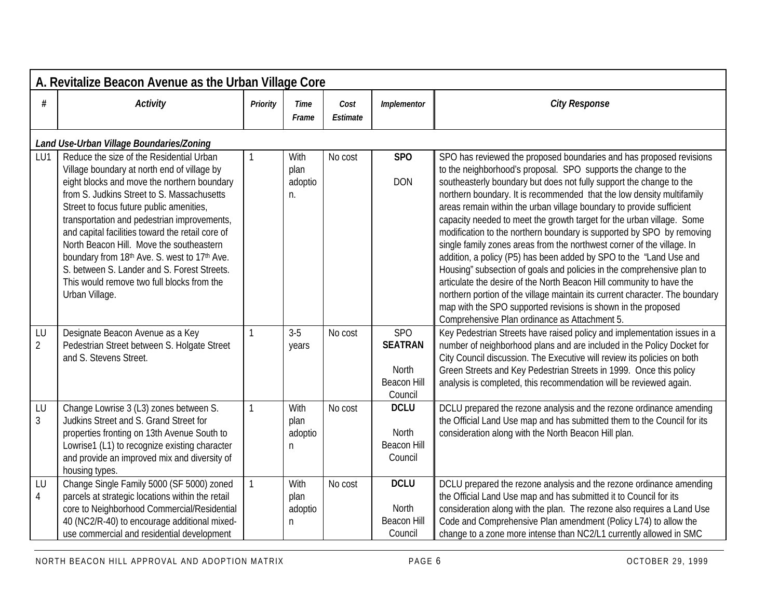|                      | A. Revitalize Beacon Avenue as the Urban Village Core                                                                                                                                                                                                                                                                                                                                                                                                                                                                                          |              |                               |                  |                                                                        |                                                                                                                                                                                                                                                                                                                                                                                                                                                                                                                                                                                                                                                                                                                                                                                                                                                                                                                                                                                                                     |  |  |  |  |  |
|----------------------|------------------------------------------------------------------------------------------------------------------------------------------------------------------------------------------------------------------------------------------------------------------------------------------------------------------------------------------------------------------------------------------------------------------------------------------------------------------------------------------------------------------------------------------------|--------------|-------------------------------|------------------|------------------------------------------------------------------------|---------------------------------------------------------------------------------------------------------------------------------------------------------------------------------------------------------------------------------------------------------------------------------------------------------------------------------------------------------------------------------------------------------------------------------------------------------------------------------------------------------------------------------------------------------------------------------------------------------------------------------------------------------------------------------------------------------------------------------------------------------------------------------------------------------------------------------------------------------------------------------------------------------------------------------------------------------------------------------------------------------------------|--|--|--|--|--|
| #                    | <b>Activity</b>                                                                                                                                                                                                                                                                                                                                                                                                                                                                                                                                | Priority     | <b>Time</b><br>Frame          | Cost<br>Estimate | Implementor                                                            | <b>City Response</b>                                                                                                                                                                                                                                                                                                                                                                                                                                                                                                                                                                                                                                                                                                                                                                                                                                                                                                                                                                                                |  |  |  |  |  |
|                      | Land Use-Urban Village Boundaries/Zoning                                                                                                                                                                                                                                                                                                                                                                                                                                                                                                       |              |                               |                  |                                                                        |                                                                                                                                                                                                                                                                                                                                                                                                                                                                                                                                                                                                                                                                                                                                                                                                                                                                                                                                                                                                                     |  |  |  |  |  |
| LU1                  | Reduce the size of the Residential Urban<br>Village boundary at north end of village by<br>eight blocks and move the northern boundary<br>from S. Judkins Street to S. Massachusetts<br>Street to focus future public amenities,<br>transportation and pedestrian improvements,<br>and capital facilities toward the retail core of<br>North Beacon Hill. Move the southeastern<br>boundary from 18th Ave. S. west to 17th Ave.<br>S. between S. Lander and S. Forest Streets.<br>This would remove two full blocks from the<br>Urban Village. |              | With<br>plan<br>adoptio<br>n. | No cost          | SP <sub>O</sub><br><b>DON</b>                                          | SPO has reviewed the proposed boundaries and has proposed revisions<br>to the neighborhood's proposal. SPO supports the change to the<br>southeasterly boundary but does not fully support the change to the<br>northern boundary. It is recommended that the low density multifamily<br>areas remain within the urban village boundary to provide sufficient<br>capacity needed to meet the growth target for the urban village. Some<br>modification to the northern boundary is supported by SPO by removing<br>single family zones areas from the northwest corner of the village. In<br>addition, a policy (P5) has been added by SPO to the "Land Use and<br>Housing" subsection of goals and policies in the comprehensive plan to<br>articulate the desire of the North Beacon Hill community to have the<br>northern portion of the village maintain its current character. The boundary<br>map with the SPO supported revisions is shown in the proposed<br>Comprehensive Plan ordinance as Attachment 5. |  |  |  |  |  |
| LU<br>$\overline{2}$ | Designate Beacon Avenue as a Key<br>Pedestrian Street between S. Holgate Street<br>and S. Stevens Street.                                                                                                                                                                                                                                                                                                                                                                                                                                      | $\mathbf{1}$ | $3-5$<br>years                | No cost          | <b>SPO</b><br><b>SEATRAN</b><br>North<br><b>Beacon Hill</b><br>Council | Key Pedestrian Streets have raised policy and implementation issues in a<br>number of neighborhood plans and are included in the Policy Docket for<br>City Council discussion. The Executive will review its policies on both<br>Green Streets and Key Pedestrian Streets in 1999. Once this policy<br>analysis is completed, this recommendation will be reviewed again.                                                                                                                                                                                                                                                                                                                                                                                                                                                                                                                                                                                                                                           |  |  |  |  |  |
| LU<br>$\overline{3}$ | Change Lowrise 3 (L3) zones between S.<br>Judkins Street and S. Grand Street for<br>properties fronting on 13th Avenue South to<br>Lowrise1 (L1) to recognize existing character<br>and provide an improved mix and diversity of<br>housing types.                                                                                                                                                                                                                                                                                             | $\mathbf{1}$ | With<br>plan<br>adoptio<br>n  | No cost          | <b>DCLU</b><br><b>North</b><br><b>Beacon Hill</b><br>Council           | DCLU prepared the rezone analysis and the rezone ordinance amending<br>the Official Land Use map and has submitted them to the Council for its<br>consideration along with the North Beacon Hill plan.                                                                                                                                                                                                                                                                                                                                                                                                                                                                                                                                                                                                                                                                                                                                                                                                              |  |  |  |  |  |
| LU<br>$\overline{4}$ | Change Single Family 5000 (SF 5000) zoned<br>parcels at strategic locations within the retail<br>core to Neighborhood Commercial/Residential<br>40 (NC2/R-40) to encourage additional mixed-<br>use commercial and residential development                                                                                                                                                                                                                                                                                                     | $\mathbf{1}$ | With<br>plan<br>adoptio<br>n. | No cost          | <b>DCLU</b><br>North<br><b>Beacon Hill</b><br>Council                  | DCLU prepared the rezone analysis and the rezone ordinance amending<br>the Official Land Use map and has submitted it to Council for its<br>consideration along with the plan. The rezone also requires a Land Use<br>Code and Comprehensive Plan amendment (Policy L74) to allow the<br>change to a zone more intense than NC2/L1 currently allowed in SMC                                                                                                                                                                                                                                                                                                                                                                                                                                                                                                                                                                                                                                                         |  |  |  |  |  |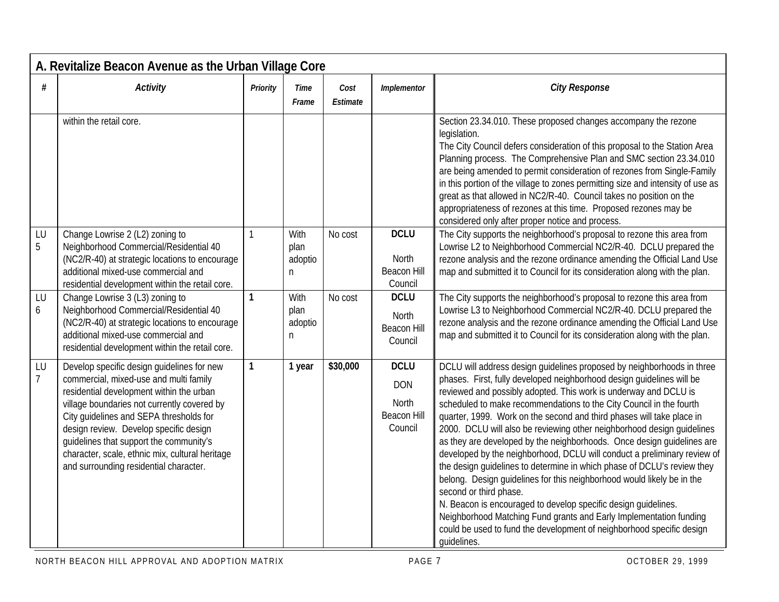|                      | A. Revitalize Beacon Avenue as the Urban Village Core                                                                                                                                                                                                                                                                                                                                                        |              |                              |                         |                                                              |                                                                                                                                                                                                                                                                                                                                                                                                                                                                                                                                                                                                                                                                                                                                                                                                                                                                                                                                                                                                                    |  |  |  |  |  |
|----------------------|--------------------------------------------------------------------------------------------------------------------------------------------------------------------------------------------------------------------------------------------------------------------------------------------------------------------------------------------------------------------------------------------------------------|--------------|------------------------------|-------------------------|--------------------------------------------------------------|--------------------------------------------------------------------------------------------------------------------------------------------------------------------------------------------------------------------------------------------------------------------------------------------------------------------------------------------------------------------------------------------------------------------------------------------------------------------------------------------------------------------------------------------------------------------------------------------------------------------------------------------------------------------------------------------------------------------------------------------------------------------------------------------------------------------------------------------------------------------------------------------------------------------------------------------------------------------------------------------------------------------|--|--|--|--|--|
| #                    | <b>Activity</b>                                                                                                                                                                                                                                                                                                                                                                                              | Priority     | Time<br>Frame                | Cost<br><b>Estimate</b> | Implementor                                                  | <b>City Response</b>                                                                                                                                                                                                                                                                                                                                                                                                                                                                                                                                                                                                                                                                                                                                                                                                                                                                                                                                                                                               |  |  |  |  |  |
|                      | within the retail core.                                                                                                                                                                                                                                                                                                                                                                                      |              |                              |                         |                                                              | Section 23.34.010. These proposed changes accompany the rezone<br>legislation.<br>The City Council defers consideration of this proposal to the Station Area<br>Planning process. The Comprehensive Plan and SMC section 23.34.010<br>are being amended to permit consideration of rezones from Single-Family<br>in this portion of the village to zones permitting size and intensity of use as<br>great as that allowed in NC2/R-40. Council takes no position on the<br>appropriateness of rezones at this time. Proposed rezones may be<br>considered only after proper notice and process.                                                                                                                                                                                                                                                                                                                                                                                                                    |  |  |  |  |  |
| LU<br>5              | Change Lowrise 2 (L2) zoning to<br>Neighborhood Commercial/Residential 40<br>(NC2/R-40) at strategic locations to encourage<br>additional mixed-use commercial and<br>residential development within the retail core.                                                                                                                                                                                        |              | With<br>plan<br>adoptio<br>n | No cost                 | <b>DCLU</b><br><b>North</b><br><b>Beacon Hill</b><br>Council | The City supports the neighborhood's proposal to rezone this area from<br>Lowrise L2 to Neighborhood Commercial NC2/R-40. DCLU prepared the<br>rezone analysis and the rezone ordinance amending the Official Land Use<br>map and submitted it to Council for its consideration along with the plan.                                                                                                                                                                                                                                                                                                                                                                                                                                                                                                                                                                                                                                                                                                               |  |  |  |  |  |
| LU<br>6              | Change Lowrise 3 (L3) zoning to<br>Neighborhood Commercial/Residential 40<br>(NC2/R-40) at strategic locations to encourage<br>additional mixed-use commercial and<br>residential development within the retail core.                                                                                                                                                                                        | 1            | With<br>plan<br>adoptio<br>n | No cost                 | <b>DCLU</b><br><b>North</b><br><b>Beacon Hill</b><br>Council | The City supports the neighborhood's proposal to rezone this area from<br>Lowrise L3 to Neighborhood Commercial NC2/R-40. DCLU prepared the<br>rezone analysis and the rezone ordinance amending the Official Land Use<br>map and submitted it to Council for its consideration along with the plan.                                                                                                                                                                                                                                                                                                                                                                                                                                                                                                                                                                                                                                                                                                               |  |  |  |  |  |
| LU<br>$\overline{7}$ | Develop specific design guidelines for new<br>commercial, mixed-use and multi family<br>residential development within the urban<br>village boundaries not currently covered by<br>City quidelines and SEPA thresholds for<br>design review. Develop specific design<br>guidelines that support the community's<br>character, scale, ethnic mix, cultural heritage<br>and surrounding residential character. | $\mathbf{1}$ | 1 year                       | \$30,000                | <b>DCLU</b><br><b>DON</b><br>North<br>Beacon Hill<br>Council | DCLU will address design guidelines proposed by neighborhoods in three<br>phases. First, fully developed neighborhood design guidelines will be<br>reviewed and possibly adopted. This work is underway and DCLU is<br>scheduled to make recommendations to the City Council in the fourth<br>quarter, 1999. Work on the second and third phases will take place in<br>2000. DCLU will also be reviewing other neighborhood design guidelines<br>as they are developed by the neighborhoods. Once design guidelines are<br>developed by the neighborhood, DCLU will conduct a preliminary review of<br>the design guidelines to determine in which phase of DCLU's review they<br>belong. Design guidelines for this neighborhood would likely be in the<br>second or third phase.<br>N. Beacon is encouraged to develop specific design quidelines.<br>Neighborhood Matching Fund grants and Early Implementation funding<br>could be used to fund the development of neighborhood specific design<br>quidelines. |  |  |  |  |  |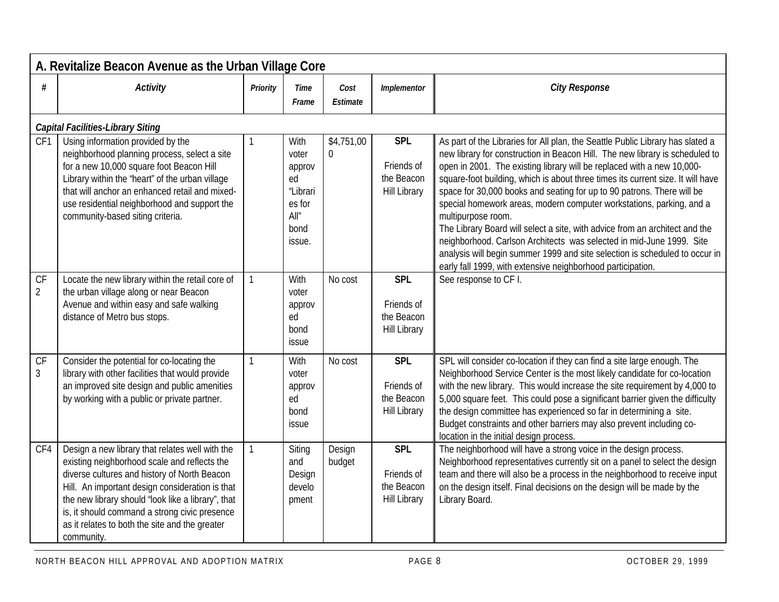|                      | A. Revitalize Beacon Avenue as the Urban Village Core                                                                                                                                                                                                                                                                                                                     |                |                                                                                |                              |                                                               |                                                                                                                                                                                                                                                                                                                                                                                                                                                                                                                                                                                                                                                                                                                                                                                                          |  |  |  |  |  |
|----------------------|---------------------------------------------------------------------------------------------------------------------------------------------------------------------------------------------------------------------------------------------------------------------------------------------------------------------------------------------------------------------------|----------------|--------------------------------------------------------------------------------|------------------------------|---------------------------------------------------------------|----------------------------------------------------------------------------------------------------------------------------------------------------------------------------------------------------------------------------------------------------------------------------------------------------------------------------------------------------------------------------------------------------------------------------------------------------------------------------------------------------------------------------------------------------------------------------------------------------------------------------------------------------------------------------------------------------------------------------------------------------------------------------------------------------------|--|--|--|--|--|
| #                    | <b>Activity</b>                                                                                                                                                                                                                                                                                                                                                           | Priority       | Time<br>Frame                                                                  | Cost<br>Estimate             | Implementor                                                   | <b>City Response</b>                                                                                                                                                                                                                                                                                                                                                                                                                                                                                                                                                                                                                                                                                                                                                                                     |  |  |  |  |  |
|                      | <b>Capital Facilities-Library Siting</b>                                                                                                                                                                                                                                                                                                                                  |                |                                                                                |                              |                                                               |                                                                                                                                                                                                                                                                                                                                                                                                                                                                                                                                                                                                                                                                                                                                                                                                          |  |  |  |  |  |
| CF1                  | Using information provided by the<br>neighborhood planning process, select a site<br>for a new 10,000 square foot Beacon Hill<br>Library within the 'heart" of the urban village<br>that will anchor an enhanced retail and mixed-<br>use residential neighborhood and support the<br>community-based siting criteria.                                                    |                | With<br>voter<br>approv<br>ed<br>"Librari<br>es for<br>All''<br>bond<br>issue. | \$4,751,00<br>$\overline{0}$ | <b>SPL</b><br>Friends of<br>the Beacon<br><b>Hill Library</b> | As part of the Libraries for All plan, the Seattle Public Library has slated a<br>new library for construction in Beacon Hill. The new library is scheduled to<br>open in 2001. The existing library will be replaced with a new 10,000-<br>square-foot building, which is about three times its current size. It will have<br>space for 30,000 books and seating for up to 90 patrons. There will be<br>special homework areas, modern computer workstations, parking, and a<br>multipurpose room.<br>The Library Board will select a site, with advice from an architect and the<br>neighborhood. Carlson Architects was selected in mid-June 1999. Site<br>analysis will begin summer 1999 and site selection is scheduled to occur in<br>early fall 1999, with extensive neighborhood participation. |  |  |  |  |  |
| CF<br>$\overline{2}$ | Locate the new library within the retail core of<br>the urban village along or near Beacon<br>Avenue and within easy and safe walking<br>distance of Metro bus stops.                                                                                                                                                                                                     | $\mathbf{1}$   | With<br>voter<br>approv<br>ed<br>bond<br>issue                                 | No cost                      | <b>SPL</b><br>Friends of<br>the Beacon<br><b>Hill Library</b> | See response to CF I.                                                                                                                                                                                                                                                                                                                                                                                                                                                                                                                                                                                                                                                                                                                                                                                    |  |  |  |  |  |
| CF<br>$\mathfrak{Z}$ | Consider the potential for co-locating the<br>library with other facilities that would provide<br>an improved site design and public amenities<br>by working with a public or private partner.                                                                                                                                                                            | $\overline{1}$ | With<br>voter<br>approv<br>ed<br>bond<br>issue                                 | No cost                      | <b>SPL</b><br>Friends of<br>the Beacon<br><b>Hill Library</b> | SPL will consider co-location if they can find a site large enough. The<br>Neighborhood Service Center is the most likely candidate for co-location<br>with the new library. This would increase the site requirement by 4,000 to<br>5,000 square feet. This could pose a significant barrier given the difficulty<br>the design committee has experienced so far in determining a site.<br>Budget constraints and other barriers may also prevent including co-<br>location in the initial design process.                                                                                                                                                                                                                                                                                              |  |  |  |  |  |
| CF4                  | Design a new library that relates well with the<br>existing neighborhood scale and reflects the<br>diverse cultures and history of North Beacon<br>Hill. An important design consideration is that<br>the new library should 'look like a library", that<br>is, it should command a strong civic presence<br>as it relates to both the site and the greater<br>community. | $\mathbf{1}$   | Siting<br>and<br>Design<br>develo<br>pment                                     | Design<br>budget             | <b>SPL</b><br>Friends of<br>the Beacon<br><b>Hill Library</b> | The neighborhood will have a strong voice in the design process.<br>Neighborhood representatives currently sit on a panel to select the design<br>team and there will also be a process in the neighborhood to receive input<br>on the design itself. Final decisions on the design will be made by the<br>Library Board.                                                                                                                                                                                                                                                                                                                                                                                                                                                                                |  |  |  |  |  |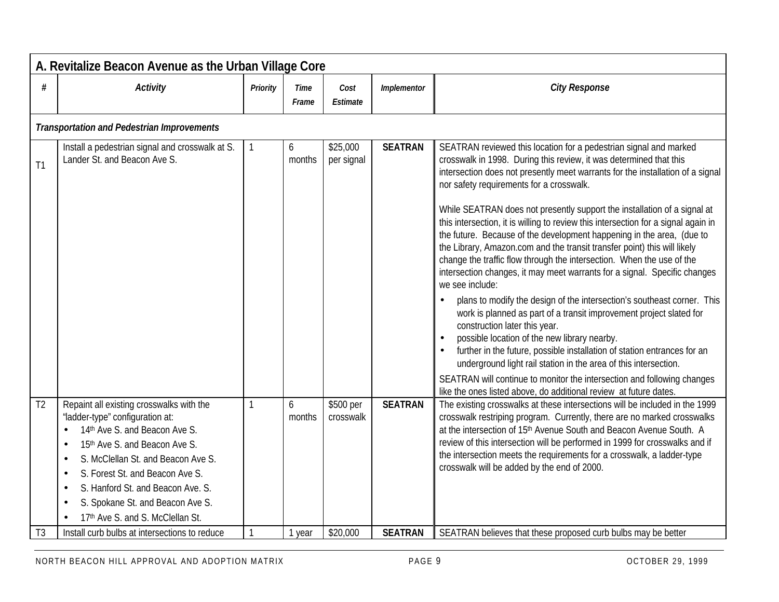|                | A. Revitalize Beacon Avenue as the Urban Village Core                                                                                                                                                                                                                                                                               |          |               |                        |                |                                                                                                                                                                                                                                                                                                                                                                                                                                                                                                                                                                                                                                                                                                                                                                                                                                                                                                                                                                                                                                                                                                                                                                                                                                                                                                                       |  |  |  |  |  |
|----------------|-------------------------------------------------------------------------------------------------------------------------------------------------------------------------------------------------------------------------------------------------------------------------------------------------------------------------------------|----------|---------------|------------------------|----------------|-----------------------------------------------------------------------------------------------------------------------------------------------------------------------------------------------------------------------------------------------------------------------------------------------------------------------------------------------------------------------------------------------------------------------------------------------------------------------------------------------------------------------------------------------------------------------------------------------------------------------------------------------------------------------------------------------------------------------------------------------------------------------------------------------------------------------------------------------------------------------------------------------------------------------------------------------------------------------------------------------------------------------------------------------------------------------------------------------------------------------------------------------------------------------------------------------------------------------------------------------------------------------------------------------------------------------|--|--|--|--|--|
| #              | <b>Activity</b>                                                                                                                                                                                                                                                                                                                     | Priority | Time<br>Frame | Cost<br>Estimate       | Implementor    | <b>City Response</b>                                                                                                                                                                                                                                                                                                                                                                                                                                                                                                                                                                                                                                                                                                                                                                                                                                                                                                                                                                                                                                                                                                                                                                                                                                                                                                  |  |  |  |  |  |
|                | <b>Transportation and Pedestrian Improvements</b>                                                                                                                                                                                                                                                                                   |          |               |                        |                |                                                                                                                                                                                                                                                                                                                                                                                                                                                                                                                                                                                                                                                                                                                                                                                                                                                                                                                                                                                                                                                                                                                                                                                                                                                                                                                       |  |  |  |  |  |
| T1             | Install a pedestrian signal and crosswalk at S.<br>Lander St. and Beacon Ave S.                                                                                                                                                                                                                                                     |          | 6<br>months   | \$25,000<br>per signal | <b>SEATRAN</b> | SEATRAN reviewed this location for a pedestrian signal and marked<br>crosswalk in 1998. During this review, it was determined that this<br>intersection does not presently meet warrants for the installation of a signal<br>nor safety requirements for a crosswalk.<br>While SEATRAN does not presently support the installation of a signal at<br>this intersection, it is willing to review this intersection for a signal again in<br>the future. Because of the development happening in the area, (due to<br>the Library, Amazon.com and the transit transfer point) this will likely<br>change the traffic flow through the intersection. When the use of the<br>intersection changes, it may meet warrants for a signal. Specific changes<br>we see include:<br>plans to modify the design of the intersection's southeast corner. This<br>$\bullet$<br>work is planned as part of a transit improvement project slated for<br>construction later this year.<br>possible location of the new library nearby.<br>further in the future, possible installation of station entrances for an<br>underground light rail station in the area of this intersection.<br>SEATRAN will continue to monitor the intersection and following changes<br>like the ones listed above, do additional review at future dates. |  |  |  |  |  |
| T <sub>2</sub> | Repaint all existing crosswalks with the<br>"ladder-type" configuration at:<br>14th Ave S. and Beacon Ave S.<br>15th Ave S. and Beacon Ave S.<br>S. McClellan St. and Beacon Ave S.<br>S. Forest St. and Beacon Ave S.<br>S. Hanford St. and Beacon Ave. S.<br>S. Spokane St. and Beacon Ave S.<br>17th Ave S. and S. McClellan St. |          | 6<br>months   | \$500 per<br>crosswalk | <b>SEATRAN</b> | The existing crosswalks at these intersections will be included in the 1999<br>crosswalk restriping program. Currently, there are no marked crosswalks<br>at the intersection of 15th Avenue South and Beacon Avenue South. A<br>review of this intersection will be performed in 1999 for crosswalks and if<br>the intersection meets the requirements for a crosswalk, a ladder-type<br>crosswalk will be added by the end of 2000.                                                                                                                                                                                                                                                                                                                                                                                                                                                                                                                                                                                                                                                                                                                                                                                                                                                                                 |  |  |  |  |  |
| T <sub>3</sub> | Install curb bulbs at intersections to reduce                                                                                                                                                                                                                                                                                       |          | 1 year        | \$20,000               | <b>SEATRAN</b> | SEATRAN believes that these proposed curb bulbs may be better                                                                                                                                                                                                                                                                                                                                                                                                                                                                                                                                                                                                                                                                                                                                                                                                                                                                                                                                                                                                                                                                                                                                                                                                                                                         |  |  |  |  |  |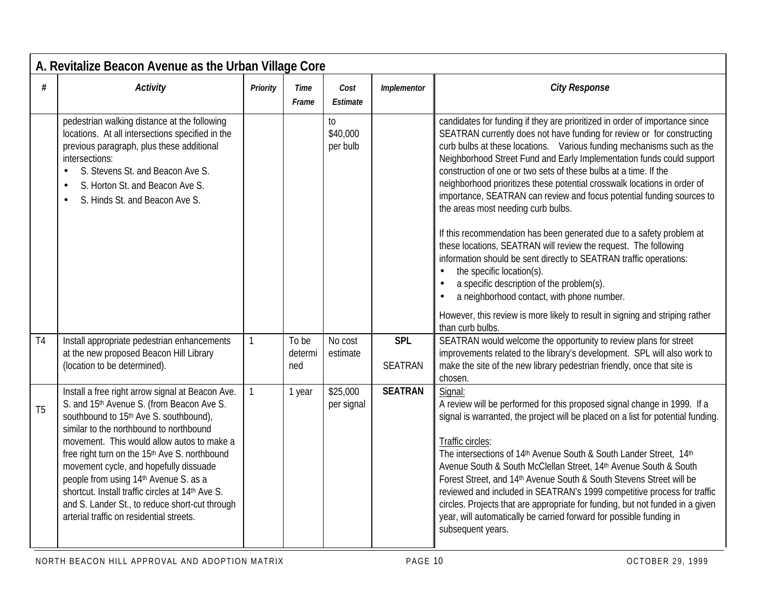|                | A. Revitalize Beacon Avenue as the Urban Village Core                                                                                                                                                                                                                                                                                                                                                                                                                                                                              |              |                      |                            |                |                                                                                                                                                                                                                                                                                                                                                                                                                                                                                                                                                                                                                                                                                                                                                                                                                                                                                                                                                        |  |  |  |  |  |
|----------------|------------------------------------------------------------------------------------------------------------------------------------------------------------------------------------------------------------------------------------------------------------------------------------------------------------------------------------------------------------------------------------------------------------------------------------------------------------------------------------------------------------------------------------|--------------|----------------------|----------------------------|----------------|--------------------------------------------------------------------------------------------------------------------------------------------------------------------------------------------------------------------------------------------------------------------------------------------------------------------------------------------------------------------------------------------------------------------------------------------------------------------------------------------------------------------------------------------------------------------------------------------------------------------------------------------------------------------------------------------------------------------------------------------------------------------------------------------------------------------------------------------------------------------------------------------------------------------------------------------------------|--|--|--|--|--|
| #              | <b>Activity</b>                                                                                                                                                                                                                                                                                                                                                                                                                                                                                                                    | Priority     | <b>Time</b><br>Frame | Cost<br>Estimate           | Implementor    | <b>City Response</b>                                                                                                                                                                                                                                                                                                                                                                                                                                                                                                                                                                                                                                                                                                                                                                                                                                                                                                                                   |  |  |  |  |  |
|                | pedestrian walking distance at the following<br>locations. At all intersections specified in the<br>previous paragraph, plus these additional<br>intersections:<br>S. Stevens St. and Beacon Ave S.<br>$\bullet$<br>S. Horton St. and Beacon Ave S.<br>$\bullet$<br>S. Hinds St. and Beacon Ave S.                                                                                                                                                                                                                                 |              |                      | to<br>\$40,000<br>per bulb |                | candidates for funding if they are prioritized in order of importance since<br>SEATRAN currently does not have funding for review or for constructing<br>curb bulbs at these locations. Various funding mechanisms such as the<br>Neighborhood Street Fund and Early Implementation funds could support<br>construction of one or two sets of these bulbs at a time. If the<br>neighborhood prioritizes these potential crosswalk locations in order of<br>importance, SEATRAN can review and focus potential funding sources to<br>the areas most needing curb bulbs.<br>If this recommendation has been generated due to a safety problem at<br>these locations, SEATRAN will review the request. The following<br>information should be sent directly to SEATRAN traffic operations:<br>the specific location(s).<br>$\bullet$<br>a specific description of the problem(s).<br>$\bullet$<br>a neighborhood contact, with phone number.<br>$\bullet$ |  |  |  |  |  |
| T <sub>4</sub> | Install appropriate pedestrian enhancements                                                                                                                                                                                                                                                                                                                                                                                                                                                                                        | $\mathbf{1}$ | To be                | No cost                    | <b>SPL</b>     | However, this review is more likely to result in signing and striping rather<br>than curb bulbs.<br>SEATRAN would welcome the opportunity to review plans for street                                                                                                                                                                                                                                                                                                                                                                                                                                                                                                                                                                                                                                                                                                                                                                                   |  |  |  |  |  |
|                | at the new proposed Beacon Hill Library<br>(location to be determined).                                                                                                                                                                                                                                                                                                                                                                                                                                                            |              | determi<br>ned       | estimate                   | <b>SEATRAN</b> | improvements related to the library's development. SPL will also work to<br>make the site of the new library pedestrian friendly, once that site is<br>chosen.                                                                                                                                                                                                                                                                                                                                                                                                                                                                                                                                                                                                                                                                                                                                                                                         |  |  |  |  |  |
| T <sub>5</sub> | Install a free right arrow signal at Beacon Ave.<br>S. and 15th Avenue S. (from Beacon Ave S.<br>southbound to 15th Ave S. southbound),<br>similar to the northbound to northbound<br>movement. This would allow autos to make a<br>free right turn on the 15 <sup>th</sup> Ave S. northbound<br>movement cycle, and hopefully dissuade<br>people from using 14th Avenue S. as a<br>shortcut. Install traffic circles at 14th Ave S.<br>and S. Lander St., to reduce short-cut through<br>arterial traffic on residential streets. | $\mathbf{1}$ | 1 year               | \$25,000<br>per signal     | <b>SEATRAN</b> | Signal:<br>A review will be performed for this proposed signal change in 1999. If a<br>signal is warranted, the project will be placed on a list for potential funding.<br>Traffic circles:<br>The intersections of 14 <sup>th</sup> Avenue South & South Lander Street, 14 <sup>th</sup><br>Avenue South & South McClellan Street, 14th Avenue South & South<br>Forest Street, and 14th Avenue South & South Stevens Street will be<br>reviewed and included in SEATRAN's 1999 competitive process for traffic<br>circles. Projects that are appropriate for funding, but not funded in a given<br>year, will automatically be carried forward for possible funding in<br>subsequent years.                                                                                                                                                                                                                                                           |  |  |  |  |  |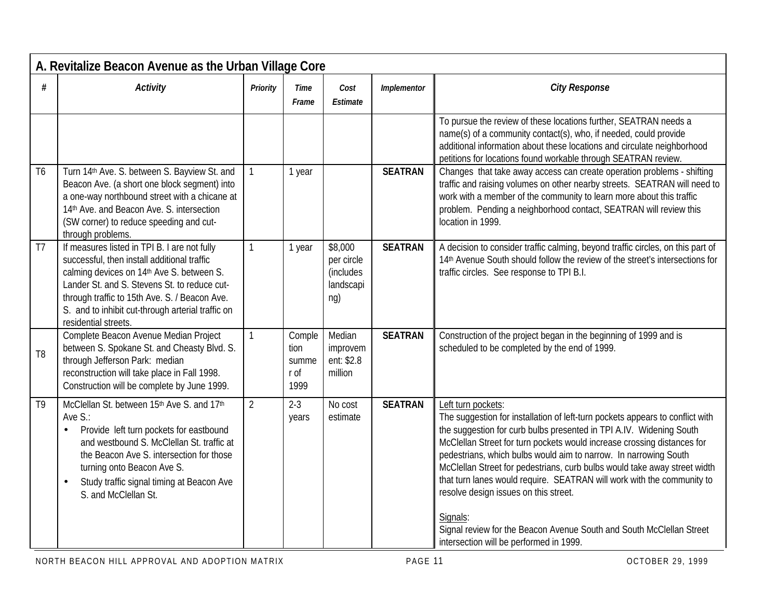|                | A. Revitalize Beacon Avenue as the Urban Village Core                                                                                                                                                                                                                                                                  |                |                                         |                                                        |                |                                                                                                                                                                                                                                                                                                                                                                                                                                                                                                                                                                                                                                                          |  |  |  |  |  |
|----------------|------------------------------------------------------------------------------------------------------------------------------------------------------------------------------------------------------------------------------------------------------------------------------------------------------------------------|----------------|-----------------------------------------|--------------------------------------------------------|----------------|----------------------------------------------------------------------------------------------------------------------------------------------------------------------------------------------------------------------------------------------------------------------------------------------------------------------------------------------------------------------------------------------------------------------------------------------------------------------------------------------------------------------------------------------------------------------------------------------------------------------------------------------------------|--|--|--|--|--|
| #              | <b>Activity</b>                                                                                                                                                                                                                                                                                                        | Priority       | <b>Time</b><br>Frame                    | Cost<br>Estimate                                       | Implementor    | <b>City Response</b>                                                                                                                                                                                                                                                                                                                                                                                                                                                                                                                                                                                                                                     |  |  |  |  |  |
|                |                                                                                                                                                                                                                                                                                                                        |                |                                         |                                                        |                | To pursue the review of these locations further, SEATRAN needs a<br>name(s) of a community contact(s), who, if needed, could provide<br>additional information about these locations and circulate neighborhood<br>petitions for locations found workable through SEATRAN review.                                                                                                                                                                                                                                                                                                                                                                        |  |  |  |  |  |
| T <sub>6</sub> | Turn 14th Ave. S. between S. Bayview St. and<br>Beacon Ave. (a short one block segment) into<br>a one-way northbound street with a chicane at<br>14th Ave. and Beacon Ave. S. intersection<br>(SW corner) to reduce speeding and cut-<br>through problems.                                                             | $\mathbf{1}$   | 1 year                                  |                                                        | <b>SEATRAN</b> | Changes that take away access can create operation problems - shifting<br>traffic and raising volumes on other nearby streets. SEATRAN will need to<br>work with a member of the community to learn more about this traffic<br>problem. Pending a neighborhood contact, SEATRAN will review this<br>location in 1999.                                                                                                                                                                                                                                                                                                                                    |  |  |  |  |  |
| T <sub>7</sub> | If measures listed in TPI B. I are not fully<br>successful, then install additional traffic<br>calming devices on 14th Ave S. between S.<br>Lander St. and S. Stevens St. to reduce cut-<br>through traffic to 15th Ave. S. / Beacon Ave.<br>S. and to inhibit cut-through arterial traffic on<br>residential streets. | $\mathbf{1}$   | 1 year                                  | \$8,000<br>per circle<br>(includes<br>landscapi<br>ng) | <b>SEATRAN</b> | A decision to consider traffic calming, beyond traffic circles, on this part of<br>14th Avenue South should follow the review of the street's intersections for<br>traffic circles. See response to TPI B.I.                                                                                                                                                                                                                                                                                                                                                                                                                                             |  |  |  |  |  |
| T <sub>8</sub> | Complete Beacon Avenue Median Project<br>between S. Spokane St. and Cheasty Blvd. S.<br>through Jefferson Park: median<br>reconstruction will take place in Fall 1998.<br>Construction will be complete by June 1999.                                                                                                  | $\mathbf{1}$   | Comple<br>tion<br>summe<br>r of<br>1999 | Median<br>improvem<br>ent: \$2.8<br>million            | <b>SEATRAN</b> | Construction of the project began in the beginning of 1999 and is<br>scheduled to be completed by the end of 1999.                                                                                                                                                                                                                                                                                                                                                                                                                                                                                                                                       |  |  |  |  |  |
| T <sub>9</sub> | McClellan St. between 15th Ave S. and 17th<br>Ave S.:<br>Provide left turn pockets for eastbound<br>and westbound S. McClellan St. traffic at<br>the Beacon Ave S. intersection for those<br>turning onto Beacon Ave S.<br>Study traffic signal timing at Beacon Ave<br>$\bullet$<br>S. and McClellan St.              | $\overline{2}$ | $2-3$<br>years                          | No cost<br>estimate                                    | <b>SEATRAN</b> | Left turn pockets:<br>The suggestion for installation of left-turn pockets appears to conflict with<br>the suggestion for curb bulbs presented in TPI A.IV. Widening South<br>McClellan Street for turn pockets would increase crossing distances for<br>pedestrians, which bulbs would aim to narrow. In narrowing South<br>McClellan Street for pedestrians, curb bulbs would take away street width<br>that turn lanes would require. SEATRAN will work with the community to<br>resolve design issues on this street.<br>Signals:<br>Signal review for the Beacon Avenue South and South McClellan Street<br>intersection will be performed in 1999. |  |  |  |  |  |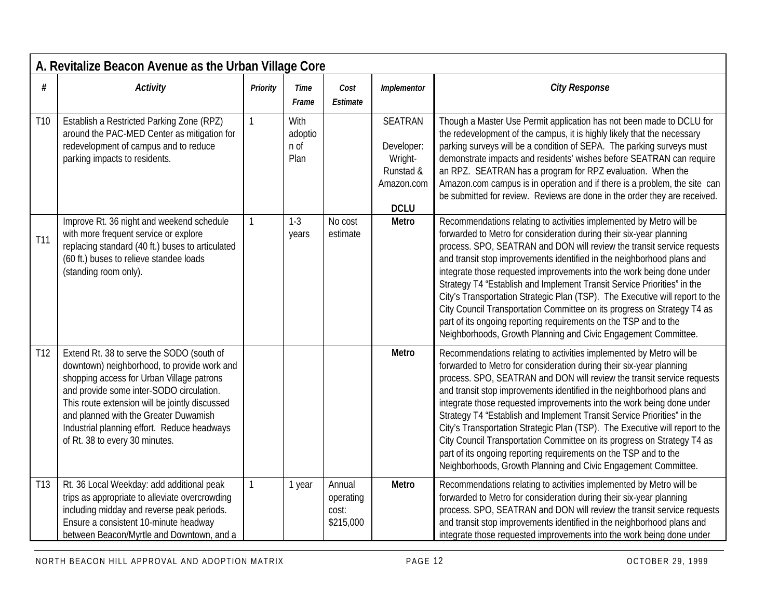|                 | A. Revitalize Beacon Avenue as the Urban Village Core                                                                                                                                                                                                                                                                                                         |              |                                 |                                           |                                                                                   |                                                                                                                                                                                                                                                                                                                                                                                                                                                                                                                                                                                                                                                                                                                                                     |  |  |  |  |  |
|-----------------|---------------------------------------------------------------------------------------------------------------------------------------------------------------------------------------------------------------------------------------------------------------------------------------------------------------------------------------------------------------|--------------|---------------------------------|-------------------------------------------|-----------------------------------------------------------------------------------|-----------------------------------------------------------------------------------------------------------------------------------------------------------------------------------------------------------------------------------------------------------------------------------------------------------------------------------------------------------------------------------------------------------------------------------------------------------------------------------------------------------------------------------------------------------------------------------------------------------------------------------------------------------------------------------------------------------------------------------------------------|--|--|--|--|--|
| #               | <b>Activity</b>                                                                                                                                                                                                                                                                                                                                               | Priority     | Time<br>Frame                   | Cost<br>Estimate                          | Implementor                                                                       | <b>City Response</b>                                                                                                                                                                                                                                                                                                                                                                                                                                                                                                                                                                                                                                                                                                                                |  |  |  |  |  |
| T <sub>10</sub> | Establish a Restricted Parking Zone (RPZ)<br>around the PAC-MED Center as mitigation for<br>redevelopment of campus and to reduce<br>parking impacts to residents.                                                                                                                                                                                            | $\mathbf{1}$ | With<br>adoptio<br>n of<br>Plan |                                           | <b>SEATRAN</b><br>Developer:<br>Wright-<br>Runstad &<br>Amazon.com<br><b>DCLU</b> | Though a Master Use Permit application has not been made to DCLU for<br>the redevelopment of the campus, it is highly likely that the necessary<br>parking surveys will be a condition of SEPA. The parking surveys must<br>demonstrate impacts and residents' wishes before SEATRAN can require<br>an RPZ. SEATRAN has a program for RPZ evaluation. When the<br>Amazon.com campus is in operation and if there is a problem, the site can<br>be submitted for review. Reviews are done in the order they are received.                                                                                                                                                                                                                            |  |  |  |  |  |
| T11             | Improve Rt. 36 night and weekend schedule<br>with more frequent service or explore<br>replacing standard (40 ft.) buses to articulated<br>(60 ft.) buses to relieve standee loads<br>(standing room only).                                                                                                                                                    |              | $1-3$<br>years                  | No cost<br>estimate                       | Metro                                                                             | Recommendations relating to activities implemented by Metro will be<br>forwarded to Metro for consideration during their six-year planning<br>process. SPO, SEATRAN and DON will review the transit service requests<br>and transit stop improvements identified in the neighborhood plans and<br>integrate those requested improvements into the work being done under<br>Strategy T4 "Establish and Implement Transit Service Priorities" in the<br>City's Transportation Strategic Plan (TSP). The Executive will report to the<br>City Council Transportation Committee on its progress on Strategy T4 as<br>part of its ongoing reporting requirements on the TSP and to the<br>Neighborhoods, Growth Planning and Civic Engagement Committee. |  |  |  |  |  |
| T <sub>12</sub> | Extend Rt. 38 to serve the SODO (south of<br>downtown) neighborhood, to provide work and<br>shopping access for Urban Village patrons<br>and provide some inter-SODO circulation.<br>This route extension will be jointly discussed<br>and planned with the Greater Duwamish<br>Industrial planning effort. Reduce headways<br>of Rt. 38 to every 30 minutes. |              |                                 |                                           | <b>Metro</b>                                                                      | Recommendations relating to activities implemented by Metro will be<br>forwarded to Metro for consideration during their six-year planning<br>process. SPO, SEATRAN and DON will review the transit service requests<br>and transit stop improvements identified in the neighborhood plans and<br>integrate those requested improvements into the work being done under<br>Strategy T4 "Establish and Implement Transit Service Priorities" in the<br>City's Transportation Strategic Plan (TSP). The Executive will report to the<br>City Council Transportation Committee on its progress on Strategy T4 as<br>part of its ongoing reporting requirements on the TSP and to the<br>Neighborhoods, Growth Planning and Civic Engagement Committee. |  |  |  |  |  |
| T <sub>13</sub> | Rt. 36 Local Weekday: add additional peak<br>trips as appropriate to alleviate overcrowding<br>including midday and reverse peak periods.<br>Ensure a consistent 10-minute headway<br>between Beacon/Myrtle and Downtown, and a                                                                                                                               | $\mathbf{1}$ | 1 year                          | Annual<br>operating<br>cost:<br>\$215,000 | Metro                                                                             | Recommendations relating to activities implemented by Metro will be<br>forwarded to Metro for consideration during their six-year planning<br>process. SPO, SEATRAN and DON will review the transit service requests<br>and transit stop improvements identified in the neighborhood plans and<br>integrate those requested improvements into the work being done under                                                                                                                                                                                                                                                                                                                                                                             |  |  |  |  |  |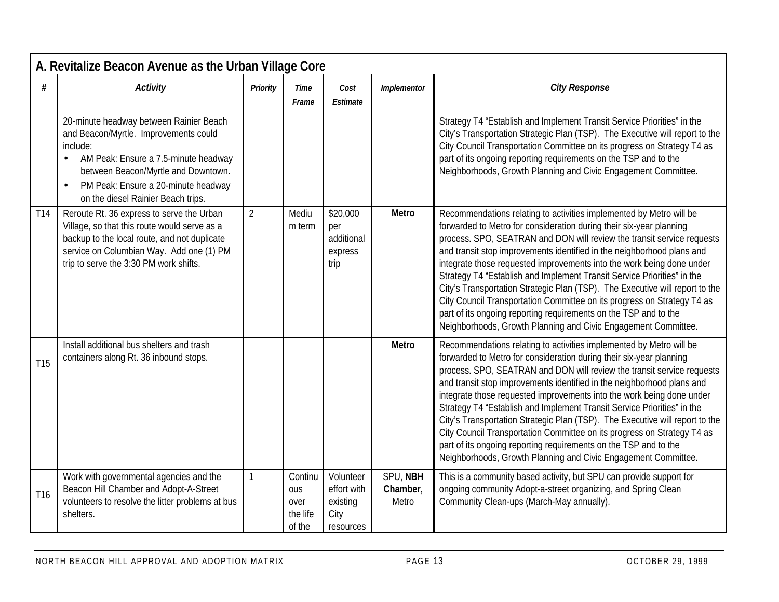|                 | A. Revitalize Beacon Avenue as the Urban Village Core                                                                                                                                                                                                                              |                |                                                     |                                                           |                               |                                                                                                                                                                                                                                                                                                                                                                                                                                                                                                                                                                                                                                                                                                                                                     |  |  |  |  |
|-----------------|------------------------------------------------------------------------------------------------------------------------------------------------------------------------------------------------------------------------------------------------------------------------------------|----------------|-----------------------------------------------------|-----------------------------------------------------------|-------------------------------|-----------------------------------------------------------------------------------------------------------------------------------------------------------------------------------------------------------------------------------------------------------------------------------------------------------------------------------------------------------------------------------------------------------------------------------------------------------------------------------------------------------------------------------------------------------------------------------------------------------------------------------------------------------------------------------------------------------------------------------------------------|--|--|--|--|
| $\#$            | <b>Activity</b>                                                                                                                                                                                                                                                                    | Priority       | Time<br>Frame                                       | Cost<br>Estimate                                          | Implementor                   | <b>City Response</b>                                                                                                                                                                                                                                                                                                                                                                                                                                                                                                                                                                                                                                                                                                                                |  |  |  |  |
|                 | 20-minute headway between Rainier Beach<br>and Beacon/Myrtle. Improvements could<br>include:<br>AM Peak: Ensure a 7.5-minute headway<br>$\bullet$<br>between Beacon/Myrtle and Downtown.<br>PM Peak: Ensure a 20-minute headway<br>$\bullet$<br>on the diesel Rainier Beach trips. |                |                                                     |                                                           |                               | Strategy T4 "Establish and Implement Transit Service Priorities" in the<br>City's Transportation Strategic Plan (TSP). The Executive will report to the<br>City Council Transportation Committee on its progress on Strategy T4 as<br>part of its ongoing reporting requirements on the TSP and to the<br>Neighborhoods, Growth Planning and Civic Engagement Committee.                                                                                                                                                                                                                                                                                                                                                                            |  |  |  |  |
| T <sub>14</sub> | Reroute Rt. 36 express to serve the Urban<br>Village, so that this route would serve as a<br>backup to the local route, and not duplicate<br>service on Columbian Way. Add one (1) PM<br>trip to serve the 3:30 PM work shifts.                                                    | $\overline{2}$ | Mediu<br>m term                                     | \$20,000<br>per<br>additional<br>express<br>trip          | Metro                         | Recommendations relating to activities implemented by Metro will be<br>forwarded to Metro for consideration during their six-year planning<br>process. SPO, SEATRAN and DON will review the transit service requests<br>and transit stop improvements identified in the neighborhood plans and<br>integrate those requested improvements into the work being done under<br>Strategy T4 "Establish and Implement Transit Service Priorities" in the<br>City's Transportation Strategic Plan (TSP). The Executive will report to the<br>City Council Transportation Committee on its progress on Strategy T4 as<br>part of its ongoing reporting requirements on the TSP and to the<br>Neighborhoods, Growth Planning and Civic Engagement Committee. |  |  |  |  |
| T <sub>15</sub> | Install additional bus shelters and trash<br>containers along Rt. 36 inbound stops.                                                                                                                                                                                                |                |                                                     |                                                           | Metro                         | Recommendations relating to activities implemented by Metro will be<br>forwarded to Metro for consideration during their six-year planning<br>process. SPO, SEATRAN and DON will review the transit service requests<br>and transit stop improvements identified in the neighborhood plans and<br>integrate those requested improvements into the work being done under<br>Strategy T4 "Establish and Implement Transit Service Priorities" in the<br>City's Transportation Strategic Plan (TSP). The Executive will report to the<br>City Council Transportation Committee on its progress on Strategy T4 as<br>part of its ongoing reporting requirements on the TSP and to the<br>Neighborhoods, Growth Planning and Civic Engagement Committee. |  |  |  |  |
| T <sub>16</sub> | Work with governmental agencies and the<br>Beacon Hill Chamber and Adopt-A-Street<br>volunteers to resolve the litter problems at bus<br>shelters.                                                                                                                                 | $\mathbf{1}$   | Continu<br><b>OUS</b><br>over<br>the life<br>of the | Volunteer<br>effort with<br>existing<br>City<br>resources | SPU, NBH<br>Chamber,<br>Metro | This is a community based activity, but SPU can provide support for<br>ongoing community Adopt-a-street organizing, and Spring Clean<br>Community Clean-ups (March-May annually).                                                                                                                                                                                                                                                                                                                                                                                                                                                                                                                                                                   |  |  |  |  |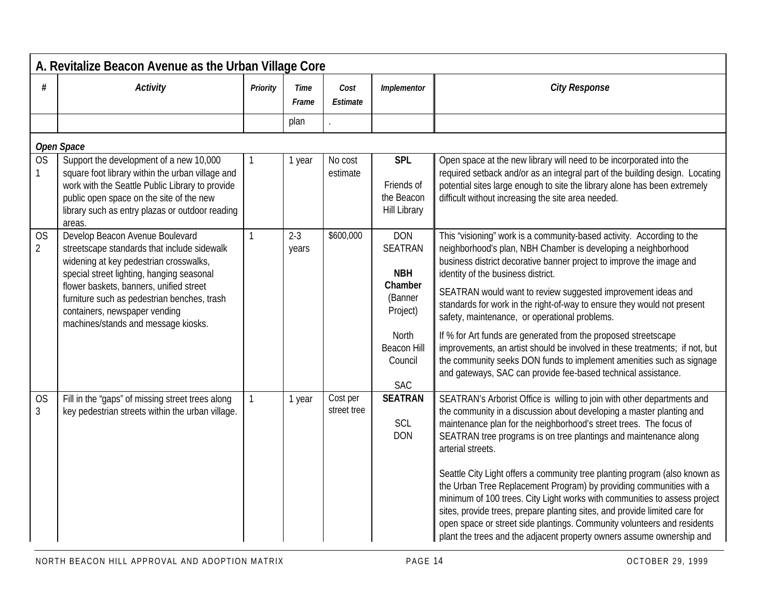|                             | A. Revitalize Beacon Avenue as the Urban Village Core                                                                                                                                                                                                                                                                                   |              |                      |                         |                                                                                                                               |                                                                                                                                                                                                                                                                                                                                                                                                                                                                                                                                                                                                                                                                                                                                                                                    |  |  |  |  |  |
|-----------------------------|-----------------------------------------------------------------------------------------------------------------------------------------------------------------------------------------------------------------------------------------------------------------------------------------------------------------------------------------|--------------|----------------------|-------------------------|-------------------------------------------------------------------------------------------------------------------------------|------------------------------------------------------------------------------------------------------------------------------------------------------------------------------------------------------------------------------------------------------------------------------------------------------------------------------------------------------------------------------------------------------------------------------------------------------------------------------------------------------------------------------------------------------------------------------------------------------------------------------------------------------------------------------------------------------------------------------------------------------------------------------------|--|--|--|--|--|
| #                           | <b>Activity</b>                                                                                                                                                                                                                                                                                                                         | Priority     | <b>Time</b><br>Frame | Cost<br>Estimate        | Implementor                                                                                                                   | <b>City Response</b>                                                                                                                                                                                                                                                                                                                                                                                                                                                                                                                                                                                                                                                                                                                                                               |  |  |  |  |  |
|                             |                                                                                                                                                                                                                                                                                                                                         |              | plan                 |                         |                                                                                                                               |                                                                                                                                                                                                                                                                                                                                                                                                                                                                                                                                                                                                                                                                                                                                                                                    |  |  |  |  |  |
|                             | Open Space                                                                                                                                                                                                                                                                                                                              |              |                      |                         |                                                                                                                               |                                                                                                                                                                                                                                                                                                                                                                                                                                                                                                                                                                                                                                                                                                                                                                                    |  |  |  |  |  |
| <b>OS</b>                   | Support the development of a new 10,000<br>square foot library within the urban village and<br>work with the Seattle Public Library to provide<br>public open space on the site of the new<br>library such as entry plazas or outdoor reading<br>areas.                                                                                 | 1            | 1 year               | No cost<br>estimate     | <b>SPL</b><br>Friends of<br>the Beacon<br><b>Hill Library</b>                                                                 | Open space at the new library will need to be incorporated into the<br>required setback and/or as an integral part of the building design. Locating<br>potential sites large enough to site the library alone has been extremely<br>difficult without increasing the site area needed.                                                                                                                                                                                                                                                                                                                                                                                                                                                                                             |  |  |  |  |  |
| <b>OS</b><br>$\overline{2}$ | Develop Beacon Avenue Boulevard<br>streetscape standards that include sidewalk<br>widening at key pedestrian crosswalks,<br>special street lighting, hanging seasonal<br>flower baskets, banners, unified street<br>furniture such as pedestrian benches, trash<br>containers, newspaper vending<br>machines/stands and message kiosks. | $\mathbf{1}$ | $2 - 3$<br>years     | \$600,000               | <b>DON</b><br><b>SEATRAN</b><br><b>NBH</b><br>Chamber<br>(Banner<br>Project)<br>North<br>Beacon Hill<br>Council<br><b>SAC</b> | This "visioning" work is a community-based activity. According to the<br>neighborhood's plan, NBH Chamber is developing a neighborhood<br>business district decorative banner project to improve the image and<br>identity of the business district.<br>SEATRAN would want to review suggested improvement ideas and<br>standards for work in the right-of-way to ensure they would not present<br>safety, maintenance, or operational problems.<br>If % for Art funds are generated from the proposed streetscape<br>improvements, an artist should be involved in these treatments; if not, but<br>the community seeks DON funds to implement amenities such as signage<br>and gateways, SAC can provide fee-based technical assistance.                                         |  |  |  |  |  |
| <b>OS</b><br>$\mathfrak{Z}$ | Fill in the "gaps" of missing street trees along<br>key pedestrian streets within the urban village.                                                                                                                                                                                                                                    | $\mathbf{1}$ | 1 year               | Cost per<br>street tree | <b>SEATRAN</b><br>SCL<br><b>DON</b>                                                                                           | SEATRAN's Arborist Office is willing to join with other departments and<br>the community in a discussion about developing a master planting and<br>maintenance plan for the neighborhood's street trees. The focus of<br>SEATRAN tree programs is on tree plantings and maintenance along<br>arterial streets.<br>Seattle City Light offers a community tree planting program (also known as<br>the Urban Tree Replacement Program) by providing communities with a<br>minimum of 100 trees. City Light works with communities to assess project<br>sites, provide trees, prepare planting sites, and provide limited care for<br>open space or street side plantings. Community volunteers and residents<br>plant the trees and the adjacent property owners assume ownership and |  |  |  |  |  |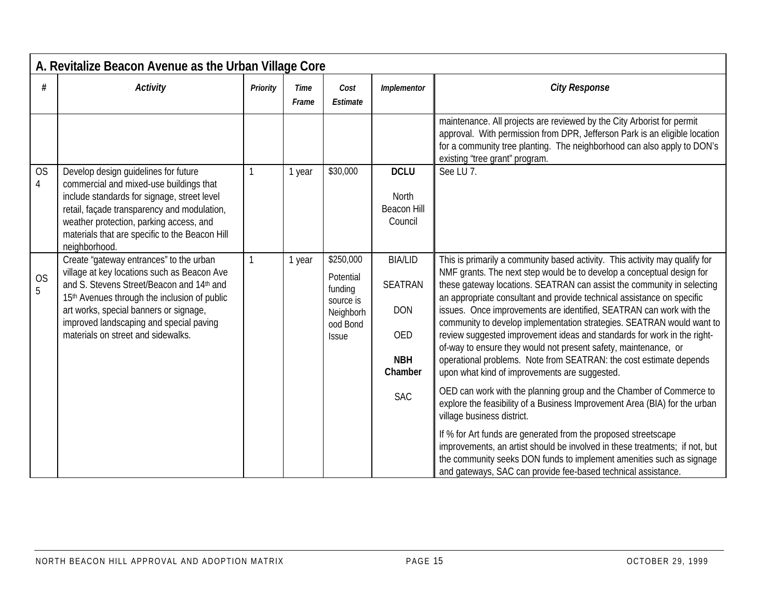|                | A. Revitalize Beacon Avenue as the Urban Village Core                                                                                                                                                                                                                                                          |              |                      |                                                                                         |                                                                                |                                                                                                                                                                                                                                                                                                                                                                                                                                                                                                                                                                                                                                                                                                                               |  |  |  |  |  |
|----------------|----------------------------------------------------------------------------------------------------------------------------------------------------------------------------------------------------------------------------------------------------------------------------------------------------------------|--------------|----------------------|-----------------------------------------------------------------------------------------|--------------------------------------------------------------------------------|-------------------------------------------------------------------------------------------------------------------------------------------------------------------------------------------------------------------------------------------------------------------------------------------------------------------------------------------------------------------------------------------------------------------------------------------------------------------------------------------------------------------------------------------------------------------------------------------------------------------------------------------------------------------------------------------------------------------------------|--|--|--|--|--|
| #              | <b>Activity</b>                                                                                                                                                                                                                                                                                                | Priority     | <b>Time</b><br>Frame | Cost<br>Estimate                                                                        | Implementor                                                                    | <b>City Response</b>                                                                                                                                                                                                                                                                                                                                                                                                                                                                                                                                                                                                                                                                                                          |  |  |  |  |  |
|                |                                                                                                                                                                                                                                                                                                                |              |                      |                                                                                         |                                                                                | maintenance. All projects are reviewed by the City Arborist for permit<br>approval. With permission from DPR, Jefferson Park is an eligible location<br>for a community tree planting. The neighborhood can also apply to DON's<br>existing 'tree grant" program.                                                                                                                                                                                                                                                                                                                                                                                                                                                             |  |  |  |  |  |
| <b>OS</b><br>4 | Develop design guidelines for future<br>commercial and mixed-use buildings that<br>include standards for signage, street level<br>retail, façade transparency and modulation,<br>weather protection, parking access, and<br>materials that are specific to the Beacon Hill<br>neighborhood.                    |              | 1 year               | \$30,000                                                                                | <b>DCLU</b><br>North<br><b>Beacon Hill</b><br>Council                          | See LU <sub>7</sub> .                                                                                                                                                                                                                                                                                                                                                                                                                                                                                                                                                                                                                                                                                                         |  |  |  |  |  |
| <b>OS</b><br>5 | Create "gateway entrances" to the urban<br>village at key locations such as Beacon Ave<br>and S. Stevens Street/Beacon and 14th and<br>15th Avenues through the inclusion of public<br>art works, special banners or signage,<br>improved landscaping and special paving<br>materials on street and sidewalks. | $\mathbf{1}$ | 1 year               | \$250,000<br>Potential<br>funding<br>source is<br>Neighborh<br>ood Bond<br><b>Issue</b> | <b>BIA/LID</b><br><b>SEATRAN</b><br><b>DON</b><br>OED<br><b>NBH</b><br>Chamber | This is primarily a community based activity. This activity may qualify for<br>NMF grants. The next step would be to develop a conceptual design for<br>these gateway locations. SEATRAN can assist the community in selecting<br>an appropriate consultant and provide technical assistance on specific<br>issues. Once improvements are identified, SEATRAN can work with the<br>community to develop implementation strategies. SEATRAN would want to<br>review suggested improvement ideas and standards for work in the right-<br>of-way to ensure they would not present safety, maintenance, or<br>operational problems. Note from SEATRAN: the cost estimate depends<br>upon what kind of improvements are suggested. |  |  |  |  |  |
|                |                                                                                                                                                                                                                                                                                                                |              |                      |                                                                                         | <b>SAC</b>                                                                     | OED can work with the planning group and the Chamber of Commerce to<br>explore the feasibility of a Business Improvement Area (BIA) for the urban<br>village business district.                                                                                                                                                                                                                                                                                                                                                                                                                                                                                                                                               |  |  |  |  |  |
|                |                                                                                                                                                                                                                                                                                                                |              |                      |                                                                                         |                                                                                | If % for Art funds are generated from the proposed streetscape<br>improvements, an artist should be involved in these treatments; if not, but<br>the community seeks DON funds to implement amenities such as signage<br>and gateways, SAC can provide fee-based technical assistance.                                                                                                                                                                                                                                                                                                                                                                                                                                        |  |  |  |  |  |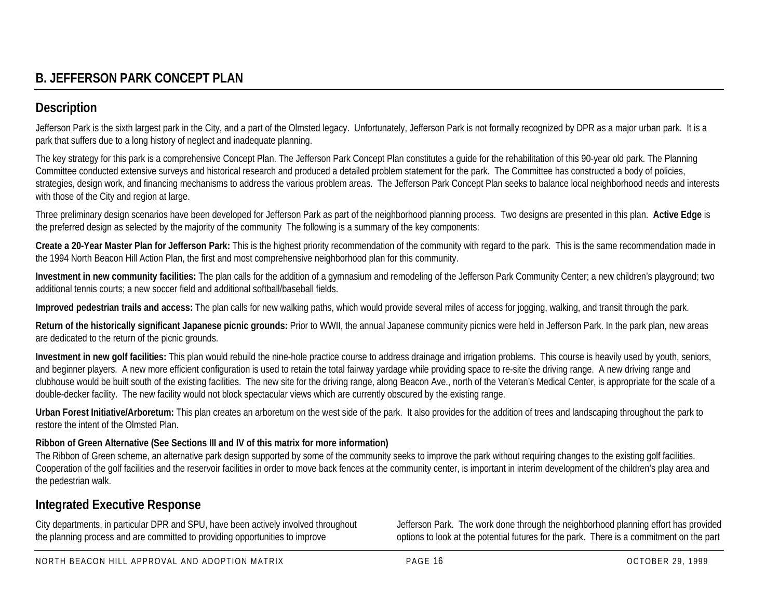# **B. JEFFERSON PARK CONCEPT PLAN**

# **Description**

Jefferson Park is the sixth largest park in the City, and a part of the Olmsted legacy. Unfortunately, Jefferson Park is not formally recognized by DPR as a major urban park. It is a park that suffers due to a long history of neglect and inadequate planning.

The key strategy for this park is a comprehensive Concept Plan. The Jefferson Park Concept Plan constitutes a guide for the rehabilitation of this 90-year old park. The Planning Committee conducted extensive surveys and historical research and produced a detailed problem statement for the park. The Committee has constructed a body of policies, strategies, design work, and financing mechanisms to address the various problem areas. The Jefferson Park Concept Plan seeks to balance local neighborhood needs and interests with those of the City and region at large.

Three preliminary design scenarios have been developed for Jefferson Park as part of the neighborhood planning process. Two designs are presented in this plan. **Active Edge** is the preferred design as selected by the majority of the community The following is a summary of the key components:

**Create a 20-Year Master Plan for Jefferson Park:** This is the highest priority recommendation of the community with regard to the park. This is the same recommendation made in the 1994 North Beacon Hill Action Plan, the first and most comprehensive neighborhood plan for this community.

**Investment in new community facilities:** The plan calls for the addition of a gymnasium and remodeling of the Jefferson Park Community Center; a new children's playground; two additional tennis courts; a new soccer field and additional softball/baseball fields.

**Improved pedestrian trails and access:** The plan calls for new walking paths, which would provide several miles of access for jogging, walking, and transit through the park.

Return of the historically significant Japanese picnic grounds: Prior to WWII, the annual Japanese community picnics were held in Jefferson Park. In the park plan, new areas are dedicated to the return of the picnic grounds.

**Investment in new golf facilities:** This plan would rebuild the nine-hole practice course to address drainage and irrigation problems. This course is heavily used by youth, seniors, and beginner players. A new more efficient configuration is used to retain the total fairway yardage while providing space to re-site the driving range. A new driving range and clubhouse would be built south of the existing facilities. The new site for the driving range, along Beacon Ave., north of the Veteran's Medical Center, is appropriate for the scale of a double-decker facility. The new facility would not block spectacular views which are currently obscured by the existing range.

**Urban Forest Initiative/Arboretum:** This plan creates an arboretum on the west side of the park. It also provides for the addition of trees and landscaping throughout the park to restore the intent of the Olmsted Plan.

#### **Ribbon of Green Alternative (See Sections III and IV of this matrix for more information)**

The Ribbon of Green scheme, an alternative park design supported by some of the community seeks to improve the park without requiring changes to the existing golf facilities. Cooperation of the golf facilities and the reservoir facilities in order to move back fences at the community center, is important in interim development of the children's play area and the pedestrian walk.

## **Integrated Executive Response**

City departments, in particular DPR and SPU, have been actively involved throughout the planning process and are committed to providing opportunities to improve

Jefferson Park. The work done through the neighborhood planning effort has provided options to look at the potential futures for the park. There is a commitment on the part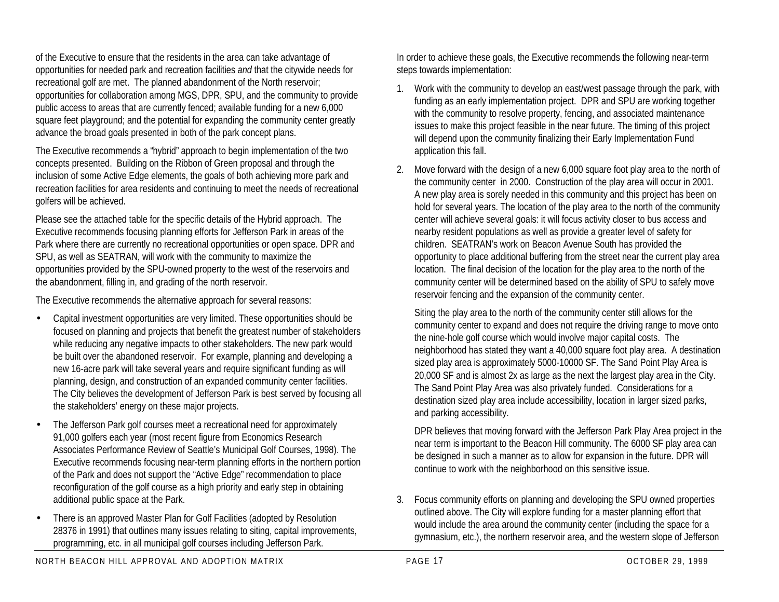of the Executive to ensure that the residents in the area can take advantage of opportunities for needed park and recreation facilities *and* that the citywide needs for recreational golf are met. The planned abandonment of the North reservoir; opportunities for collaboration among MGS, DPR, SPU, and the community to provide public access to areas that are currently fenced; available funding for a new 6,000 square feet playground; and the potential for expanding the community center greatly advance the broad goals presented in both of the park concept plans.

The Executive recommends a "hybrid" approach to begin implementation of the two concepts presented. Building on the Ribbon of Green proposal and through the inclusion of some Active Edge elements, the goals of both achieving more park and recreation facilities for area residents and continuing to meet the needs of recreational golfers will be achieved.

Please see the attached table for the specific details of the Hybrid approach. The Executive recommends focusing planning efforts for Jefferson Park in areas of the Park where there are currently no recreational opportunities or open space. DPR and SPU, as well as SEATRAN, will work with the community to maximize the opportunities provided by the SPU-owned property to the west of the reservoirs and the abandonment, filling in, and grading of the north reservoir.

The Executive recommends the alternative approach for several reasons:

- Capital investment opportunities are very limited. These opportunities should be focused on planning and projects that benefit the greatest number of stakeholders while reducing any negative impacts to other stakeholders. The new park would be built over the abandoned reservoir. For example, planning and developing a new 16-acre park will take several years and require significant funding as will planning, design, and construction of an expanded community center facilities. The City believes the development of Jefferson Park is best served by focusing all the stakeholders' energy on these major projects.
- The Jefferson Park golf courses meet a recreational need for approximately 91,000 golfers each year (most recent figure from Economics Research Associates Performance Review of Seattle's Municipal Golf Courses, 1998). The Executive recommends focusing near-term planning efforts in the northern portion of the Park and does not support the "Active Edge" recommendation to place reconfiguration of the golf course as a high priority and early step in obtaining additional public space at the Park.
- There is an approved Master Plan for Golf Facilities (adopted by Resolution 28376 in 1991) that outlines many issues relating to siting, capital improvements, programming, etc. in all municipal golf courses including Jefferson Park.

In order to achieve these goals, the Executive recommends the following near-term steps towards implementation:

- 1. Work with the community to develop an east/west passage through the park, with funding as an early implementation project. DPR and SPU are working together with the community to resolve property, fencing, and associated maintenance issues to make this project feasible in the near future. The timing of this project will depend upon the community finalizing their Early Implementation Fund application this fall.
- 2. Move forward with the design of a new 6,000 square foot play area to the north of the community center in 2000. Construction of the play area will occur in 2001. A new play area is sorely needed in this community and this project has been on hold for several years. The location of the play area to the north of the community center will achieve several goals: it will focus activity closer to bus access and nearby resident populations as well as provide a greater level of safety for children. SEATRAN's work on Beacon Avenue South has provided the opportunity to place additional buffering from the street near the current play area location. The final decision of the location for the play area to the north of the community center will be determined based on the ability of SPU to safely move reservoir fencing and the expansion of the community center.

Siting the play area to the north of the community center still allows for the community center to expand and does not require the driving range to move onto the nine-hole golf course which would involve major capital costs. The neighborhood has stated they want a 40,000 square foot play area. A destination sized play area is approximately 5000-10000 SF. The Sand Point Play Area is 20,000 SF and is almost 2x as large as the next the largest play area in the City. The Sand Point Play Area was also privately funded. Considerations for a destination sized play area include accessibility, location in larger sized parks, and parking accessibility.

DPR believes that moving forward with the Jefferson Park Play Area project in the near term is important to the Beacon Hill community. The 6000 SF play area can be designed in such a manner as to allow for expansion in the future. DPR will continue to work with the neighborhood on this sensitive issue.

3. Focus community efforts on planning and developing the SPU owned properties outlined above. The City will explore funding for a master planning effort that would include the area around the community center (including the space for a gymnasium, etc.), the northern reservoir area, and the western slope of Jefferson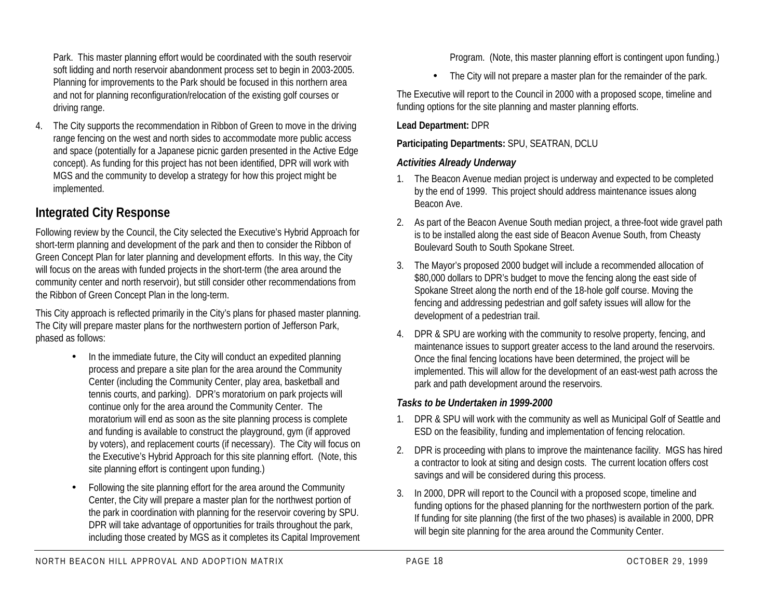Park. This master planning effort would be coordinated with the south reservoir soft lidding and north reservoir abandonment process set to begin in 2003-2005. Planning for improvements to the Park should be focused in this northern area and not for planning reconfiguration/relocation of the existing golf courses or driving range.

4. The City supports the recommendation in Ribbon of Green to move in the driving range fencing on the west and north sides to accommodate more public access and space (potentially for a Japanese picnic garden presented in the Active Edge concept). As funding for this project has not been identified, DPR will work with MGS and the community to develop a strategy for how this project might be implemented.

# **Integrated City Response**

Following review by the Council, the City selected the Executive's Hybrid Approach for short-term planning and development of the park and then to consider the Ribbon of Green Concept Plan for later planning and development efforts. In this way, the City will focus on the areas with funded projects in the short-term (the area around the community center and north reservoir), but still consider other recommendations from the Ribbon of Green Concept Plan in the long-term.

This City approach is reflected primarily in the City's plans for phased master planning. The City will prepare master plans for the northwestern portion of Jefferson Park, phased as follows:

- In the immediate future, the City will conduct an expedited planning process and prepare a site plan for the area around the Community Center (including the Community Center, play area, basketball and tennis courts, and parking). DPR's moratorium on park projects will continue only for the area around the Community Center. The moratorium will end as soon as the site planning process is complete and funding is available to construct the playground, gym (if approved by voters), and replacement courts (if necessary). The City will focus on the Executive's Hybrid Approach for this site planning effort. (Note, this site planning effort is contingent upon funding.)
- Following the site planning effort for the area around the Community Center, the City will prepare a master plan for the northwest portion of the park in coordination with planning for the reservoir covering by SPU. DPR will take advantage of opportunities for trails throughout the park, including those created by MGS as it completes its Capital Improvement

Program. (Note, this master planning effort is contingent upon funding.)

• The City will not prepare a master plan for the remainder of the park.

The Executive will report to the Council in 2000 with a proposed scope, timeline and funding options for the site planning and master planning efforts.

#### **Lead Department:** DPR

#### **Participating Departments:** SPU, SEATRAN, DCLU

#### *Activities Already Underway*

- 1. The Beacon Avenue median project is underway and expected to be completed by the end of 1999. This project should address maintenance issues along Beacon Ave.
- 2. As part of the Beacon Avenue South median project, a three-foot wide gravel path is to be installed along the east side of Beacon Avenue South, from Cheasty Boulevard South to South Spokane Street.
- 3. The Mayor's proposed 2000 budget will include a recommended allocation of \$80,000 dollars to DPR's budget to move the fencing along the east side of Spokane Street along the north end of the 18-hole golf course. Moving the fencing and addressing pedestrian and golf safety issues will allow for the development of a pedestrian trail.
- 4. DPR & SPU are working with the community to resolve property, fencing, and maintenance issues to support greater access to the land around the reservoirs. Once the final fencing locations have been determined, the project will be implemented. This will allow for the development of an east-west path across the park and path development around the reservoirs.

#### *Tasks to be Undertaken in 1999-2000*

- 1. DPR & SPU will work with the community as well as Municipal Golf of Seattle and ESD on the feasibility, funding and implementation of fencing relocation.
- 2. DPR is proceeding with plans to improve the maintenance facility. MGS has hired a contractor to look at siting and design costs. The current location offers cost savings and will be considered during this process.
- 3. In 2000, DPR will report to the Council with a proposed scope, timeline and funding options for the phased planning for the northwestern portion of the park. If funding for site planning (the first of the two phases) is available in 2000, DPR will begin site planning for the area around the Community Center.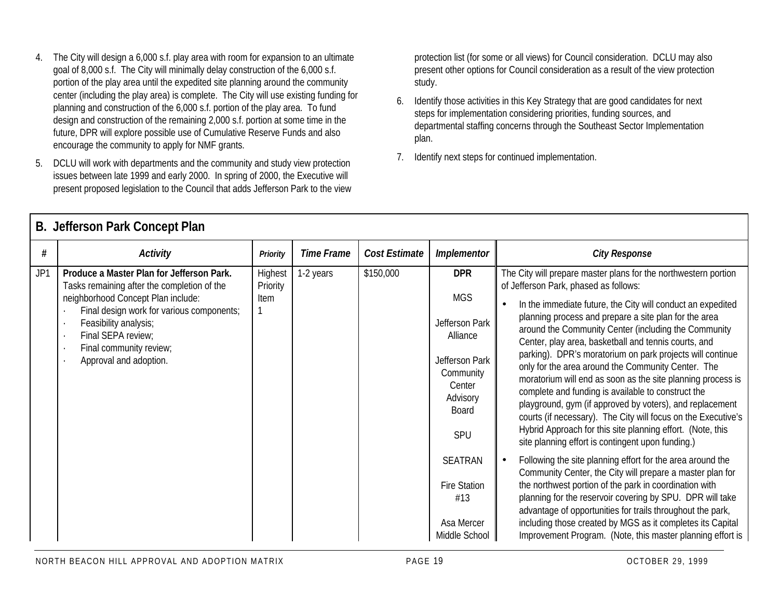- 4. The City will design a 6,000 s.f. play area with room for expansion to an ultimate goal of 8,000 s.f. The City will minimally delay construction of the 6,000 s.f. portion of the play area until the expedited site planning around the community center (including the play area) is complete. The City will use existing funding for planning and construction of the 6,000 s.f. portion of the play area. To fund design and construction of the remaining 2,000 s.f. portion at some time in the future, DPR will explore possible use of Cumulative Reserve Funds and also encourage the community to apply for NMF grants.
- 5. DCLU will work with departments and the community and study view protection issues between late 1999 and early 2000. In spring of 2000, the Executive will present proposed legislation to the Council that adds Jefferson Park to the view

protection list (for some or all views) for Council consideration. DCLU may also present other options for Council consideration as a result of the view protection study.

- 6. Identify those activities in this Key Strategy that are good candidates for next steps for implementation considering priorities, funding sources, and departmental staffing concerns through the Southeast Sector Implementation plan.
- 7. Identify next steps for continued implementation.

|     | D. JUIU SUILLAIN VUILUUI LIAII                                                           |                     |                   |               |                                                                   |                                                                                                                                                                                                                                                                                                                                                                   |  |  |  |  |  |  |
|-----|------------------------------------------------------------------------------------------|---------------------|-------------------|---------------|-------------------------------------------------------------------|-------------------------------------------------------------------------------------------------------------------------------------------------------------------------------------------------------------------------------------------------------------------------------------------------------------------------------------------------------------------|--|--|--|--|--|--|
| #   | <b>Activity</b>                                                                          | Priority            | <b>Time Frame</b> | Cost Estimate | Implementor                                                       | <b>City Response</b>                                                                                                                                                                                                                                                                                                                                              |  |  |  |  |  |  |
| JP1 | Produce a Master Plan for Jefferson Park.<br>Tasks remaining after the completion of the | Highest<br>Priority | 1-2 years         | \$150,000     | <b>DPR</b>                                                        | The City will prepare master plans for the northwestern portion<br>of Jefferson Park, phased as follows:                                                                                                                                                                                                                                                          |  |  |  |  |  |  |
|     | neighborhood Concept Plan include:<br>Final design work for various components;          | Item                |                   |               | <b>MGS</b>                                                        | In the immediate future, the City will conduct an expedited                                                                                                                                                                                                                                                                                                       |  |  |  |  |  |  |
|     | Feasibility analysis;<br>Final SEPA review;<br>Final community review;                   |                     |                   |               | Jefferson Park<br>Alliance                                        | planning process and prepare a site plan for the area<br>around the Community Center (including the Community<br>Center, play area, basketball and tennis courts, and                                                                                                                                                                                             |  |  |  |  |  |  |
|     | Approval and adoption.                                                                   |                     |                   |               | Jefferson Park<br>Community<br>Center<br>Advisory<br><b>Board</b> | parking). DPR's moratorium on park projects will continue<br>only for the area around the Community Center. The<br>moratorium will end as soon as the site planning process is<br>complete and funding is available to construct the<br>playground, gym (if approved by voters), and replacement<br>courts (if necessary). The City will focus on the Executive's |  |  |  |  |  |  |
|     |                                                                                          |                     |                   |               | SPU                                                               | Hybrid Approach for this site planning effort. (Note, this<br>site planning effort is contingent upon funding.)                                                                                                                                                                                                                                                   |  |  |  |  |  |  |
|     |                                                                                          |                     |                   |               | <b>SEATRAN</b>                                                    | Following the site planning effort for the area around the<br>Community Center, the City will prepare a master plan for                                                                                                                                                                                                                                           |  |  |  |  |  |  |
|     |                                                                                          |                     |                   |               | <b>Fire Station</b><br>#13                                        | the northwest portion of the park in coordination with<br>planning for the reservoir covering by SPU. DPR will take<br>advantage of opportunities for trails throughout the park,                                                                                                                                                                                 |  |  |  |  |  |  |
|     |                                                                                          |                     |                   |               | Asa Mercer<br>Middle School                                       | including those created by MGS as it completes its Capital<br>Improvement Program. (Note, this master planning effort is                                                                                                                                                                                                                                          |  |  |  |  |  |  |

## **B. Jefferson Park Concept Plan**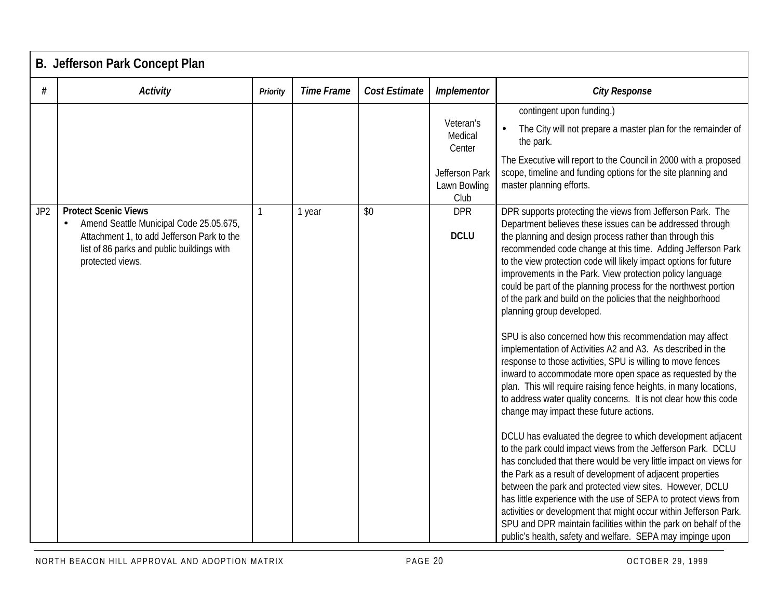|                 | <b>B. Jefferson Park Concept Plan</b>                                                                                                                                                               |                 |                   |               |                                                                          |                                                                                                                                                                                                                                                                                                                                                                                                                                                                                                                                                                                                                                                                                                                                                                                                                                                                                                                                                                                                                                                                                                                                                                                                                                                                                                                                                                                                                                                                                                                                                                                                         |  |  |  |
|-----------------|-----------------------------------------------------------------------------------------------------------------------------------------------------------------------------------------------------|-----------------|-------------------|---------------|--------------------------------------------------------------------------|---------------------------------------------------------------------------------------------------------------------------------------------------------------------------------------------------------------------------------------------------------------------------------------------------------------------------------------------------------------------------------------------------------------------------------------------------------------------------------------------------------------------------------------------------------------------------------------------------------------------------------------------------------------------------------------------------------------------------------------------------------------------------------------------------------------------------------------------------------------------------------------------------------------------------------------------------------------------------------------------------------------------------------------------------------------------------------------------------------------------------------------------------------------------------------------------------------------------------------------------------------------------------------------------------------------------------------------------------------------------------------------------------------------------------------------------------------------------------------------------------------------------------------------------------------------------------------------------------------|--|--|--|
| #               | <b>Activity</b>                                                                                                                                                                                     | <b>Priority</b> | <b>Time Frame</b> | Cost Estimate | Implementor                                                              | <b>City Response</b>                                                                                                                                                                                                                                                                                                                                                                                                                                                                                                                                                                                                                                                                                                                                                                                                                                                                                                                                                                                                                                                                                                                                                                                                                                                                                                                                                                                                                                                                                                                                                                                    |  |  |  |
|                 |                                                                                                                                                                                                     |                 |                   |               | Veteran's<br>Medical<br>Center<br>Jefferson Park<br>Lawn Bowling<br>Club | contingent upon funding.)<br>The City will not prepare a master plan for the remainder of<br>the park.<br>The Executive will report to the Council in 2000 with a proposed<br>scope, timeline and funding options for the site planning and<br>master planning efforts.                                                                                                                                                                                                                                                                                                                                                                                                                                                                                                                                                                                                                                                                                                                                                                                                                                                                                                                                                                                                                                                                                                                                                                                                                                                                                                                                 |  |  |  |
| JP <sub>2</sub> | <b>Protect Scenic Views</b><br>Amend Seattle Municipal Code 25.05.675,<br>$\bullet$<br>Attachment 1, to add Jefferson Park to the<br>list of 86 parks and public buildings with<br>protected views. | 1               | 1 year            | \$0           | <b>DPR</b><br><b>DCLU</b>                                                | DPR supports protecting the views from Jefferson Park. The<br>Department believes these issues can be addressed through<br>the planning and design process rather than through this<br>recommended code change at this time. Adding Jefferson Park<br>to the view protection code will likely impact options for future<br>improvements in the Park. View protection policy language<br>could be part of the planning process for the northwest portion<br>of the park and build on the policies that the neighborhood<br>planning group developed.<br>SPU is also concerned how this recommendation may affect<br>implementation of Activities A2 and A3. As described in the<br>response to those activities, SPU is willing to move fences<br>inward to accommodate more open space as requested by the<br>plan. This will require raising fence heights, in many locations,<br>to address water quality concerns. It is not clear how this code<br>change may impact these future actions.<br>DCLU has evaluated the degree to which development adjacent<br>to the park could impact views from the Jefferson Park. DCLU<br>has concluded that there would be very little impact on views for<br>the Park as a result of development of adjacent properties<br>between the park and protected view sites. However, DCLU<br>has little experience with the use of SEPA to protect views from<br>activities or development that might occur within Jefferson Park.<br>SPU and DPR maintain facilities within the park on behalf of the<br>public's health, safety and welfare. SEPA may impinge upon |  |  |  |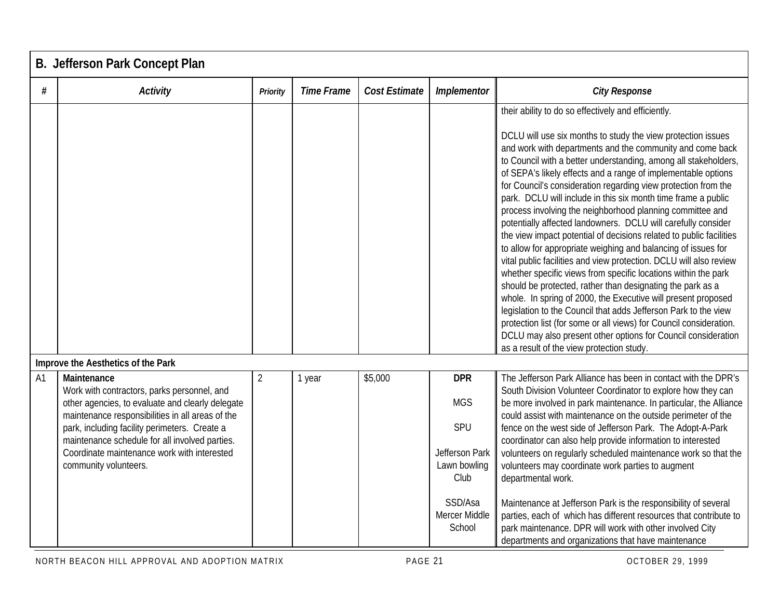|                | B. Jefferson Park Concept Plan                                                                                                                                                                                                                                                                                                                |                |                   |               |                                                                                                                 |                                                                                                                                                                                                                                                                                                                                                                                                                                                                                                                                                                                                                                                                                                                                                                                                                                                                                                                                                                                                                                                                                                                                                                                                                                                             |  |  |  |  |
|----------------|-----------------------------------------------------------------------------------------------------------------------------------------------------------------------------------------------------------------------------------------------------------------------------------------------------------------------------------------------|----------------|-------------------|---------------|-----------------------------------------------------------------------------------------------------------------|-------------------------------------------------------------------------------------------------------------------------------------------------------------------------------------------------------------------------------------------------------------------------------------------------------------------------------------------------------------------------------------------------------------------------------------------------------------------------------------------------------------------------------------------------------------------------------------------------------------------------------------------------------------------------------------------------------------------------------------------------------------------------------------------------------------------------------------------------------------------------------------------------------------------------------------------------------------------------------------------------------------------------------------------------------------------------------------------------------------------------------------------------------------------------------------------------------------------------------------------------------------|--|--|--|--|
| #              | Activity                                                                                                                                                                                                                                                                                                                                      | Priority       | <b>Time Frame</b> | Cost Estimate | Implementor                                                                                                     | <b>City Response</b>                                                                                                                                                                                                                                                                                                                                                                                                                                                                                                                                                                                                                                                                                                                                                                                                                                                                                                                                                                                                                                                                                                                                                                                                                                        |  |  |  |  |
|                |                                                                                                                                                                                                                                                                                                                                               |                |                   |               |                                                                                                                 | their ability to do so effectively and efficiently.<br>DCLU will use six months to study the view protection issues<br>and work with departments and the community and come back<br>to Council with a better understanding, among all stakeholders,<br>of SEPA's likely effects and a range of implementable options<br>for Council's consideration regarding view protection from the<br>park. DCLU will include in this six month time frame a public<br>process involving the neighborhood planning committee and<br>potentially affected landowners. DCLU will carefully consider<br>the view impact potential of decisions related to public facilities<br>to allow for appropriate weighing and balancing of issues for<br>vital public facilities and view protection. DCLU will also review<br>whether specific views from specific locations within the park<br>should be protected, rather than designating the park as a<br>whole. In spring of 2000, the Executive will present proposed<br>legislation to the Council that adds Jefferson Park to the view<br>protection list (for some or all views) for Council consideration.<br>DCLU may also present other options for Council consideration<br>as a result of the view protection study. |  |  |  |  |
|                | Improve the Aesthetics of the Park                                                                                                                                                                                                                                                                                                            |                |                   |               |                                                                                                                 |                                                                                                                                                                                                                                                                                                                                                                                                                                                                                                                                                                                                                                                                                                                                                                                                                                                                                                                                                                                                                                                                                                                                                                                                                                                             |  |  |  |  |
| A <sub>1</sub> | Maintenance<br>Work with contractors, parks personnel, and<br>other agencies, to evaluate and clearly delegate<br>maintenance responsibilities in all areas of the<br>park, including facility perimeters. Create a<br>maintenance schedule for all involved parties.<br>Coordinate maintenance work with interested<br>community volunteers. | $\overline{2}$ | 1 year            | \$5,000       | <b>DPR</b><br><b>MGS</b><br>SPU<br>Jefferson Park<br>Lawn bowling<br>Club<br>SSD/Asa<br>Mercer Middle<br>School | The Jefferson Park Alliance has been in contact with the DPR's<br>South Division Volunteer Coordinator to explore how they can<br>be more involved in park maintenance. In particular, the Alliance<br>could assist with maintenance on the outside perimeter of the<br>fence on the west side of Jefferson Park. The Adopt-A-Park<br>coordinator can also help provide information to interested<br>volunteers on regularly scheduled maintenance work so that the<br>volunteers may coordinate work parties to augment<br>departmental work.<br>Maintenance at Jefferson Park is the responsibility of several<br>parties, each of which has different resources that contribute to<br>park maintenance. DPR will work with other involved City<br>departments and organizations that have maintenance                                                                                                                                                                                                                                                                                                                                                                                                                                                    |  |  |  |  |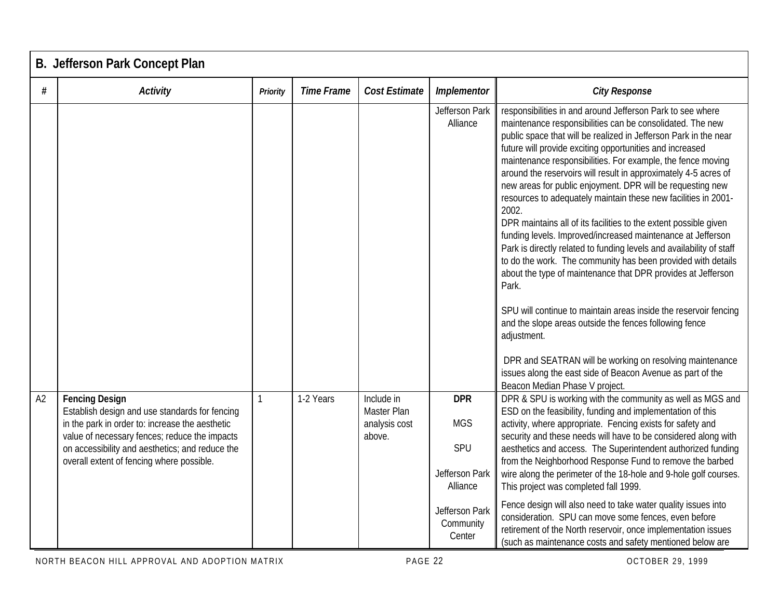|    | B. Jefferson Park Concept Plan                                                                                                                                                                                                                                              |              |                   |                                                      |                                                                                                        |                                                                                                                                                                                                                                                                                                                                                                                                                                                                                                                                                                                                                                                                                                                                                                                                                                                                                                                                                                                                                                                                                                                                                                                                 |  |  |  |  |
|----|-----------------------------------------------------------------------------------------------------------------------------------------------------------------------------------------------------------------------------------------------------------------------------|--------------|-------------------|------------------------------------------------------|--------------------------------------------------------------------------------------------------------|-------------------------------------------------------------------------------------------------------------------------------------------------------------------------------------------------------------------------------------------------------------------------------------------------------------------------------------------------------------------------------------------------------------------------------------------------------------------------------------------------------------------------------------------------------------------------------------------------------------------------------------------------------------------------------------------------------------------------------------------------------------------------------------------------------------------------------------------------------------------------------------------------------------------------------------------------------------------------------------------------------------------------------------------------------------------------------------------------------------------------------------------------------------------------------------------------|--|--|--|--|
| #  | <b>Activity</b>                                                                                                                                                                                                                                                             | Priority     | <b>Time Frame</b> | <b>Cost Estimate</b>                                 | Implementor                                                                                            | <b>City Response</b>                                                                                                                                                                                                                                                                                                                                                                                                                                                                                                                                                                                                                                                                                                                                                                                                                                                                                                                                                                                                                                                                                                                                                                            |  |  |  |  |
|    |                                                                                                                                                                                                                                                                             |              |                   |                                                      | Jefferson Park<br>Alliance                                                                             | responsibilities in and around Jefferson Park to see where<br>maintenance responsibilities can be consolidated. The new<br>public space that will be realized in Jefferson Park in the near<br>future will provide exciting opportunities and increased<br>maintenance responsibilities. For example, the fence moving<br>around the reservoirs will result in approximately 4-5 acres of<br>new areas for public enjoyment. DPR will be requesting new<br>resources to adequately maintain these new facilities in 2001-<br>2002.<br>DPR maintains all of its facilities to the extent possible given<br>funding levels. Improved/increased maintenance at Jefferson<br>Park is directly related to funding levels and availability of staff<br>to do the work. The community has been provided with details<br>about the type of maintenance that DPR provides at Jefferson<br>Park.<br>SPU will continue to maintain areas inside the reservoir fencing<br>and the slope areas outside the fences following fence<br>adjustment.<br>DPR and SEATRAN will be working on resolving maintenance<br>issues along the east side of Beacon Avenue as part of the<br>Beacon Median Phase V project. |  |  |  |  |
| A2 | <b>Fencing Design</b><br>Establish design and use standards for fencing<br>in the park in order to: increase the aesthetic<br>value of necessary fences; reduce the impacts<br>on accessibility and aesthetics; and reduce the<br>overall extent of fencing where possible. | $\mathbf{1}$ | 1-2 Years         | Include in<br>Master Plan<br>analysis cost<br>above. | <b>DPR</b><br><b>MGS</b><br>SPU<br>Jefferson Park<br>Alliance<br>Jefferson Park<br>Community<br>Center | DPR & SPU is working with the community as well as MGS and<br>ESD on the feasibility, funding and implementation of this<br>activity, where appropriate. Fencing exists for safety and<br>security and these needs will have to be considered along with<br>aesthetics and access. The Superintendent authorized funding<br>from the Neighborhood Response Fund to remove the barbed<br>wire along the perimeter of the 18-hole and 9-hole golf courses.<br>This project was completed fall 1999.<br>Fence design will also need to take water quality issues into<br>consideration. SPU can move some fences, even before<br>retirement of the North reservoir, once implementation issues<br>(such as maintenance costs and safety mentioned below are                                                                                                                                                                                                                                                                                                                                                                                                                                        |  |  |  |  |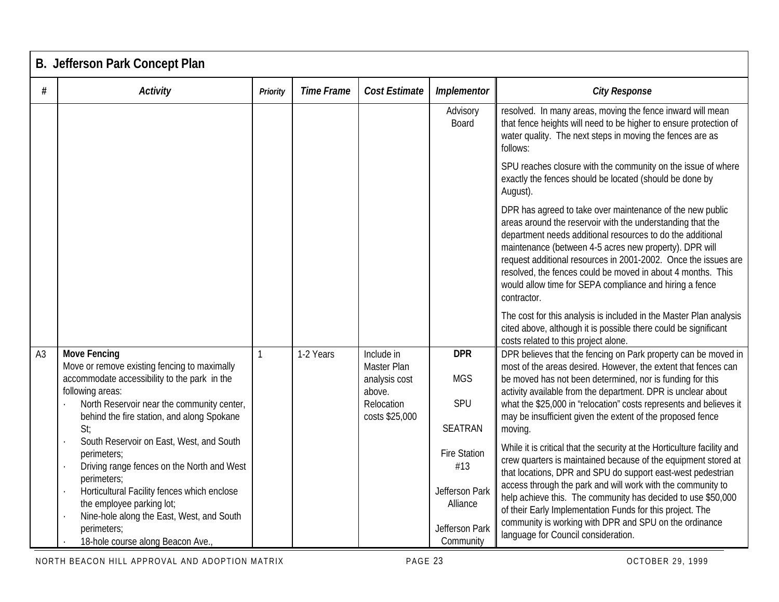|                | <b>B. Jefferson Park Concept Plan</b>                                                                                                                                                                                                                                                             |          |                   |                                                                                      |                                                                                         |                                                                                                                                                                                                                                                                                                                                                                                                                                                                                                       |  |  |  |  |
|----------------|---------------------------------------------------------------------------------------------------------------------------------------------------------------------------------------------------------------------------------------------------------------------------------------------------|----------|-------------------|--------------------------------------------------------------------------------------|-----------------------------------------------------------------------------------------|-------------------------------------------------------------------------------------------------------------------------------------------------------------------------------------------------------------------------------------------------------------------------------------------------------------------------------------------------------------------------------------------------------------------------------------------------------------------------------------------------------|--|--|--|--|
| #              | Activity                                                                                                                                                                                                                                                                                          | Priority | <b>Time Frame</b> | <b>Cost Estimate</b>                                                                 | Implementor                                                                             | <b>City Response</b>                                                                                                                                                                                                                                                                                                                                                                                                                                                                                  |  |  |  |  |
|                |                                                                                                                                                                                                                                                                                                   |          |                   |                                                                                      | Advisory<br>Board                                                                       | resolved. In many areas, moving the fence inward will mean<br>that fence heights will need to be higher to ensure protection of<br>water quality. The next steps in moving the fences are as<br>follows:                                                                                                                                                                                                                                                                                              |  |  |  |  |
|                |                                                                                                                                                                                                                                                                                                   |          |                   |                                                                                      |                                                                                         | SPU reaches closure with the community on the issue of where<br>exactly the fences should be located (should be done by<br>August).                                                                                                                                                                                                                                                                                                                                                                   |  |  |  |  |
|                |                                                                                                                                                                                                                                                                                                   |          |                   |                                                                                      |                                                                                         | DPR has agreed to take over maintenance of the new public<br>areas around the reservoir with the understanding that the<br>department needs additional resources to do the additional<br>maintenance (between 4-5 acres new property). DPR will<br>request additional resources in 2001-2002. Once the issues are<br>resolved, the fences could be moved in about 4 months. This<br>would allow time for SEPA compliance and hiring a fence<br>contractor.                                            |  |  |  |  |
|                |                                                                                                                                                                                                                                                                                                   |          |                   |                                                                                      |                                                                                         | The cost for this analysis is included in the Master Plan analysis<br>cited above, although it is possible there could be significant<br>costs related to this project alone.                                                                                                                                                                                                                                                                                                                         |  |  |  |  |
| A <sub>3</sub> | <b>Move Fencing</b><br>Move or remove existing fencing to maximally<br>accommodate accessibility to the park in the<br>following areas:<br>North Reservoir near the community center,<br>behind the fire station, and along Spokane<br>St:                                                        |          | 1-2 Years         | Include in<br>Master Plan<br>analysis cost<br>above.<br>Relocation<br>costs \$25,000 | <b>DPR</b><br><b>MGS</b><br>SPU<br><b>SEATRAN</b>                                       | DPR believes that the fencing on Park property can be moved in<br>most of the areas desired. However, the extent that fences can<br>be moved has not been determined, nor is funding for this<br>activity available from the department. DPR is unclear about<br>what the \$25,000 in 'relocation" costs represents and believes it<br>may be insufficient given the extent of the proposed fence<br>moving.                                                                                          |  |  |  |  |
|                | South Reservoir on East, West, and South<br>perimeters;<br>Driving range fences on the North and West<br>perimeters;<br>Horticultural Facility fences which enclose<br>the employee parking lot;<br>Nine-hole along the East, West, and South<br>perimeters;<br>18-hole course along Beacon Ave., |          |                   |                                                                                      | <b>Fire Station</b><br>#13<br>Jefferson Park<br>Alliance<br>Jefferson Park<br>Community | While it is critical that the security at the Horticulture facility and<br>crew quarters is maintained because of the equipment stored at<br>that locations, DPR and SPU do support east-west pedestrian<br>access through the park and will work with the community to<br>help achieve this. The community has decided to use \$50,000<br>of their Early Implementation Funds for this project. The<br>community is working with DPR and SPU on the ordinance<br>language for Council consideration. |  |  |  |  |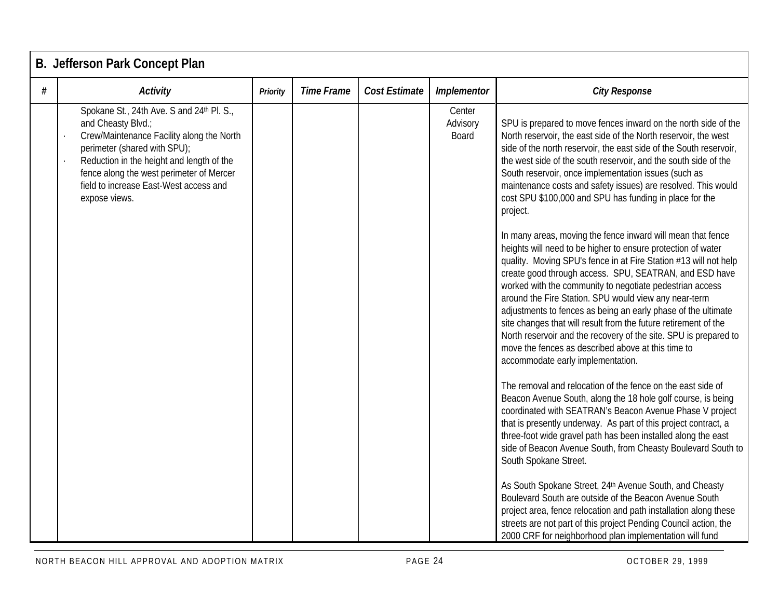|   | B. Jefferson Park Concept Plan                                                                                                                                                                                                                                                                   |                 |                   |                      |                             |                                                                                                                                                                                                                                                                                                                                                                                                                                                                                                                                                                                                                                                                                                                                                                                                                                                                                                                                                                                                                                                                                                                                                                                                                                                                                                                                                                                                                                                                                                                                                                                                                                                                                                                                                                                  |  |  |  |  |
|---|--------------------------------------------------------------------------------------------------------------------------------------------------------------------------------------------------------------------------------------------------------------------------------------------------|-----------------|-------------------|----------------------|-----------------------------|----------------------------------------------------------------------------------------------------------------------------------------------------------------------------------------------------------------------------------------------------------------------------------------------------------------------------------------------------------------------------------------------------------------------------------------------------------------------------------------------------------------------------------------------------------------------------------------------------------------------------------------------------------------------------------------------------------------------------------------------------------------------------------------------------------------------------------------------------------------------------------------------------------------------------------------------------------------------------------------------------------------------------------------------------------------------------------------------------------------------------------------------------------------------------------------------------------------------------------------------------------------------------------------------------------------------------------------------------------------------------------------------------------------------------------------------------------------------------------------------------------------------------------------------------------------------------------------------------------------------------------------------------------------------------------------------------------------------------------------------------------------------------------|--|--|--|--|
| # | <b>Activity</b>                                                                                                                                                                                                                                                                                  | <b>Priority</b> | <b>Time Frame</b> | <b>Cost Estimate</b> | Implementor                 | <b>City Response</b>                                                                                                                                                                                                                                                                                                                                                                                                                                                                                                                                                                                                                                                                                                                                                                                                                                                                                                                                                                                                                                                                                                                                                                                                                                                                                                                                                                                                                                                                                                                                                                                                                                                                                                                                                             |  |  |  |  |
|   | Spokane St., 24th Ave. S and 24th Pl. S.,<br>and Cheasty Blvd.;<br>Crew/Maintenance Facility along the North<br>perimeter (shared with SPU);<br>Reduction in the height and length of the<br>fence along the west perimeter of Mercer<br>field to increase East-West access and<br>expose views. |                 |                   |                      | Center<br>Advisory<br>Board | SPU is prepared to move fences inward on the north side of the<br>North reservoir, the east side of the North reservoir, the west<br>side of the north reservoir, the east side of the South reservoir,<br>the west side of the south reservoir, and the south side of the<br>South reservoir, once implementation issues (such as<br>maintenance costs and safety issues) are resolved. This would<br>cost SPU \$100,000 and SPU has funding in place for the<br>project.<br>In many areas, moving the fence inward will mean that fence<br>heights will need to be higher to ensure protection of water<br>quality. Moving SPU's fence in at Fire Station #13 will not help<br>create good through access. SPU, SEATRAN, and ESD have<br>worked with the community to negotiate pedestrian access<br>around the Fire Station. SPU would view any near-term<br>adjustments to fences as being an early phase of the ultimate<br>site changes that will result from the future retirement of the<br>North reservoir and the recovery of the site. SPU is prepared to<br>move the fences as described above at this time to<br>accommodate early implementation.<br>The removal and relocation of the fence on the east side of<br>Beacon Avenue South, along the 18 hole golf course, is being<br>coordinated with SEATRAN's Beacon Avenue Phase V project<br>that is presently underway. As part of this project contract, a<br>three-foot wide gravel path has been installed along the east<br>side of Beacon Avenue South, from Cheasty Boulevard South to<br>South Spokane Street.<br>As South Spokane Street, 24th Avenue South, and Cheasty<br>Boulevard South are outside of the Beacon Avenue South<br>project area, fence relocation and path installation along these |  |  |  |  |
|   |                                                                                                                                                                                                                                                                                                  |                 |                   |                      |                             | streets are not part of this project Pending Council action, the<br>2000 CRF for neighborhood plan implementation will fund                                                                                                                                                                                                                                                                                                                                                                                                                                                                                                                                                                                                                                                                                                                                                                                                                                                                                                                                                                                                                                                                                                                                                                                                                                                                                                                                                                                                                                                                                                                                                                                                                                                      |  |  |  |  |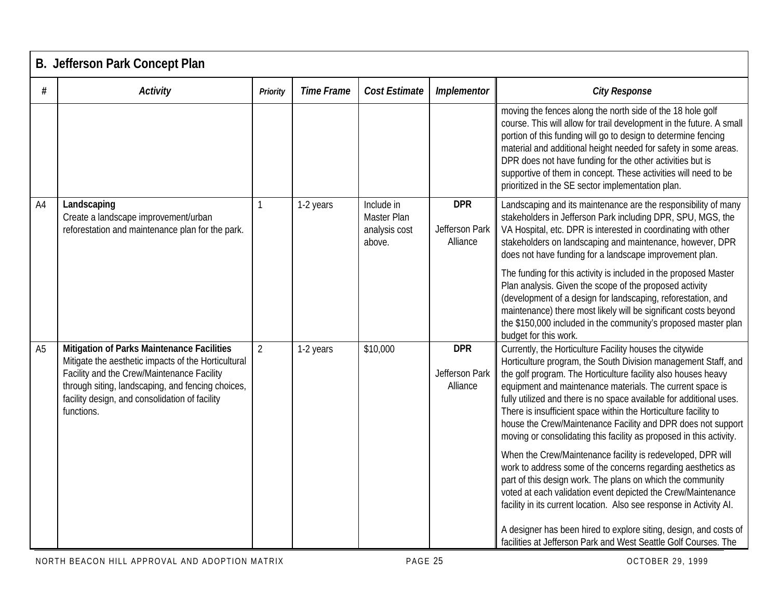|                | <b>B. Jefferson Park Concept Plan</b>                                                                                                                                                                                                                                |                |                   |                                                      |                                          |                                                                                                                                                                                                                                                                                                                                                                                                                                                                                                                                                                                           |  |  |  |  |
|----------------|----------------------------------------------------------------------------------------------------------------------------------------------------------------------------------------------------------------------------------------------------------------------|----------------|-------------------|------------------------------------------------------|------------------------------------------|-------------------------------------------------------------------------------------------------------------------------------------------------------------------------------------------------------------------------------------------------------------------------------------------------------------------------------------------------------------------------------------------------------------------------------------------------------------------------------------------------------------------------------------------------------------------------------------------|--|--|--|--|
| #              | <b>Activity</b>                                                                                                                                                                                                                                                      | Priority       | <b>Time Frame</b> | Cost Estimate                                        | Implementor                              | <b>City Response</b>                                                                                                                                                                                                                                                                                                                                                                                                                                                                                                                                                                      |  |  |  |  |
|                |                                                                                                                                                                                                                                                                      |                |                   |                                                      |                                          | moving the fences along the north side of the 18 hole golf<br>course. This will allow for trail development in the future. A small<br>portion of this funding will go to design to determine fencing<br>material and additional height needed for safety in some areas.<br>DPR does not have funding for the other activities but is<br>supportive of them in concept. These activities will need to be<br>prioritized in the SE sector implementation plan.                                                                                                                              |  |  |  |  |
| A4             | Landscaping<br>Create a landscape improvement/urban<br>reforestation and maintenance plan for the park.                                                                                                                                                              |                | 1-2 years         | Include in<br>Master Plan<br>analysis cost<br>above. | <b>DPR</b><br>Jefferson Park<br>Alliance | Landscaping and its maintenance are the responsibility of many<br>stakeholders in Jefferson Park including DPR, SPU, MGS, the<br>VA Hospital, etc. DPR is interested in coordinating with other<br>stakeholders on landscaping and maintenance, however, DPR<br>does not have funding for a landscape improvement plan.<br>The funding for this activity is included in the proposed Master<br>Plan analysis. Given the scope of the proposed activity<br>(development of a design for landscaping, reforestation, and<br>maintenance) there most likely will be significant costs beyond |  |  |  |  |
|                |                                                                                                                                                                                                                                                                      |                |                   |                                                      |                                          | the \$150,000 included in the community's proposed master plan<br>budget for this work.                                                                                                                                                                                                                                                                                                                                                                                                                                                                                                   |  |  |  |  |
| A <sub>5</sub> | Mitigation of Parks Maintenance Facilities<br>Mitigate the aesthetic impacts of the Horticultural<br>Facility and the Crew/Maintenance Facility<br>through siting, landscaping, and fencing choices,<br>facility design, and consolidation of facility<br>functions. | $\overline{2}$ | 1-2 years         | \$10,000                                             | <b>DPR</b><br>Jefferson Park<br>Alliance | Currently, the Horticulture Facility houses the citywide<br>Horticulture program, the South Division management Staff, and<br>the golf program. The Horticulture facility also houses heavy<br>equipment and maintenance materials. The current space is<br>fully utilized and there is no space available for additional uses.<br>There is insufficient space within the Horticulture facility to<br>house the Crew/Maintenance Facility and DPR does not support<br>moving or consolidating this facility as proposed in this activity.                                                 |  |  |  |  |
|                |                                                                                                                                                                                                                                                                      |                |                   |                                                      |                                          | When the Crew/Maintenance facility is redeveloped, DPR will<br>work to address some of the concerns regarding aesthetics as<br>part of this design work. The plans on which the community<br>voted at each validation event depicted the Crew/Maintenance<br>facility in its current location. Also see response in Activity AI.<br>A designer has been hired to explore siting, design, and costs of<br>facilities at Jefferson Park and West Seattle Golf Courses. The                                                                                                                  |  |  |  |  |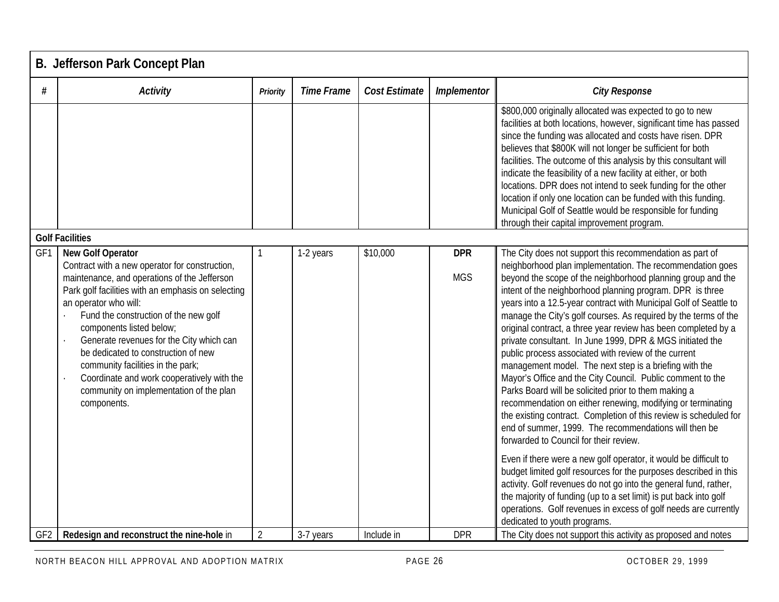|                 | B. Jefferson Park Concept Plan                                                                                                                                                                                                                                                                                                                                                                                                                                                                                 |                |                   |               |                          |                                                                                                                                                                                                                                                                                                                                                                                                                                                                                                                                                                                                                                                                                                                                                                                                                                                                                                                                                                                                         |  |  |  |  |
|-----------------|----------------------------------------------------------------------------------------------------------------------------------------------------------------------------------------------------------------------------------------------------------------------------------------------------------------------------------------------------------------------------------------------------------------------------------------------------------------------------------------------------------------|----------------|-------------------|---------------|--------------------------|---------------------------------------------------------------------------------------------------------------------------------------------------------------------------------------------------------------------------------------------------------------------------------------------------------------------------------------------------------------------------------------------------------------------------------------------------------------------------------------------------------------------------------------------------------------------------------------------------------------------------------------------------------------------------------------------------------------------------------------------------------------------------------------------------------------------------------------------------------------------------------------------------------------------------------------------------------------------------------------------------------|--|--|--|--|
| #               | <b>Activity</b>                                                                                                                                                                                                                                                                                                                                                                                                                                                                                                | Priority       | <b>Time Frame</b> | Cost Estimate | Implementor              | <b>City Response</b>                                                                                                                                                                                                                                                                                                                                                                                                                                                                                                                                                                                                                                                                                                                                                                                                                                                                                                                                                                                    |  |  |  |  |
|                 |                                                                                                                                                                                                                                                                                                                                                                                                                                                                                                                |                |                   |               |                          | \$800,000 originally allocated was expected to go to new<br>facilities at both locations, however, significant time has passed<br>since the funding was allocated and costs have risen. DPR<br>believes that \$800K will not longer be sufficient for both<br>facilities. The outcome of this analysis by this consultant will<br>indicate the feasibility of a new facility at either, or both<br>locations. DPR does not intend to seek funding for the other<br>location if only one location can be funded with this funding.<br>Municipal Golf of Seattle would be responsible for funding<br>through their capital improvement program.                                                                                                                                                                                                                                                                                                                                                           |  |  |  |  |
|                 | <b>Golf Facilities</b>                                                                                                                                                                                                                                                                                                                                                                                                                                                                                         |                |                   |               |                          |                                                                                                                                                                                                                                                                                                                                                                                                                                                                                                                                                                                                                                                                                                                                                                                                                                                                                                                                                                                                         |  |  |  |  |
| GF1             | <b>New Golf Operator</b><br>Contract with a new operator for construction,<br>maintenance, and operations of the Jefferson<br>Park golf facilities with an emphasis on selecting<br>an operator who will:<br>Fund the construction of the new golf<br>components listed below;<br>Generate revenues for the City which can<br>be dedicated to construction of new<br>community facilities in the park;<br>Coordinate and work cooperatively with the<br>community on implementation of the plan<br>components. |                | 1-2 years         | \$10,000      | <b>DPR</b><br><b>MGS</b> | The City does not support this recommendation as part of<br>neighborhood plan implementation. The recommendation goes<br>beyond the scope of the neighborhood planning group and the<br>intent of the neighborhood planning program. DPR is three<br>years into a 12.5-year contract with Municipal Golf of Seattle to<br>manage the City's golf courses. As required by the terms of the<br>original contract, a three year review has been completed by a<br>private consultant. In June 1999, DPR & MGS initiated the<br>public process associated with review of the current<br>management model. The next step is a briefing with the<br>Mayor's Office and the City Council. Public comment to the<br>Parks Board will be solicited prior to them making a<br>recommendation on either renewing, modifying or terminating<br>the existing contract. Completion of this review is scheduled for<br>end of summer, 1999. The recommendations will then be<br>forwarded to Council for their review. |  |  |  |  |
| GF <sub>2</sub> | Redesign and reconstruct the nine-hole in                                                                                                                                                                                                                                                                                                                                                                                                                                                                      | $\overline{2}$ | 3-7 years         | Include in    | <b>DPR</b>               | Even if there were a new golf operator, it would be difficult to<br>budget limited golf resources for the purposes described in this<br>activity. Golf revenues do not go into the general fund, rather,<br>the majority of funding (up to a set limit) is put back into golf<br>operations. Golf revenues in excess of golf needs are currently<br>dedicated to youth programs.<br>The City does not support this activity as proposed and notes                                                                                                                                                                                                                                                                                                                                                                                                                                                                                                                                                       |  |  |  |  |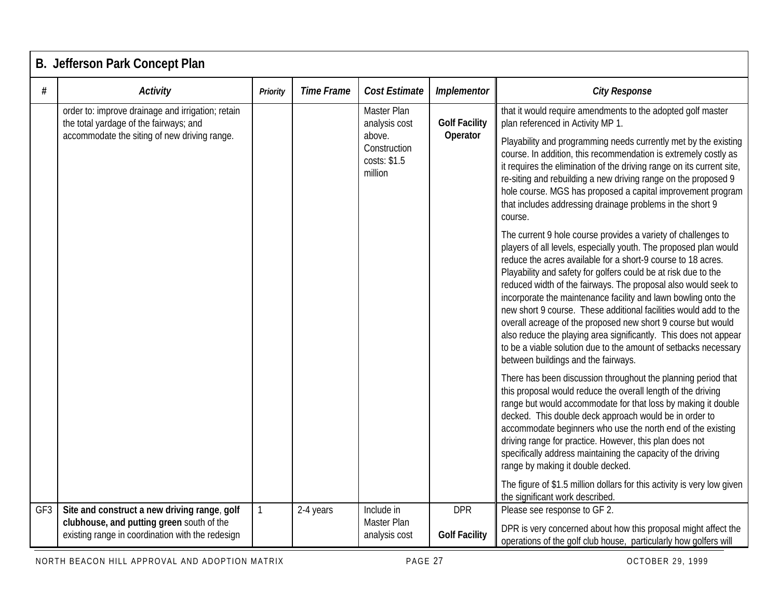|     | <b>B. Jefferson Park Concept Plan</b>                                                                                                       |                 |                   |                                                                                   |                                  |                                                                                                                                                                                                                                                                                                                                                                                                                                                                                                                                                                                                                                                                                                                                                                                                                                                                                                                                                                                                                                                                                                                                                                                                                                                                                                                                                                                                                                                                                                                                                                                                                                                                                                                                                  |  |  |  |  |
|-----|---------------------------------------------------------------------------------------------------------------------------------------------|-----------------|-------------------|-----------------------------------------------------------------------------------|----------------------------------|--------------------------------------------------------------------------------------------------------------------------------------------------------------------------------------------------------------------------------------------------------------------------------------------------------------------------------------------------------------------------------------------------------------------------------------------------------------------------------------------------------------------------------------------------------------------------------------------------------------------------------------------------------------------------------------------------------------------------------------------------------------------------------------------------------------------------------------------------------------------------------------------------------------------------------------------------------------------------------------------------------------------------------------------------------------------------------------------------------------------------------------------------------------------------------------------------------------------------------------------------------------------------------------------------------------------------------------------------------------------------------------------------------------------------------------------------------------------------------------------------------------------------------------------------------------------------------------------------------------------------------------------------------------------------------------------------------------------------------------------------|--|--|--|--|
| #   | <b>Activity</b>                                                                                                                             | <b>Priority</b> | <b>Time Frame</b> | <b>Cost Estimate</b>                                                              | Implementor                      | <b>City Response</b>                                                                                                                                                                                                                                                                                                                                                                                                                                                                                                                                                                                                                                                                                                                                                                                                                                                                                                                                                                                                                                                                                                                                                                                                                                                                                                                                                                                                                                                                                                                                                                                                                                                                                                                             |  |  |  |  |
|     | order to: improve drainage and irrigation; retain<br>the total yardage of the fairways; and<br>accommodate the siting of new driving range. |                 |                   | Master Plan<br>analysis cost<br>above.<br>Construction<br>costs: \$1.5<br>million | <b>Golf Facility</b><br>Operator | that it would require amendments to the adopted golf master<br>plan referenced in Activity MP 1.<br>Playability and programming needs currently met by the existing<br>course. In addition, this recommendation is extremely costly as<br>it requires the elimination of the driving range on its current site,<br>re-siting and rebuilding a new driving range on the proposed 9<br>hole course. MGS has proposed a capital improvement program<br>that includes addressing drainage problems in the short 9<br>course.<br>The current 9 hole course provides a variety of challenges to<br>players of all levels, especially youth. The proposed plan would<br>reduce the acres available for a short-9 course to 18 acres.<br>Playability and safety for golfers could be at risk due to the<br>reduced width of the fairways. The proposal also would seek to<br>incorporate the maintenance facility and lawn bowling onto the<br>new short 9 course. These additional facilities would add to the<br>overall acreage of the proposed new short 9 course but would<br>also reduce the playing area significantly. This does not appear<br>to be a viable solution due to the amount of setbacks necessary<br>between buildings and the fairways.<br>There has been discussion throughout the planning period that<br>this proposal would reduce the overall length of the driving<br>range but would accommodate for that loss by making it double<br>decked. This double deck approach would be in order to<br>accommodate beginners who use the north end of the existing<br>driving range for practice. However, this plan does not<br>specifically address maintaining the capacity of the driving<br>range by making it double decked. |  |  |  |  |
|     |                                                                                                                                             |                 |                   |                                                                                   |                                  | The figure of \$1.5 million dollars for this activity is very low given<br>the significant work described.                                                                                                                                                                                                                                                                                                                                                                                                                                                                                                                                                                                                                                                                                                                                                                                                                                                                                                                                                                                                                                                                                                                                                                                                                                                                                                                                                                                                                                                                                                                                                                                                                                       |  |  |  |  |
| GF3 | Site and construct a new driving range, golf<br>clubhouse, and putting green south of the                                                   | $\mathbf{1}$    | 2-4 years         | Include in<br>Master Plan                                                         | <b>DPR</b>                       | Please see response to GF 2.                                                                                                                                                                                                                                                                                                                                                                                                                                                                                                                                                                                                                                                                                                                                                                                                                                                                                                                                                                                                                                                                                                                                                                                                                                                                                                                                                                                                                                                                                                                                                                                                                                                                                                                     |  |  |  |  |
|     | existing range in coordination with the redesign                                                                                            |                 |                   | analysis cost                                                                     | <b>Golf Facility</b>             | DPR is very concerned about how this proposal might affect the<br>operations of the golf club house, particularly how golfers will                                                                                                                                                                                                                                                                                                                                                                                                                                                                                                                                                                                                                                                                                                                                                                                                                                                                                                                                                                                                                                                                                                                                                                                                                                                                                                                                                                                                                                                                                                                                                                                                               |  |  |  |  |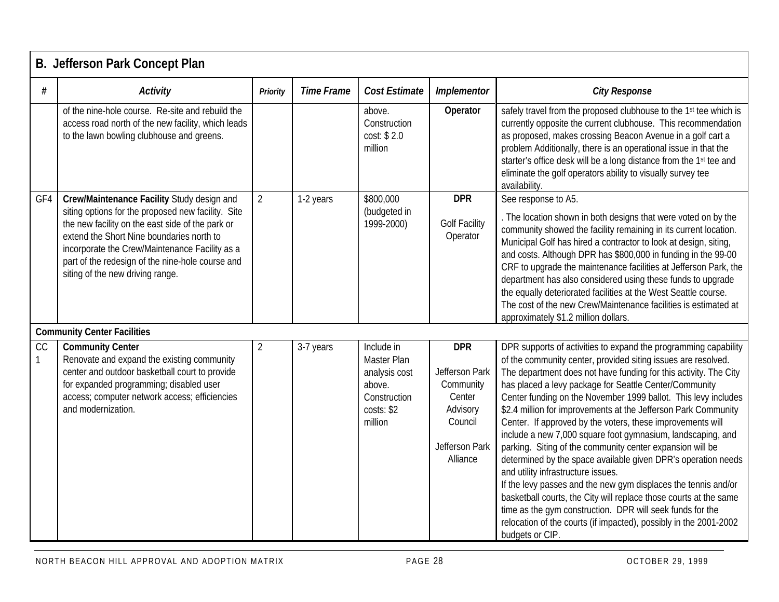|     | B. Jefferson Park Concept Plan                                                                                                                                                                                                                                                                                                              |                |                   |                                                                                               |                                                                                                          |                                                                                                                                                                                                                                                                                                                                                                                                                                                                                                                                                                                                                                                                                                                                                                                                                                                                                                                                                                                                 |  |  |  |
|-----|---------------------------------------------------------------------------------------------------------------------------------------------------------------------------------------------------------------------------------------------------------------------------------------------------------------------------------------------|----------------|-------------------|-----------------------------------------------------------------------------------------------|----------------------------------------------------------------------------------------------------------|-------------------------------------------------------------------------------------------------------------------------------------------------------------------------------------------------------------------------------------------------------------------------------------------------------------------------------------------------------------------------------------------------------------------------------------------------------------------------------------------------------------------------------------------------------------------------------------------------------------------------------------------------------------------------------------------------------------------------------------------------------------------------------------------------------------------------------------------------------------------------------------------------------------------------------------------------------------------------------------------------|--|--|--|
| #   | <b>Activity</b>                                                                                                                                                                                                                                                                                                                             | Priority       | <b>Time Frame</b> | <b>Cost Estimate</b>                                                                          | Implementor                                                                                              | <b>City Response</b>                                                                                                                                                                                                                                                                                                                                                                                                                                                                                                                                                                                                                                                                                                                                                                                                                                                                                                                                                                            |  |  |  |
|     | of the nine-hole course. Re-site and rebuild the<br>access road north of the new facility, which leads<br>to the lawn bowling clubhouse and greens.                                                                                                                                                                                         |                |                   | above.<br>Construction<br>cost: \$2.0<br>million                                              | Operator                                                                                                 | safely travel from the proposed clubhouse to the 1st tee which is<br>currently opposite the current clubhouse. This recommendation<br>as proposed, makes crossing Beacon Avenue in a golf cart a<br>problem Additionally, there is an operational issue in that the<br>starter's office desk will be a long distance from the 1st tee and<br>eliminate the golf operators ability to visually survey tee<br>availability.                                                                                                                                                                                                                                                                                                                                                                                                                                                                                                                                                                       |  |  |  |
| GF4 | Crew/Maintenance Facility Study design and<br>siting options for the proposed new facility. Site<br>the new facility on the east side of the park or<br>extend the Short Nine boundaries north to<br>incorporate the Crew/Maintenance Facility as a<br>part of the redesign of the nine-hole course and<br>siting of the new driving range. | $\overline{2}$ | 1-2 years         | \$800,000<br>(budgeted in<br>1999-2000)                                                       | <b>DPR</b><br><b>Golf Facility</b><br>Operator                                                           | See response to A5.<br>. The location shown in both designs that were voted on by the<br>community showed the facility remaining in its current location.<br>Municipal Golf has hired a contractor to look at design, siting,<br>and costs. Although DPR has \$800,000 in funding in the 99-00<br>CRF to upgrade the maintenance facilities at Jefferson Park, the<br>department has also considered using these funds to upgrade<br>the equally deteriorated facilities at the West Seattle course.<br>The cost of the new Crew/Maintenance facilities is estimated at<br>approximately \$1.2 million dollars.                                                                                                                                                                                                                                                                                                                                                                                 |  |  |  |
| CC  | <b>Community Center Facilities</b><br><b>Community Center</b><br>Renovate and expand the existing community<br>center and outdoor basketball court to provide<br>for expanded programming; disabled user<br>access; computer network access; efficiencies<br>and modernization.                                                             | $\overline{2}$ | 3-7 years         | Include in<br>Master Plan<br>analysis cost<br>above.<br>Construction<br>costs: \$2<br>million | <b>DPR</b><br>Jefferson Park<br>Community<br>Center<br>Advisory<br>Council<br>Jefferson Park<br>Alliance | DPR supports of activities to expand the programming capability<br>of the community center, provided siting issues are resolved.<br>The department does not have funding for this activity. The City<br>has placed a levy package for Seattle Center/Community<br>Center funding on the November 1999 ballot. This levy includes<br>\$2.4 million for improvements at the Jefferson Park Community<br>Center. If approved by the voters, these improvements will<br>include a new 7,000 square foot gymnasium, landscaping, and<br>parking. Siting of the community center expansion will be<br>determined by the space available given DPR's operation needs<br>and utility infrastructure issues.<br>If the levy passes and the new gym displaces the tennis and/or<br>basketball courts, the City will replace those courts at the same<br>time as the gym construction. DPR will seek funds for the<br>relocation of the courts (if impacted), possibly in the 2001-2002<br>budgets or CIP. |  |  |  |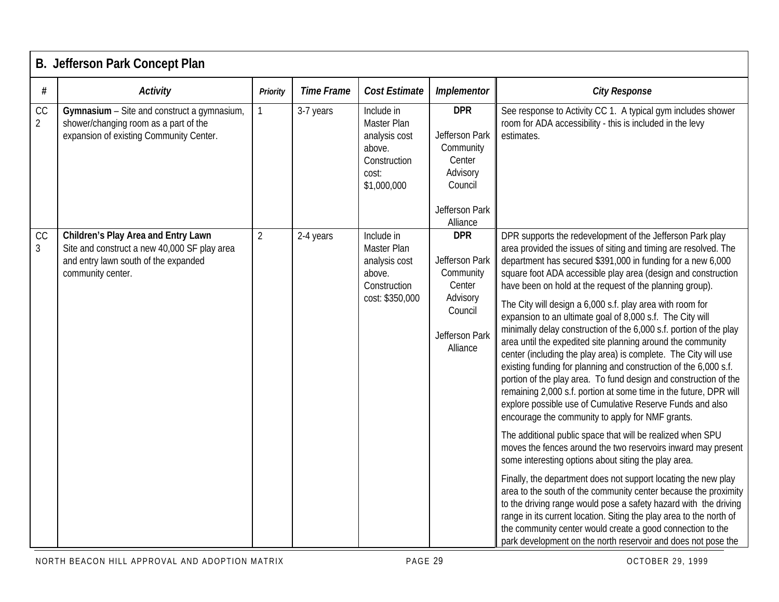|                      | B. Jefferson Park Concept Plan                                                                                                                   |                |                   |                                                                                              |                                                                                                          |                                                                                                                                                                                                                                                                                                                                                                                                                                                                                                                                                                                                                                                                                                                                                                                                                                                                                                                                                                                                                                                                                                                                                                                                                                                                                                                                                                                                                                                                                                                                                                                                |  |  |  |
|----------------------|--------------------------------------------------------------------------------------------------------------------------------------------------|----------------|-------------------|----------------------------------------------------------------------------------------------|----------------------------------------------------------------------------------------------------------|------------------------------------------------------------------------------------------------------------------------------------------------------------------------------------------------------------------------------------------------------------------------------------------------------------------------------------------------------------------------------------------------------------------------------------------------------------------------------------------------------------------------------------------------------------------------------------------------------------------------------------------------------------------------------------------------------------------------------------------------------------------------------------------------------------------------------------------------------------------------------------------------------------------------------------------------------------------------------------------------------------------------------------------------------------------------------------------------------------------------------------------------------------------------------------------------------------------------------------------------------------------------------------------------------------------------------------------------------------------------------------------------------------------------------------------------------------------------------------------------------------------------------------------------------------------------------------------------|--|--|--|
| #                    | <b>Activity</b>                                                                                                                                  | Priority       | <b>Time Frame</b> | Cost Estimate                                                                                | Implementor                                                                                              | <b>City Response</b>                                                                                                                                                                                                                                                                                                                                                                                                                                                                                                                                                                                                                                                                                                                                                                                                                                                                                                                                                                                                                                                                                                                                                                                                                                                                                                                                                                                                                                                                                                                                                                           |  |  |  |
| CC<br>$\overline{2}$ | Gymnasium - Site and construct a gymnasium,<br>shower/changing room as a part of the<br>expansion of existing Community Center.                  |                | 3-7 years         | Include in<br>Master Plan<br>analysis cost<br>above.<br>Construction<br>cost:<br>\$1,000,000 | <b>DPR</b><br>Jefferson Park<br>Community<br>Center<br>Advisory<br>Council<br>Jefferson Park             | See response to Activity CC 1. A typical gym includes shower<br>room for ADA accessibility - this is included in the levy<br>estimates.                                                                                                                                                                                                                                                                                                                                                                                                                                                                                                                                                                                                                                                                                                                                                                                                                                                                                                                                                                                                                                                                                                                                                                                                                                                                                                                                                                                                                                                        |  |  |  |
|                      |                                                                                                                                                  |                |                   |                                                                                              | Alliance                                                                                                 |                                                                                                                                                                                                                                                                                                                                                                                                                                                                                                                                                                                                                                                                                                                                                                                                                                                                                                                                                                                                                                                                                                                                                                                                                                                                                                                                                                                                                                                                                                                                                                                                |  |  |  |
| CC<br>$\mathfrak{Z}$ | Children's Play Area and Entry Lawn<br>Site and construct a new 40,000 SF play area<br>and entry lawn south of the expanded<br>community center. | $\overline{2}$ | 2-4 years         | Include in<br>Master Plan<br>analysis cost<br>above.<br>Construction<br>cost: \$350,000      | <b>DPR</b><br>Jefferson Park<br>Community<br>Center<br>Advisory<br>Council<br>Jefferson Park<br>Alliance | DPR supports the redevelopment of the Jefferson Park play<br>area provided the issues of siting and timing are resolved. The<br>department has secured \$391,000 in funding for a new 6,000<br>square foot ADA accessible play area (design and construction<br>have been on hold at the request of the planning group).<br>The City will design a 6,000 s.f. play area with room for<br>expansion to an ultimate goal of 8,000 s.f. The City will<br>minimally delay construction of the 6,000 s.f. portion of the play<br>area until the expedited site planning around the community<br>center (including the play area) is complete. The City will use<br>existing funding for planning and construction of the 6,000 s.f.<br>portion of the play area. To fund design and construction of the<br>remaining 2,000 s.f. portion at some time in the future, DPR will<br>explore possible use of Cumulative Reserve Funds and also<br>encourage the community to apply for NMF grants.<br>The additional public space that will be realized when SPU<br>moves the fences around the two reservoirs inward may present<br>some interesting options about siting the play area.<br>Finally, the department does not support locating the new play<br>area to the south of the community center because the proximity<br>to the driving range would pose a safety hazard with the driving<br>range in its current location. Siting the play area to the north of<br>the community center would create a good connection to the<br>park development on the north reservoir and does not pose the |  |  |  |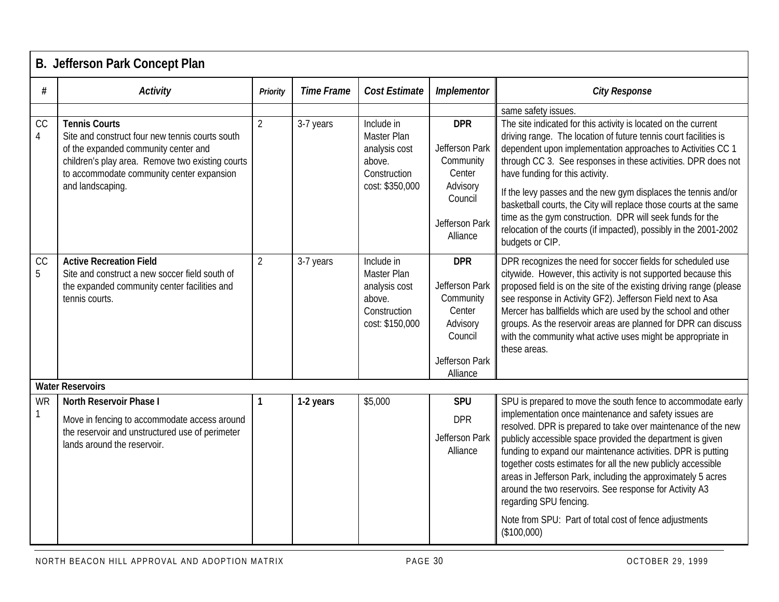|                | <b>B. Jefferson Park Concept Plan</b>                                                                                                                                                                                                |                |                   |                                                                                         |                                                                                                          |                                                                                                                                                                                                                                                                                                                                                                                                                                                                                                                                                                                                                    |  |  |  |  |
|----------------|--------------------------------------------------------------------------------------------------------------------------------------------------------------------------------------------------------------------------------------|----------------|-------------------|-----------------------------------------------------------------------------------------|----------------------------------------------------------------------------------------------------------|--------------------------------------------------------------------------------------------------------------------------------------------------------------------------------------------------------------------------------------------------------------------------------------------------------------------------------------------------------------------------------------------------------------------------------------------------------------------------------------------------------------------------------------------------------------------------------------------------------------------|--|--|--|--|
| #              | <b>Activity</b>                                                                                                                                                                                                                      | Priority       | <b>Time Frame</b> | Cost Estimate                                                                           | Implementor                                                                                              | <b>City Response</b>                                                                                                                                                                                                                                                                                                                                                                                                                                                                                                                                                                                               |  |  |  |  |
|                |                                                                                                                                                                                                                                      |                |                   |                                                                                         |                                                                                                          | same safety issues.                                                                                                                                                                                                                                                                                                                                                                                                                                                                                                                                                                                                |  |  |  |  |
| CC<br>4        | <b>Tennis Courts</b><br>Site and construct four new tennis courts south<br>of the expanded community center and<br>children's play area. Remove two existing courts<br>to accommodate community center expansion<br>and landscaping. | $\overline{2}$ | 3-7 years         | Include in<br>Master Plan<br>analysis cost<br>above.<br>Construction<br>cost: \$350,000 | <b>DPR</b><br>Jefferson Park<br>Community<br>Center<br>Advisory<br>Council<br>Jefferson Park<br>Alliance | The site indicated for this activity is located on the current<br>driving range. The location of future tennis court facilities is<br>dependent upon implementation approaches to Activities CC 1<br>through CC 3. See responses in these activities. DPR does not<br>have funding for this activity.<br>If the levy passes and the new gym displaces the tennis and/or<br>basketball courts, the City will replace those courts at the same<br>time as the gym construction. DPR will seek funds for the<br>relocation of the courts (if impacted), possibly in the 2001-2002<br>budgets or CIP.                  |  |  |  |  |
| CC<br>5        | <b>Active Recreation Field</b><br>Site and construct a new soccer field south of<br>the expanded community center facilities and<br>tennis courts.                                                                                   | $\overline{2}$ | 3-7 years         | Include in<br>Master Plan<br>analysis cost<br>above.<br>Construction<br>cost: \$150,000 | <b>DPR</b><br>Jefferson Park<br>Community<br>Center<br>Advisory<br>Council<br>Jefferson Park<br>Alliance | DPR recognizes the need for soccer fields for scheduled use<br>citywide. However, this activity is not supported because this<br>proposed field is on the site of the existing driving range (please<br>see response in Activity GF2). Jefferson Field next to Asa<br>Mercer has ballfields which are used by the school and other<br>groups. As the reservoir areas are planned for DPR can discuss<br>with the community what active uses might be appropriate in<br>these areas.                                                                                                                                |  |  |  |  |
|                | <b>Water Reservoirs</b>                                                                                                                                                                                                              |                |                   |                                                                                         |                                                                                                          |                                                                                                                                                                                                                                                                                                                                                                                                                                                                                                                                                                                                                    |  |  |  |  |
| <b>WR</b><br>1 | North Reservoir Phase I<br>Move in fencing to accommodate access around<br>the reservoir and unstructured use of perimeter<br>lands around the reservoir.                                                                            | 1              | 1-2 years         | \$5,000                                                                                 | SPU<br><b>DPR</b><br>Jefferson Park<br>Alliance                                                          | SPU is prepared to move the south fence to accommodate early<br>implementation once maintenance and safety issues are<br>resolved. DPR is prepared to take over maintenance of the new<br>publicly accessible space provided the department is given<br>funding to expand our maintenance activities. DPR is putting<br>together costs estimates for all the new publicly accessible<br>areas in Jefferson Park, including the approximately 5 acres<br>around the two reservoirs. See response for Activity A3<br>regarding SPU fencing.<br>Note from SPU: Part of total cost of fence adjustments<br>(\$100,000) |  |  |  |  |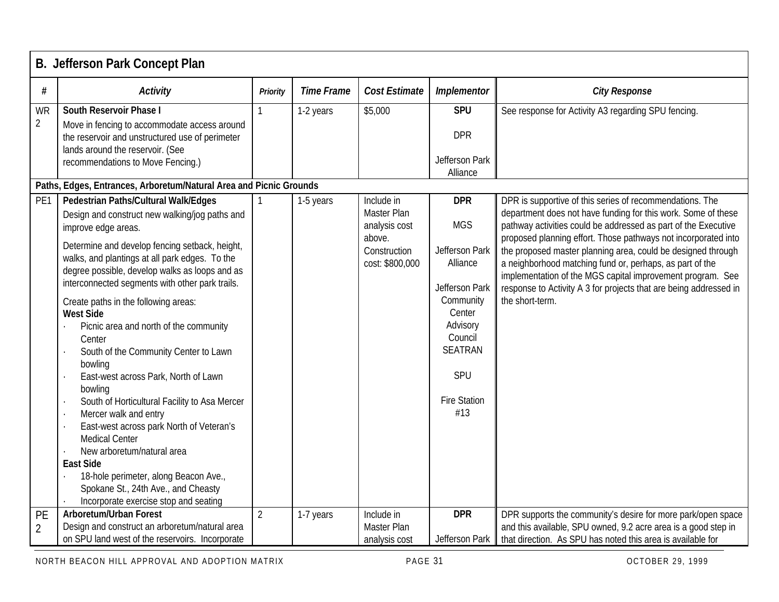|                      | B. Jefferson Park Concept Plan                                                                                                                                                                                                                                                                                                                                                                                                                                                                                                                                                                                                                                                                                                                                                                                                                                          |                |                   |                                                                                         |                                                                                                                                                                               |                                                                                                                                                                                                                                                                                                                                                                                                                                                                                                                                                 |  |  |  |  |
|----------------------|-------------------------------------------------------------------------------------------------------------------------------------------------------------------------------------------------------------------------------------------------------------------------------------------------------------------------------------------------------------------------------------------------------------------------------------------------------------------------------------------------------------------------------------------------------------------------------------------------------------------------------------------------------------------------------------------------------------------------------------------------------------------------------------------------------------------------------------------------------------------------|----------------|-------------------|-----------------------------------------------------------------------------------------|-------------------------------------------------------------------------------------------------------------------------------------------------------------------------------|-------------------------------------------------------------------------------------------------------------------------------------------------------------------------------------------------------------------------------------------------------------------------------------------------------------------------------------------------------------------------------------------------------------------------------------------------------------------------------------------------------------------------------------------------|--|--|--|--|
| #                    | <b>Activity</b>                                                                                                                                                                                                                                                                                                                                                                                                                                                                                                                                                                                                                                                                                                                                                                                                                                                         | Priority       | <b>Time Frame</b> | Cost Estimate                                                                           | Implementor                                                                                                                                                                   | <b>City Response</b>                                                                                                                                                                                                                                                                                                                                                                                                                                                                                                                            |  |  |  |  |
| WR<br>$\overline{2}$ | South Reservoir Phase I<br>Move in fencing to accommodate access around<br>the reservoir and unstructured use of perimeter<br>lands around the reservoir. (See<br>recommendations to Move Fencing.)                                                                                                                                                                                                                                                                                                                                                                                                                                                                                                                                                                                                                                                                     |                | 1-2 years         | \$5,000                                                                                 | SPU<br><b>DPR</b><br>Jefferson Park<br>Alliance                                                                                                                               | See response for Activity A3 regarding SPU fencing.                                                                                                                                                                                                                                                                                                                                                                                                                                                                                             |  |  |  |  |
|                      | Paths, Edges, Entrances, Arboretum/Natural Area and Picnic Grounds                                                                                                                                                                                                                                                                                                                                                                                                                                                                                                                                                                                                                                                                                                                                                                                                      |                |                   |                                                                                         |                                                                                                                                                                               |                                                                                                                                                                                                                                                                                                                                                                                                                                                                                                                                                 |  |  |  |  |
| PE1                  | Pedestrian Paths/Cultural Walk/Edges<br>Design and construct new walking/jog paths and<br>improve edge areas.<br>Determine and develop fencing setback, height,<br>walks, and plantings at all park edges. To the<br>degree possible, develop walks as loops and as<br>interconnected segments with other park trails.<br>Create paths in the following areas:<br><b>West Side</b><br>Picnic area and north of the community<br>Center<br>South of the Community Center to Lawn<br>bowling<br>East-west across Park, North of Lawn<br>bowling<br>South of Horticultural Facility to Asa Mercer<br>Mercer walk and entry<br>East-west across park North of Veteran's<br><b>Medical Center</b><br>New arboretum/natural area<br><b>East Side</b><br>18-hole perimeter, along Beacon Ave.,<br>Spokane St., 24th Ave., and Cheasty<br>Incorporate exercise stop and seating |                | 1-5 years         | Include in<br>Master Plan<br>analysis cost<br>above.<br>Construction<br>cost: \$800,000 | <b>DPR</b><br><b>MGS</b><br>Jefferson Park<br>Alliance<br>Jefferson Park<br>Community<br>Center<br>Advisory<br>Council<br><b>SEATRAN</b><br>SPU<br><b>Fire Station</b><br>#13 | DPR is supportive of this series of recommendations. The<br>department does not have funding for this work. Some of these<br>pathway activities could be addressed as part of the Executive<br>proposed planning effort. Those pathways not incorporated into<br>the proposed master planning area, could be designed through<br>a neighborhood matching fund or, perhaps, as part of the<br>implementation of the MGS capital improvement program. See<br>response to Activity A 3 for projects that are being addressed in<br>the short-term. |  |  |  |  |
| PE                   | Arboretum/Urban Forest                                                                                                                                                                                                                                                                                                                                                                                                                                                                                                                                                                                                                                                                                                                                                                                                                                                  | $\overline{2}$ | 1-7 years         | Include in                                                                              | <b>DPR</b>                                                                                                                                                                    | DPR supports the community's desire for more park/open space                                                                                                                                                                                                                                                                                                                                                                                                                                                                                    |  |  |  |  |
| $\overline{2}$       | Design and construct an arboretum/natural area<br>on SPU land west of the reservoirs. Incorporate                                                                                                                                                                                                                                                                                                                                                                                                                                                                                                                                                                                                                                                                                                                                                                       |                |                   | Master Plan<br>analysis cost                                                            | Jefferson Park                                                                                                                                                                | and this available, SPU owned, 9.2 acre area is a good step in<br>that direction. As SPU has noted this area is available for                                                                                                                                                                                                                                                                                                                                                                                                                   |  |  |  |  |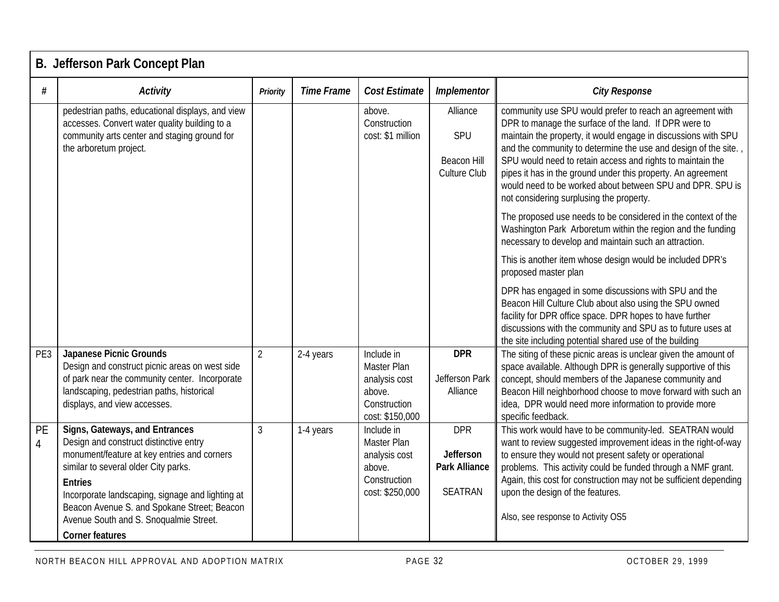|                             | B. Jefferson Park Concept Plan                                                                                                                                                                                                                                                                                                                                                                                                                                                                                                                    |                     |                        |                                                                                                                                                                                    |                                                                                                               |                                                                                                                                                                                                                                                                                                                                                                                                                                                                                                                                                                                                                                                                                                                                                                                                                                                                                                                                                                                                                                                                                      |  |  |  |  |  |
|-----------------------------|---------------------------------------------------------------------------------------------------------------------------------------------------------------------------------------------------------------------------------------------------------------------------------------------------------------------------------------------------------------------------------------------------------------------------------------------------------------------------------------------------------------------------------------------------|---------------------|------------------------|------------------------------------------------------------------------------------------------------------------------------------------------------------------------------------|---------------------------------------------------------------------------------------------------------------|--------------------------------------------------------------------------------------------------------------------------------------------------------------------------------------------------------------------------------------------------------------------------------------------------------------------------------------------------------------------------------------------------------------------------------------------------------------------------------------------------------------------------------------------------------------------------------------------------------------------------------------------------------------------------------------------------------------------------------------------------------------------------------------------------------------------------------------------------------------------------------------------------------------------------------------------------------------------------------------------------------------------------------------------------------------------------------------|--|--|--|--|--|
| #                           | <b>Activity</b>                                                                                                                                                                                                                                                                                                                                                                                                                                                                                                                                   | Priority            | <b>Time Frame</b>      | <b>Cost Estimate</b>                                                                                                                                                               | Implementor                                                                                                   | <b>City Response</b>                                                                                                                                                                                                                                                                                                                                                                                                                                                                                                                                                                                                                                                                                                                                                                                                                                                                                                                                                                                                                                                                 |  |  |  |  |  |
|                             | pedestrian paths, educational displays, and view<br>accesses. Convert water quality building to a<br>community arts center and staging ground for<br>the arboretum project.                                                                                                                                                                                                                                                                                                                                                                       |                     |                        | above.<br>Construction<br>cost: \$1 million                                                                                                                                        | Alliance<br>SPU<br><b>Beacon Hill</b><br>Culture Club                                                         | community use SPU would prefer to reach an agreement with<br>DPR to manage the surface of the land. If DPR were to<br>maintain the property, it would engage in discussions with SPU<br>and the community to determine the use and design of the site.<br>SPU would need to retain access and rights to maintain the<br>pipes it has in the ground under this property. An agreement<br>would need to be worked about between SPU and DPR. SPU is<br>not considering surplusing the property.<br>The proposed use needs to be considered in the context of the<br>Washington Park Arboretum within the region and the funding<br>necessary to develop and maintain such an attraction.<br>This is another item whose design would be included DPR's<br>proposed master plan<br>DPR has engaged in some discussions with SPU and the<br>Beacon Hill Culture Club about also using the SPU owned<br>facility for DPR office space. DPR hopes to have further<br>discussions with the community and SPU as to future uses at<br>the site including potential shared use of the building |  |  |  |  |  |
| PE3<br>PE<br>$\overline{4}$ | <b>Japanese Picnic Grounds</b><br>Design and construct picnic areas on west side<br>of park near the community center. Incorporate<br>landscaping, pedestrian paths, historical<br>displays, and view accesses.<br>Signs, Gateways, and Entrances<br>Design and construct distinctive entry<br>monument/feature at key entries and corners<br>similar to several older City parks.<br><b>Entries</b><br>Incorporate landscaping, signage and lighting at<br>Beacon Avenue S. and Spokane Street; Beacon<br>Avenue South and S. Snoqualmie Street. | $\overline{2}$<br>3 | 2-4 years<br>1-4 years | Include in<br>Master Plan<br>analysis cost<br>above.<br>Construction<br>cost: \$150,000<br>Include in<br>Master Plan<br>analysis cost<br>above.<br>Construction<br>cost: \$250,000 | <b>DPR</b><br>Jefferson Park<br>Alliance<br><b>DPR</b><br>Jefferson<br><b>Park Alliance</b><br><b>SEATRAN</b> | The siting of these picnic areas is unclear given the amount of<br>space available. Although DPR is generally supportive of this<br>concept, should members of the Japanese community and<br>Beacon Hill neighborhood choose to move forward with such an<br>idea, DPR would need more information to provide more<br>specific feedback.<br>This work would have to be community-led. SEATRAN would<br>want to review suggested improvement ideas in the right-of-way<br>to ensure they would not present safety or operational<br>problems. This activity could be funded through a NMF grant.<br>Again, this cost for construction may not be sufficient depending<br>upon the design of the features.<br>Also, see response to Activity OS5                                                                                                                                                                                                                                                                                                                                       |  |  |  |  |  |
|                             | <b>Corner features</b>                                                                                                                                                                                                                                                                                                                                                                                                                                                                                                                            |                     |                        |                                                                                                                                                                                    |                                                                                                               |                                                                                                                                                                                                                                                                                                                                                                                                                                                                                                                                                                                                                                                                                                                                                                                                                                                                                                                                                                                                                                                                                      |  |  |  |  |  |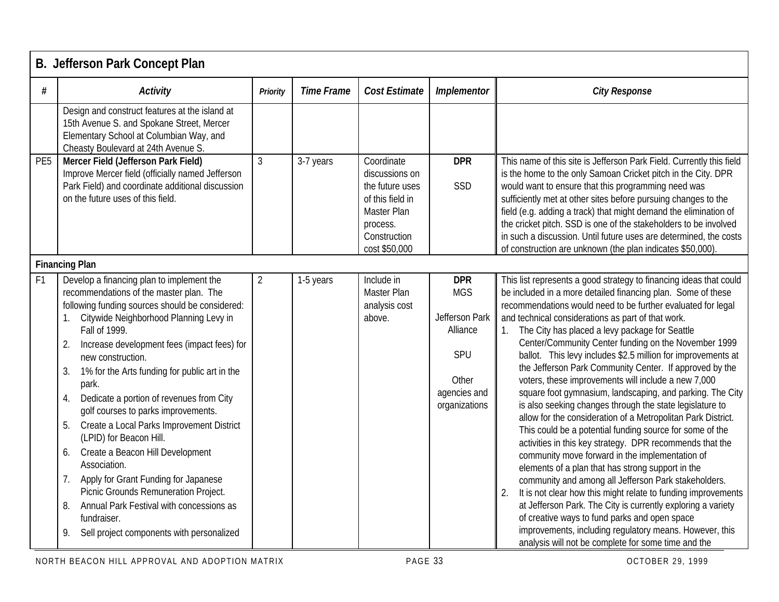|                 | B. Jefferson Park Concept Plan                                                                                                                                                                                                                                                                                                                                                                                                                                                                                                                                                                                                                                                                                                                                                          |                |                   |                                                                                                                                 |                                                                                                         |                                                                                                                                                                                                                                                                                                                                                                                                                                                                                                                                                                                                                                                                                                                                                                                                                                                                                                                                                                                                                                                                                                                                                                                                                                                                                                                                           |
|-----------------|-----------------------------------------------------------------------------------------------------------------------------------------------------------------------------------------------------------------------------------------------------------------------------------------------------------------------------------------------------------------------------------------------------------------------------------------------------------------------------------------------------------------------------------------------------------------------------------------------------------------------------------------------------------------------------------------------------------------------------------------------------------------------------------------|----------------|-------------------|---------------------------------------------------------------------------------------------------------------------------------|---------------------------------------------------------------------------------------------------------|-------------------------------------------------------------------------------------------------------------------------------------------------------------------------------------------------------------------------------------------------------------------------------------------------------------------------------------------------------------------------------------------------------------------------------------------------------------------------------------------------------------------------------------------------------------------------------------------------------------------------------------------------------------------------------------------------------------------------------------------------------------------------------------------------------------------------------------------------------------------------------------------------------------------------------------------------------------------------------------------------------------------------------------------------------------------------------------------------------------------------------------------------------------------------------------------------------------------------------------------------------------------------------------------------------------------------------------------|
| #               | <b>Activity</b>                                                                                                                                                                                                                                                                                                                                                                                                                                                                                                                                                                                                                                                                                                                                                                         | Priority       | <b>Time Frame</b> | <b>Cost Estimate</b>                                                                                                            | Implementor                                                                                             | <b>City Response</b>                                                                                                                                                                                                                                                                                                                                                                                                                                                                                                                                                                                                                                                                                                                                                                                                                                                                                                                                                                                                                                                                                                                                                                                                                                                                                                                      |
|                 | Design and construct features at the island at<br>15th Avenue S. and Spokane Street, Mercer<br>Elementary School at Columbian Way, and<br>Cheasty Boulevard at 24th Avenue S.                                                                                                                                                                                                                                                                                                                                                                                                                                                                                                                                                                                                           |                |                   |                                                                                                                                 |                                                                                                         |                                                                                                                                                                                                                                                                                                                                                                                                                                                                                                                                                                                                                                                                                                                                                                                                                                                                                                                                                                                                                                                                                                                                                                                                                                                                                                                                           |
| PE <sub>5</sub> | Mercer Field (Jefferson Park Field)<br>Improve Mercer field (officially named Jefferson<br>Park Field) and coordinate additional discussion<br>on the future uses of this field.                                                                                                                                                                                                                                                                                                                                                                                                                                                                                                                                                                                                        | $\mathfrak{Z}$ | 3-7 years         | Coordinate<br>discussions on<br>the future uses<br>of this field in<br>Master Plan<br>process.<br>Construction<br>cost \$50,000 | <b>DPR</b><br>SSD                                                                                       | This name of this site is Jefferson Park Field. Currently this field<br>is the home to the only Samoan Cricket pitch in the City. DPR<br>would want to ensure that this programming need was<br>sufficiently met at other sites before pursuing changes to the<br>field (e.g. adding a track) that might demand the elimination of<br>the cricket pitch. SSD is one of the stakeholders to be involved<br>in such a discussion. Until future uses are determined, the costs<br>of construction are unknown (the plan indicates \$50,000).                                                                                                                                                                                                                                                                                                                                                                                                                                                                                                                                                                                                                                                                                                                                                                                                 |
|                 | <b>Financing Plan</b>                                                                                                                                                                                                                                                                                                                                                                                                                                                                                                                                                                                                                                                                                                                                                                   |                |                   |                                                                                                                                 |                                                                                                         |                                                                                                                                                                                                                                                                                                                                                                                                                                                                                                                                                                                                                                                                                                                                                                                                                                                                                                                                                                                                                                                                                                                                                                                                                                                                                                                                           |
| F <sub>1</sub>  | Develop a financing plan to implement the<br>recommendations of the master plan. The<br>following funding sources should be considered:<br>Citywide Neighborhood Planning Levy in<br>Fall of 1999.<br>Increase development fees (impact fees) for<br>2.<br>new construction.<br>1% for the Arts funding for public art in the<br>3.<br>park.<br>Dedicate a portion of revenues from City<br>4.<br>golf courses to parks improvements.<br>5.<br>Create a Local Parks Improvement District<br>(LPID) for Beacon Hill.<br>Create a Beacon Hill Development<br>6.<br>Association.<br>Apply for Grant Funding for Japanese<br>7.<br>Picnic Grounds Remuneration Project.<br>Annual Park Festival with concessions as<br>8.<br>fundraiser.<br>Sell project components with personalized<br>9. | $\overline{2}$ | 1-5 years         | Include in<br>Master Plan<br>analysis cost<br>above.                                                                            | <b>DPR</b><br><b>MGS</b><br>Jefferson Park<br>Alliance<br>SPU<br>Other<br>agencies and<br>organizations | This list represents a good strategy to financing ideas that could<br>be included in a more detailed financing plan. Some of these<br>recommendations would need to be further evaluated for legal<br>and technical considerations as part of that work.<br>The City has placed a levy package for Seattle<br>Center/Community Center funding on the November 1999<br>ballot. This levy includes \$2.5 million for improvements at<br>the Jefferson Park Community Center. If approved by the<br>voters, these improvements will include a new 7,000<br>square foot gymnasium, landscaping, and parking. The City<br>is also seeking changes through the state legislature to<br>allow for the consideration of a Metropolitan Park District.<br>This could be a potential funding source for some of the<br>activities in this key strategy. DPR recommends that the<br>community move forward in the implementation of<br>elements of a plan that has strong support in the<br>community and among all Jefferson Park stakeholders.<br>It is not clear how this might relate to funding improvements<br>at Jefferson Park. The City is currently exploring a variety<br>of creative ways to fund parks and open space<br>improvements, including regulatory means. However, this<br>analysis will not be complete for some time and the |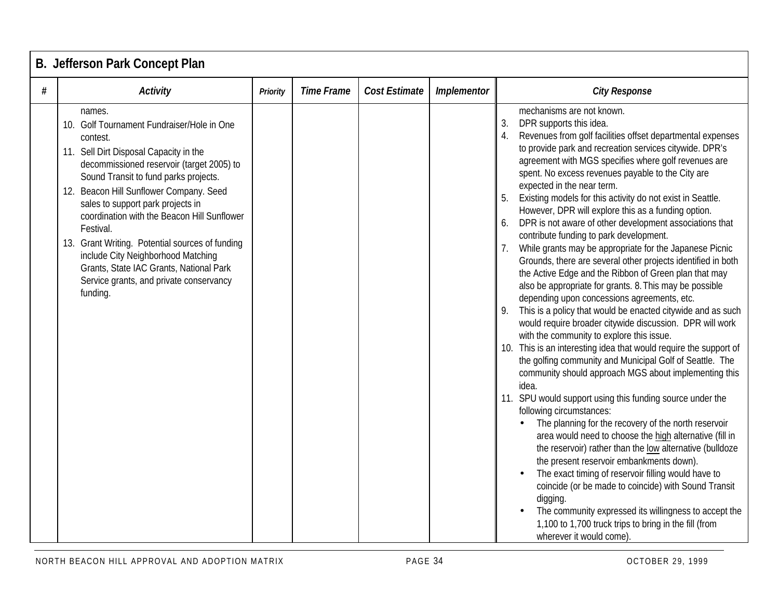|   | B. Jefferson Park Concept Plan                                                                                                                                                                                                                                                                                                                                                                                                                                                                                                          |                 |                   |                      |             |                                                                                                                                                                                                                                                                                                                                                                                                                                                                                                                                                                                                                                                                                                                                                                                                                                                                                                                                                                                                                                                                                                                                                                                                                                                                                                                                                                                                                                                                                                                                                                                                                                                                                                                                                                                                                                             |  |  |  |  |  |  |
|---|-----------------------------------------------------------------------------------------------------------------------------------------------------------------------------------------------------------------------------------------------------------------------------------------------------------------------------------------------------------------------------------------------------------------------------------------------------------------------------------------------------------------------------------------|-----------------|-------------------|----------------------|-------------|---------------------------------------------------------------------------------------------------------------------------------------------------------------------------------------------------------------------------------------------------------------------------------------------------------------------------------------------------------------------------------------------------------------------------------------------------------------------------------------------------------------------------------------------------------------------------------------------------------------------------------------------------------------------------------------------------------------------------------------------------------------------------------------------------------------------------------------------------------------------------------------------------------------------------------------------------------------------------------------------------------------------------------------------------------------------------------------------------------------------------------------------------------------------------------------------------------------------------------------------------------------------------------------------------------------------------------------------------------------------------------------------------------------------------------------------------------------------------------------------------------------------------------------------------------------------------------------------------------------------------------------------------------------------------------------------------------------------------------------------------------------------------------------------------------------------------------------------|--|--|--|--|--|--|
| # | <b>Activity</b>                                                                                                                                                                                                                                                                                                                                                                                                                                                                                                                         | <b>Priority</b> | <b>Time Frame</b> | <b>Cost Estimate</b> | Implementor | <b>City Response</b>                                                                                                                                                                                                                                                                                                                                                                                                                                                                                                                                                                                                                                                                                                                                                                                                                                                                                                                                                                                                                                                                                                                                                                                                                                                                                                                                                                                                                                                                                                                                                                                                                                                                                                                                                                                                                        |  |  |  |  |  |  |
|   | names.<br>10. Golf Tournament Fundraiser/Hole in One<br>contest.<br>11. Sell Dirt Disposal Capacity in the<br>decommissioned reservoir (target 2005) to<br>Sound Transit to fund parks projects.<br>12. Beacon Hill Sunflower Company. Seed<br>sales to support park projects in<br>coordination with the Beacon Hill Sunflower<br>Festival.<br>13. Grant Writing. Potential sources of funding<br>include City Neighborhood Matching<br>Grants, State IAC Grants, National Park<br>Service grants, and private conservancy<br>funding. |                 |                   |                      |             | mechanisms are not known.<br>3.<br>DPR supports this idea.<br>Revenues from golf facilities offset departmental expenses<br>to provide park and recreation services citywide. DPR's<br>agreement with MGS specifies where golf revenues are<br>spent. No excess revenues payable to the City are<br>expected in the near term.<br>Existing models for this activity do not exist in Seattle.<br>However, DPR will explore this as a funding option.<br>DPR is not aware of other development associations that<br>6.<br>contribute funding to park development.<br>While grants may be appropriate for the Japanese Picnic<br>Grounds, there are several other projects identified in both<br>the Active Edge and the Ribbon of Green plan that may<br>also be appropriate for grants. 8. This may be possible<br>depending upon concessions agreements, etc.<br>This is a policy that would be enacted citywide and as such<br>9.<br>would require broader citywide discussion. DPR will work<br>with the community to explore this issue.<br>10. This is an interesting idea that would require the support of<br>the golfing community and Municipal Golf of Seattle. The<br>community should approach MGS about implementing this<br>idea.<br>11. SPU would support using this funding source under the<br>following circumstances:<br>The planning for the recovery of the north reservoir<br>area would need to choose the high alternative (fill in<br>the reservoir) rather than the low alternative (bulldoze<br>the present reservoir embankments down).<br>The exact timing of reservoir filling would have to<br>coincide (or be made to coincide) with Sound Transit<br>digging.<br>The community expressed its willingness to accept the<br>1,100 to 1,700 truck trips to bring in the fill (from<br>wherever it would come). |  |  |  |  |  |  |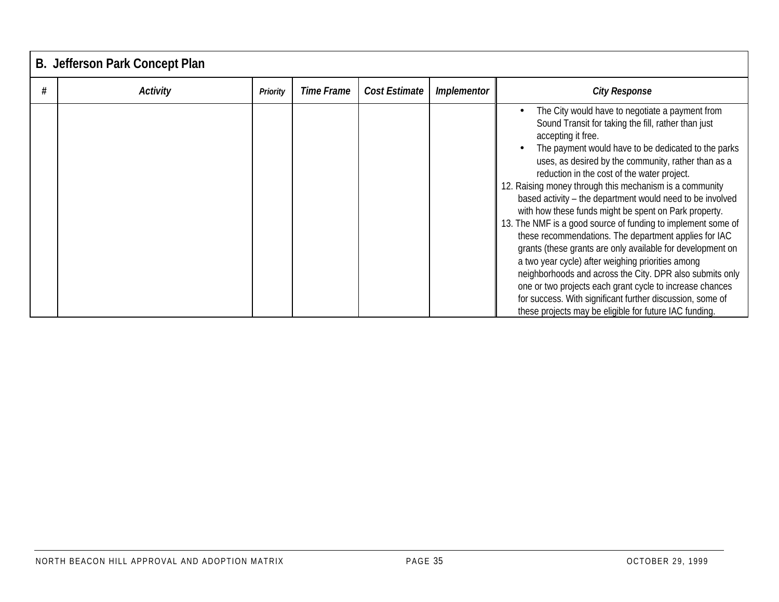| B. Jefferson Park Concept Plan |          |            |               |                    |                                                                                                                                                                                                                                                                                                                                                                                                                                                                                                                                                                                                                                                                                                                                                                                                                                                                                                                                                                       |  |  |  |  |  |  |  |
|--------------------------------|----------|------------|---------------|--------------------|-----------------------------------------------------------------------------------------------------------------------------------------------------------------------------------------------------------------------------------------------------------------------------------------------------------------------------------------------------------------------------------------------------------------------------------------------------------------------------------------------------------------------------------------------------------------------------------------------------------------------------------------------------------------------------------------------------------------------------------------------------------------------------------------------------------------------------------------------------------------------------------------------------------------------------------------------------------------------|--|--|--|--|--|--|--|
| Activity                       | Priority | Time Frame | Cost Estimate | <b>Implementor</b> | <b>City Response</b>                                                                                                                                                                                                                                                                                                                                                                                                                                                                                                                                                                                                                                                                                                                                                                                                                                                                                                                                                  |  |  |  |  |  |  |  |
|                                |          |            |               |                    | The City would have to negotiate a payment from<br>Sound Transit for taking the fill, rather than just<br>accepting it free.<br>The payment would have to be dedicated to the parks<br>uses, as desired by the community, rather than as a<br>reduction in the cost of the water project.<br>12. Raising money through this mechanism is a community<br>based activity - the department would need to be involved<br>with how these funds might be spent on Park property.<br>13. The NMF is a good source of funding to implement some of<br>these recommendations. The department applies for IAC<br>grants (these grants are only available for development on<br>a two year cycle) after weighing priorities among<br>neighborhoods and across the City. DPR also submits only<br>one or two projects each grant cycle to increase chances<br>for success. With significant further discussion, some of<br>these projects may be eligible for future IAC funding. |  |  |  |  |  |  |  |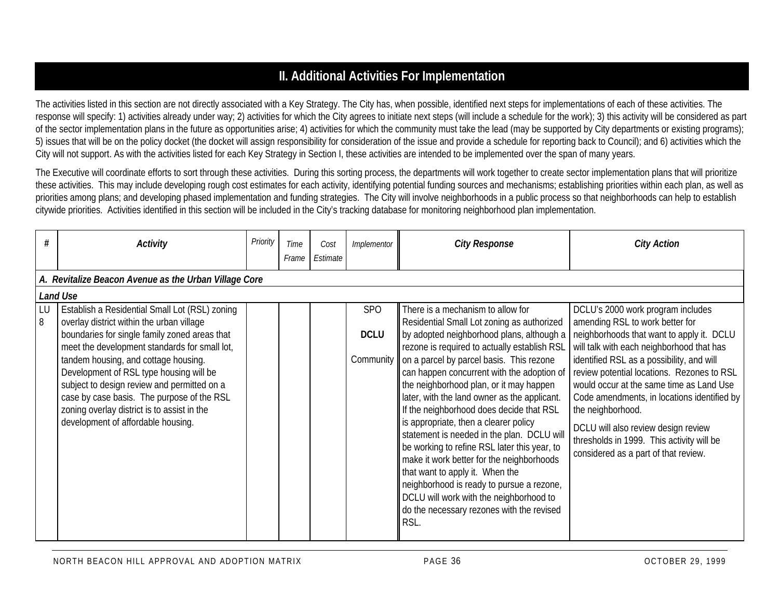# **II. Additional Activities For Implementation**

The activities listed in this section are not directly associated with a Key Strategy. The City has, when possible, identified next steps for implementations of each of these activities. The response will specify: 1) activities already under way; 2) activities for which the City agrees to initiate next steps (will include a schedule for the work); 3) this activity will be considered as part of the sector implementation plans in the future as opportunities arise; 4) activities for which the community must take the lead (may be supported by City departments or existing programs); 5) issues that will be on the policy docket (the docket will assign responsibility for consideration of the issue and provide a schedule for reporting back to Council); and 6) activities which the City will not support. As with the activities listed for each Key Strategy in Section I, these activities are intended to be implemented over the span of many years.

The Executive will coordinate efforts to sort through these activities. During this sorting process, the departments will work together to create sector implementation plans that will prioritize these activities. This may include developing rough cost estimates for each activity, identifying potential funding sources and mechanisms; establishing priorities within each plan, as well as priorities among plans; and developing phased implementation and funding strategies. The City will involve neighborhoods in a public process so that neighborhoods can help to establish citywide priorities. Activities identified in this section will be included in the City's tracking database for monitoring neighborhood plan implementation.

| #       | <b>Activity</b>                                                                                                                                                                                                                                                                                                                                                                                                                                                    | Priority | Time<br>Frame | Cost<br>Estimate | Implementor                            | <b>City Response</b>                                                                                                                                                                                                                                                                                                                                                                                                                                                                                                                                                                                                                                                                                                                                                              | <b>City Action</b>                                                                                                                                                                                                                                                                                                                                                                                                                                                                                    |  |  |  |  |  |  |
|---------|--------------------------------------------------------------------------------------------------------------------------------------------------------------------------------------------------------------------------------------------------------------------------------------------------------------------------------------------------------------------------------------------------------------------------------------------------------------------|----------|---------------|------------------|----------------------------------------|-----------------------------------------------------------------------------------------------------------------------------------------------------------------------------------------------------------------------------------------------------------------------------------------------------------------------------------------------------------------------------------------------------------------------------------------------------------------------------------------------------------------------------------------------------------------------------------------------------------------------------------------------------------------------------------------------------------------------------------------------------------------------------------|-------------------------------------------------------------------------------------------------------------------------------------------------------------------------------------------------------------------------------------------------------------------------------------------------------------------------------------------------------------------------------------------------------------------------------------------------------------------------------------------------------|--|--|--|--|--|--|
|         | A. Revitalize Beacon Avenue as the Urban Village Core                                                                                                                                                                                                                                                                                                                                                                                                              |          |               |                  |                                        |                                                                                                                                                                                                                                                                                                                                                                                                                                                                                                                                                                                                                                                                                                                                                                                   |                                                                                                                                                                                                                                                                                                                                                                                                                                                                                                       |  |  |  |  |  |  |
|         | Land Use                                                                                                                                                                                                                                                                                                                                                                                                                                                           |          |               |                  |                                        |                                                                                                                                                                                                                                                                                                                                                                                                                                                                                                                                                                                                                                                                                                                                                                                   |                                                                                                                                                                                                                                                                                                                                                                                                                                                                                                       |  |  |  |  |  |  |
| LU<br>8 | Establish a Residential Small Lot (RSL) zoning<br>overlay district within the urban village<br>boundaries for single family zoned areas that<br>meet the development standards for small lot,<br>tandem housing, and cottage housing.<br>Development of RSL type housing will be<br>subject to design review and permitted on a<br>case by case basis. The purpose of the RSL<br>zoning overlay district is to assist in the<br>development of affordable housing. |          |               |                  | <b>SPO</b><br><b>DCLU</b><br>Community | There is a mechanism to allow for<br>Residential Small Lot zoning as authorized<br>by adopted neighborhood plans, although a<br>rezone is required to actually establish RSL<br>on a parcel by parcel basis. This rezone<br>can happen concurrent with the adoption of<br>the neighborhood plan, or it may happen<br>later, with the land owner as the applicant.<br>If the neighborhood does decide that RSL<br>is appropriate, then a clearer policy<br>statement is needed in the plan. DCLU will<br>be working to refine RSL later this year, to<br>make it work better for the neighborhoods<br>that want to apply it. When the<br>neighborhood is ready to pursue a rezone,<br>DCLU will work with the neighborhood to<br>do the necessary rezones with the revised<br>RSL. | DCLU's 2000 work program includes<br>amending RSL to work better for<br>neighborhoods that want to apply it. DCLU<br>will talk with each neighborhood that has<br>identified RSL as a possibility, and will<br>review potential locations. Rezones to RSL<br>would occur at the same time as Land Use<br>Code amendments, in locations identified by<br>the neighborhood.<br>DCLU will also review design review<br>thresholds in 1999. This activity will be<br>considered as a part of that review. |  |  |  |  |  |  |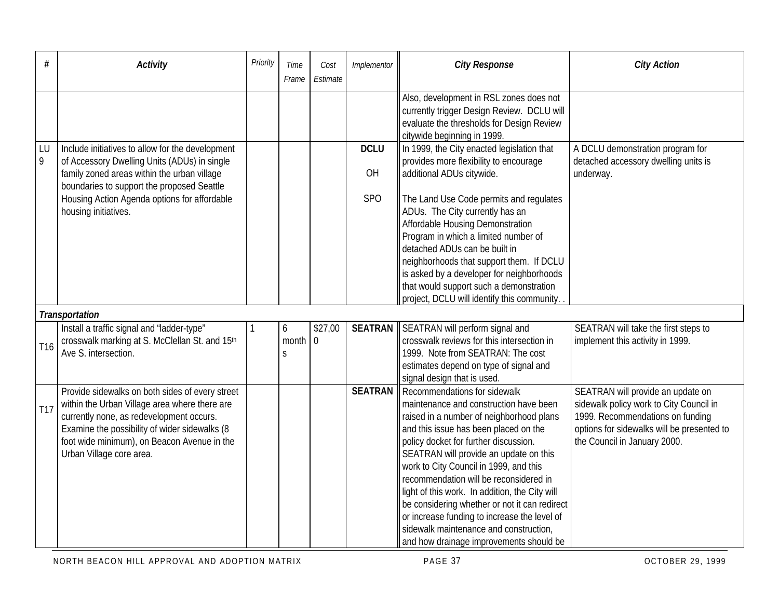| #               | <b>Activity</b>                                                                                                                                                                                                                                                          | Priority | Time<br>Frame   | Cost<br>Estimate          | Implementor    | <b>City Response</b>                                                                                                                                                                                                                                                                                                                                                                                                                                                                                                                                                       | <b>City Action</b>                                                                                                                                                                             |
|-----------------|--------------------------------------------------------------------------------------------------------------------------------------------------------------------------------------------------------------------------------------------------------------------------|----------|-----------------|---------------------------|----------------|----------------------------------------------------------------------------------------------------------------------------------------------------------------------------------------------------------------------------------------------------------------------------------------------------------------------------------------------------------------------------------------------------------------------------------------------------------------------------------------------------------------------------------------------------------------------------|------------------------------------------------------------------------------------------------------------------------------------------------------------------------------------------------|
|                 |                                                                                                                                                                                                                                                                          |          |                 |                           |                | Also, development in RSL zones does not<br>currently trigger Design Review. DCLU will<br>evaluate the thresholds for Design Review<br>citywide beginning in 1999.                                                                                                                                                                                                                                                                                                                                                                                                          |                                                                                                                                                                                                |
| LU              | Include initiatives to allow for the development                                                                                                                                                                                                                         |          |                 |                           | <b>DCLU</b>    | In 1999, the City enacted legislation that                                                                                                                                                                                                                                                                                                                                                                                                                                                                                                                                 | A DCLU demonstration program for                                                                                                                                                               |
| $\overline{9}$  | of Accessory Dwelling Units (ADUs) in single<br>family zoned areas within the urban village                                                                                                                                                                              |          |                 |                           | OH             | provides more flexibility to encourage<br>additional ADUs citywide.                                                                                                                                                                                                                                                                                                                                                                                                                                                                                                        | detached accessory dwelling units is<br>underway.                                                                                                                                              |
|                 | boundaries to support the proposed Seattle<br>Housing Action Agenda options for affordable<br>housing initiatives.                                                                                                                                                       |          |                 |                           | <b>SPO</b>     | The Land Use Code permits and regulates<br>ADUs. The City currently has an<br>Affordable Housing Demonstration<br>Program in which a limited number of<br>detached ADUs can be built in<br>neighborhoods that support them. If DCLU<br>is asked by a developer for neighborhoods<br>that would support such a demonstration<br>project, DCLU will identify this community.                                                                                                                                                                                                 |                                                                                                                                                                                                |
|                 | Transportation                                                                                                                                                                                                                                                           |          |                 |                           |                |                                                                                                                                                                                                                                                                                                                                                                                                                                                                                                                                                                            |                                                                                                                                                                                                |
| T <sub>16</sub> | Install a traffic signal and 'ladder-type"<br>crosswalk marking at S. McClellan St. and 15th<br>Ave S. intersection.                                                                                                                                                     |          | 6<br>month<br>S | \$27,00<br>$\overline{0}$ | <b>SEATRAN</b> | SEATRAN will perform signal and<br>crosswalk reviews for this intersection in<br>1999. Note from SEATRAN: The cost<br>estimates depend on type of signal and<br>signal design that is used.                                                                                                                                                                                                                                                                                                                                                                                | SEATRAN will take the first steps to<br>implement this activity in 1999.                                                                                                                       |
| T17             | Provide sidewalks on both sides of every street<br>within the Urban Village area where there are<br>currently none, as redevelopment occurs.<br>Examine the possibility of wider sidewalks (8<br>foot wide minimum), on Beacon Avenue in the<br>Urban Village core area. |          |                 |                           | <b>SEATRAN</b> | Recommendations for sidewalk<br>maintenance and construction have been<br>raised in a number of neighborhood plans<br>and this issue has been placed on the<br>policy docket for further discussion.<br>SEATRAN will provide an update on this<br>work to City Council in 1999, and this<br>recommendation will be reconsidered in<br>light of this work. In addition, the City will<br>be considering whether or not it can redirect<br>or increase funding to increase the level of<br>sidewalk maintenance and construction,<br>and how drainage improvements should be | SEATRAN will provide an update on<br>sidewalk policy work to City Council in<br>1999. Recommendations on funding<br>options for sidewalks will be presented to<br>the Council in January 2000. |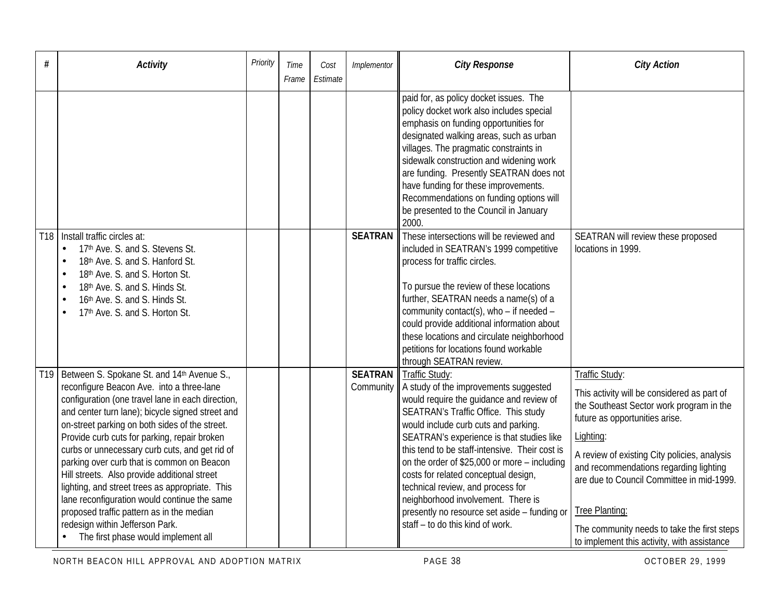| #               | <b>Activity</b>                                                                                                                                                                                                                                                                                                                                                                                                                                                                                                                                                                                                                                                              | Priority | Time<br>Frame | Cost<br>Estimate | Implementor                 | <b>City Response</b>                                                                                                                                                                                                                                                                                                                                                                                                                                                                                                                      | <b>City Action</b>                                                                                                                                                                                                                                                                                                                                                                                              |
|-----------------|------------------------------------------------------------------------------------------------------------------------------------------------------------------------------------------------------------------------------------------------------------------------------------------------------------------------------------------------------------------------------------------------------------------------------------------------------------------------------------------------------------------------------------------------------------------------------------------------------------------------------------------------------------------------------|----------|---------------|------------------|-----------------------------|-------------------------------------------------------------------------------------------------------------------------------------------------------------------------------------------------------------------------------------------------------------------------------------------------------------------------------------------------------------------------------------------------------------------------------------------------------------------------------------------------------------------------------------------|-----------------------------------------------------------------------------------------------------------------------------------------------------------------------------------------------------------------------------------------------------------------------------------------------------------------------------------------------------------------------------------------------------------------|
|                 |                                                                                                                                                                                                                                                                                                                                                                                                                                                                                                                                                                                                                                                                              |          |               |                  |                             | paid for, as policy docket issues. The<br>policy docket work also includes special<br>emphasis on funding opportunities for<br>designated walking areas, such as urban<br>villages. The pragmatic constraints in<br>sidewalk construction and widening work<br>are funding. Presently SEATRAN does not<br>have funding for these improvements.<br>Recommendations on funding options will<br>be presented to the Council in January<br>2000.                                                                                              |                                                                                                                                                                                                                                                                                                                                                                                                                 |
|                 | T18   Install traffic circles at:<br>17th Ave. S. and S. Stevens St.<br>$\bullet$<br>18th Ave. S. and S. Hanford St.<br>18th Ave. S. and S. Horton St.<br>$\bullet$<br>18th Ave. S. and S. Hinds St.<br>16th Ave. S. and S. Hinds St.<br>$\bullet$<br>17th Ave. S. and S. Horton St.                                                                                                                                                                                                                                                                                                                                                                                         |          |               |                  | <b>SEATRAN</b>              | These intersections will be reviewed and<br>included in SEATRAN's 1999 competitive<br>process for traffic circles.<br>To pursue the review of these locations<br>further, SEATRAN needs a name(s) of a<br>community contact(s), who - if needed -<br>could provide additional information about<br>these locations and circulate neighborhood<br>petitions for locations found workable<br>through SEATRAN review.                                                                                                                        | SEATRAN will review these proposed<br>locations in 1999.                                                                                                                                                                                                                                                                                                                                                        |
| T <sub>19</sub> | Between S. Spokane St. and 14th Avenue S.,<br>reconfigure Beacon Ave. into a three-lane<br>configuration (one travel lane in each direction,<br>and center turn lane); bicycle signed street and<br>on-street parking on both sides of the street.<br>Provide curb cuts for parking, repair broken<br>curbs or unnecessary curb cuts, and get rid of<br>parking over curb that is common on Beacon<br>Hill streets. Also provide additional street<br>lighting, and street trees as appropriate. This<br>lane reconfiguration would continue the same<br>proposed traffic pattern as in the median<br>redesign within Jefferson Park.<br>The first phase would implement all |          |               |                  | <b>SEATRAN</b><br>Community | Traffic Study:<br>A study of the improvements suggested<br>would require the guidance and review of<br>SEATRAN's Traffic Office. This study<br>would include curb cuts and parking.<br>SEATRAN's experience is that studies like<br>this tend to be staff-intensive. Their cost is<br>on the order of \$25,000 or more - including<br>costs for related conceptual design,<br>technical review, and process for<br>neighborhood involvement. There is<br>presently no resource set aside - funding or<br>staff - to do this kind of work. | Traffic Study:<br>This activity will be considered as part of<br>the Southeast Sector work program in the<br>future as opportunities arise.<br>Lighting:<br>A review of existing City policies, analysis<br>and recommendations regarding lighting<br>are due to Council Committee in mid-1999.<br>Tree Planting:<br>The community needs to take the first steps<br>to implement this activity, with assistance |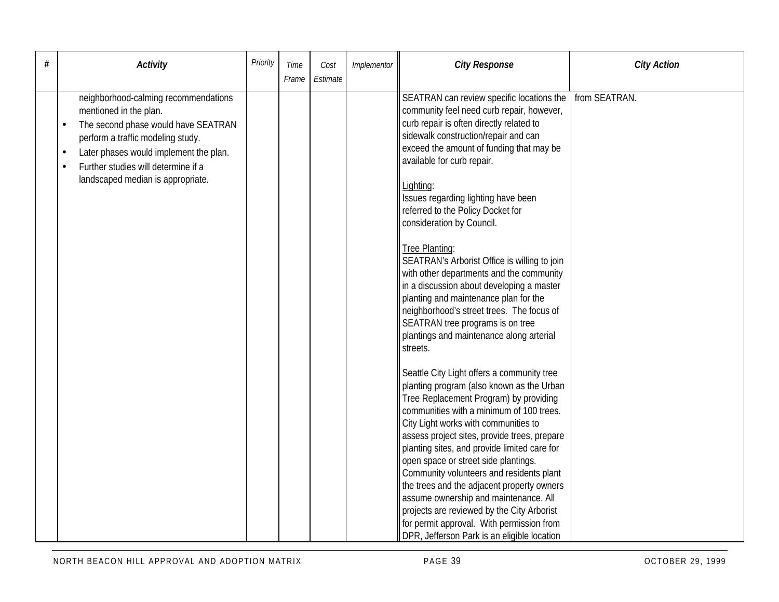| # | <b>Activity</b>                                                                                                                                                                                                                                                               | Priority | Time<br>Frame | Cost<br>Estimate | Implementor | <b>City Response</b>                                                                                                                                                                                                                                                                                                                                                                                                                                                                                                                                                                                                                                                                                                                                                                                                                                                                                                                                                                                                                                                                                                                                                                                                                                                                                                                                                  | <b>City Action</b> |
|---|-------------------------------------------------------------------------------------------------------------------------------------------------------------------------------------------------------------------------------------------------------------------------------|----------|---------------|------------------|-------------|-----------------------------------------------------------------------------------------------------------------------------------------------------------------------------------------------------------------------------------------------------------------------------------------------------------------------------------------------------------------------------------------------------------------------------------------------------------------------------------------------------------------------------------------------------------------------------------------------------------------------------------------------------------------------------------------------------------------------------------------------------------------------------------------------------------------------------------------------------------------------------------------------------------------------------------------------------------------------------------------------------------------------------------------------------------------------------------------------------------------------------------------------------------------------------------------------------------------------------------------------------------------------------------------------------------------------------------------------------------------------|--------------------|
|   | neighborhood-calming recommendations<br>mentioned in the plan.<br>The second phase would have SEATRAN<br>perform a traffic modeling study.<br>Later phases would implement the plan.<br>$\bullet$<br>Further studies will determine if a<br>landscaped median is appropriate. |          |               |                  |             | SEATRAN can review specific locations the<br>community feel need curb repair, however,<br>curb repair is often directly related to<br>sidewalk construction/repair and can<br>exceed the amount of funding that may be<br>available for curb repair.<br>Lighting:<br>Issues regarding lighting have been<br>referred to the Policy Docket for<br>consideration by Council.<br>Tree Planting:<br>SEATRAN's Arborist Office is willing to join<br>with other departments and the community<br>in a discussion about developing a master<br>planting and maintenance plan for the<br>neighborhood's street trees. The focus of<br>SEATRAN tree programs is on tree<br>plantings and maintenance along arterial<br>streets.<br>Seattle City Light offers a community tree<br>planting program (also known as the Urban<br>Tree Replacement Program) by providing<br>communities with a minimum of 100 trees.<br>City Light works with communities to<br>assess project sites, provide trees, prepare<br>planting sites, and provide limited care for<br>open space or street side plantings.<br>Community volunteers and residents plant<br>the trees and the adjacent property owners<br>assume ownership and maintenance. All<br>projects are reviewed by the City Arborist<br>for permit approval. With permission from<br>DPR, Jefferson Park is an eligible location | from SEATRAN.      |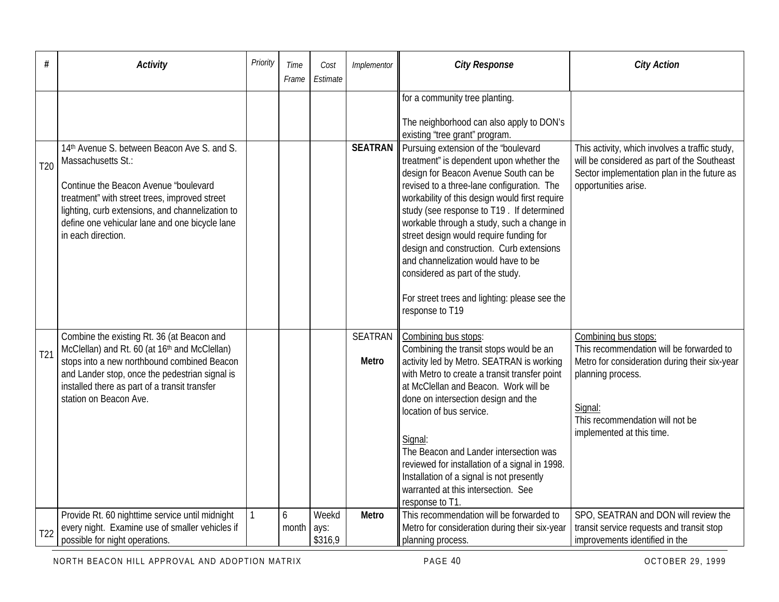| #               | <b>Activity</b>                                                                                                                                                                                                                                                                          | Priority | Time<br>Frame | Cost<br>Estimate         | Implementor                    | <b>City Response</b>                                                                                                                                                                                                                                                                                                                                                                                                                                                                                                                                       | <b>City Action</b>                                                                                                                                                                                                |
|-----------------|------------------------------------------------------------------------------------------------------------------------------------------------------------------------------------------------------------------------------------------------------------------------------------------|----------|---------------|--------------------------|--------------------------------|------------------------------------------------------------------------------------------------------------------------------------------------------------------------------------------------------------------------------------------------------------------------------------------------------------------------------------------------------------------------------------------------------------------------------------------------------------------------------------------------------------------------------------------------------------|-------------------------------------------------------------------------------------------------------------------------------------------------------------------------------------------------------------------|
|                 |                                                                                                                                                                                                                                                                                          |          |               |                          |                                | for a community tree planting.<br>The neighborhood can also apply to DON's<br>existing 'tree grant" program.                                                                                                                                                                                                                                                                                                                                                                                                                                               |                                                                                                                                                                                                                   |
| T <sub>20</sub> | 14th Avenue S. between Beacon Ave S. and S.<br>Massachusetts St.:<br>Continue the Beacon Avenue "boulevard"<br>treatment" with street trees, improved street<br>lighting, curb extensions, and channelization to<br>define one vehicular lane and one bicycle lane<br>in each direction. |          |               |                          | <b>SEATRAN</b>                 | Pursuing extension of the 'boulevard<br>treatment" is dependent upon whether the<br>design for Beacon Avenue South can be<br>revised to a three-lane configuration. The<br>workability of this design would first require<br>study (see response to T19. If determined<br>workable through a study, such a change in<br>street design would require funding for<br>design and construction. Curb extensions<br>and channelization would have to be<br>considered as part of the study.<br>For street trees and lighting: please see the<br>response to T19 | This activity, which involves a traffic study,<br>will be considered as part of the Southeast<br>Sector implementation plan in the future as<br>opportunities arise.                                              |
| T <sub>21</sub> | Combine the existing Rt. 36 (at Beacon and<br>McClellan) and Rt. 60 (at 16th and McClellan)<br>stops into a new northbound combined Beacon<br>and Lander stop, once the pedestrian signal is<br>installed there as part of a transit transfer<br>station on Beacon Ave.                  |          |               |                          | <b>SEATRAN</b><br><b>Metro</b> | Combining bus stops:<br>Combining the transit stops would be an<br>activity led by Metro. SEATRAN is working<br>with Metro to create a transit transfer point<br>at McClellan and Beacon. Work will be<br>done on intersection design and the<br>location of bus service.<br>Signal:<br>The Beacon and Lander intersection was<br>reviewed for installation of a signal in 1998.<br>Installation of a signal is not presently<br>warranted at this intersection. See<br>response to T1                                                                     | Combining bus stops:<br>This recommendation will be forwarded to<br>Metro for consideration during their six-year<br>planning process.<br>Signal:<br>This recommendation will not be<br>implemented at this time. |
| T <sub>22</sub> | Provide Rt. 60 nighttime service until midnight<br>every night. Examine use of smaller vehicles if<br>possible for night operations.                                                                                                                                                     |          | 6<br>month    | Weekd<br>ays:<br>\$316,9 | Metro                          | This recommendation will be forwarded to<br>Metro for consideration during their six-year<br>planning process.                                                                                                                                                                                                                                                                                                                                                                                                                                             | SPO, SEATRAN and DON will review the<br>transit service requests and transit stop<br>improvements identified in the                                                                                               |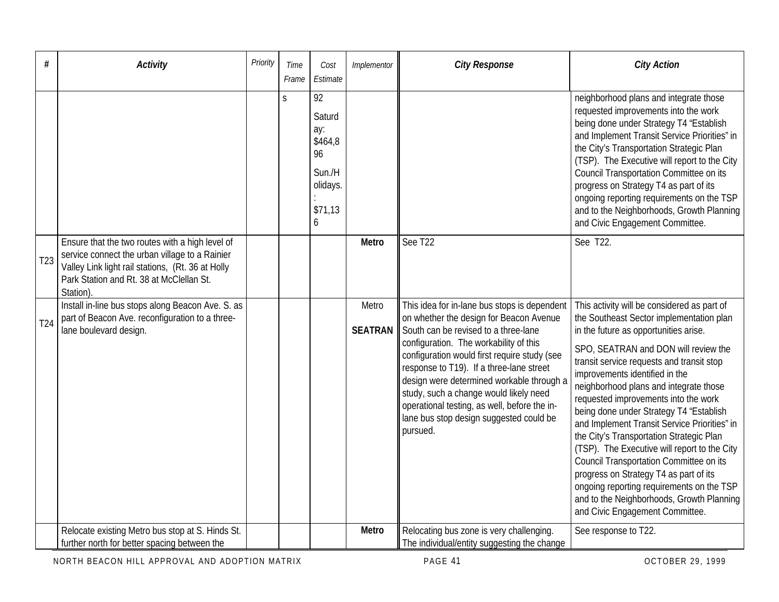| #               | <b>Activity</b>                                                                                                                                                                                                | Priority | Time<br>Frame | Cost<br>Estimate                                                           | Implementor             | <b>City Response</b>                                                                                                                                                                                                                                                                                                                                                                                                                                                | <b>City Action</b>                                                                                                                                                                                                                                                                                                                                                                                                                                                                                                                                                                                                                                                                                                                                 |
|-----------------|----------------------------------------------------------------------------------------------------------------------------------------------------------------------------------------------------------------|----------|---------------|----------------------------------------------------------------------------|-------------------------|---------------------------------------------------------------------------------------------------------------------------------------------------------------------------------------------------------------------------------------------------------------------------------------------------------------------------------------------------------------------------------------------------------------------------------------------------------------------|----------------------------------------------------------------------------------------------------------------------------------------------------------------------------------------------------------------------------------------------------------------------------------------------------------------------------------------------------------------------------------------------------------------------------------------------------------------------------------------------------------------------------------------------------------------------------------------------------------------------------------------------------------------------------------------------------------------------------------------------------|
|                 |                                                                                                                                                                                                                |          | $\mathsf{S}$  | 92<br>Saturd<br>ay:<br>\$464,8<br>96<br>Sun./H<br>olidays.<br>\$71,13<br>6 |                         |                                                                                                                                                                                                                                                                                                                                                                                                                                                                     | neighborhood plans and integrate those<br>requested improvements into the work<br>being done under Strategy T4 "Establish<br>and Implement Transit Service Priorities" in<br>the City's Transportation Strategic Plan<br>(TSP). The Executive will report to the City<br>Council Transportation Committee on its<br>progress on Strategy T4 as part of its<br>ongoing reporting requirements on the TSP<br>and to the Neighborhoods, Growth Planning<br>and Civic Engagement Committee.                                                                                                                                                                                                                                                            |
| T <sub>23</sub> | Ensure that the two routes with a high level of<br>service connect the urban village to a Rainier<br>Valley Link light rail stations, (Rt. 36 at Holly<br>Park Station and Rt. 38 at McClellan St.<br>Station) |          |               |                                                                            | Metro                   | See T22                                                                                                                                                                                                                                                                                                                                                                                                                                                             | See T22.                                                                                                                                                                                                                                                                                                                                                                                                                                                                                                                                                                                                                                                                                                                                           |
| T <sub>24</sub> | Install in-line bus stops along Beacon Ave. S. as<br>part of Beacon Ave. reconfiguration to a three-<br>lane boulevard design.                                                                                 |          |               |                                                                            | Metro<br><b>SEATRAN</b> | This idea for in-lane bus stops is dependent<br>on whether the design for Beacon Avenue<br>South can be revised to a three-lane<br>configuration. The workability of this<br>configuration would first require study (see<br>response to T19). If a three-lane street<br>design were determined workable through a<br>study, such a change would likely need<br>operational testing, as well, before the in-<br>lane bus stop design suggested could be<br>pursued. | This activity will be considered as part of<br>the Southeast Sector implementation plan<br>in the future as opportunities arise.<br>SPO, SEATRAN and DON will review the<br>transit service requests and transit stop<br>improvements identified in the<br>neighborhood plans and integrate those<br>requested improvements into the work<br>being done under Strategy T4 "Establish<br>and Implement Transit Service Priorities" in<br>the City's Transportation Strategic Plan<br>(TSP). The Executive will report to the City<br>Council Transportation Committee on its<br>progress on Strategy T4 as part of its<br>ongoing reporting requirements on the TSP<br>and to the Neighborhoods, Growth Planning<br>and Civic Engagement Committee. |
|                 | Relocate existing Metro bus stop at S. Hinds St.<br>further north for better spacing between the                                                                                                               |          |               |                                                                            | Metro                   | Relocating bus zone is very challenging.<br>The individual/entity suggesting the change                                                                                                                                                                                                                                                                                                                                                                             | See response to T22.                                                                                                                                                                                                                                                                                                                                                                                                                                                                                                                                                                                                                                                                                                                               |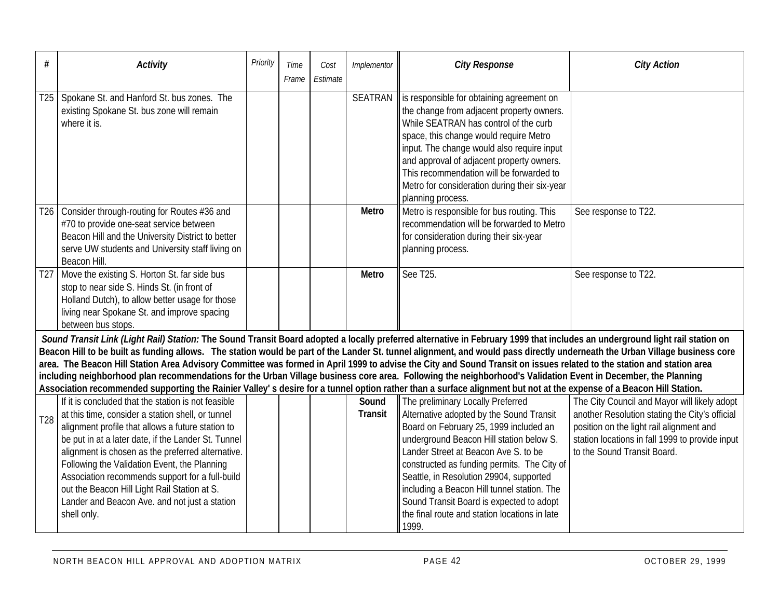| #               | <b>Activity</b>                                                                                                                                                                                                                                                                                                                                                                                                                                                                                                                                                                                                                                                                                                                                                                                                                                                              | Priority | Time<br>Frame | Cost<br>Estimate | Implementor      | <b>City Response</b>                                                                                                                                                                                                                                                                                                                                                                                                                                       | <b>City Action</b>                                                                                                                                                                                                           |  |  |  |  |  |
|-----------------|------------------------------------------------------------------------------------------------------------------------------------------------------------------------------------------------------------------------------------------------------------------------------------------------------------------------------------------------------------------------------------------------------------------------------------------------------------------------------------------------------------------------------------------------------------------------------------------------------------------------------------------------------------------------------------------------------------------------------------------------------------------------------------------------------------------------------------------------------------------------------|----------|---------------|------------------|------------------|------------------------------------------------------------------------------------------------------------------------------------------------------------------------------------------------------------------------------------------------------------------------------------------------------------------------------------------------------------------------------------------------------------------------------------------------------------|------------------------------------------------------------------------------------------------------------------------------------------------------------------------------------------------------------------------------|--|--|--|--|--|
| T <sub>25</sub> | Spokane St. and Hanford St. bus zones. The<br>existing Spokane St. bus zone will remain<br>where it is.                                                                                                                                                                                                                                                                                                                                                                                                                                                                                                                                                                                                                                                                                                                                                                      |          |               |                  | SEATRAN          | is responsible for obtaining agreement on<br>the change from adjacent property owners.<br>While SEATRAN has control of the curb<br>space, this change would require Metro<br>input. The change would also require input<br>and approval of adjacent property owners.<br>This recommendation will be forwarded to<br>Metro for consideration during their six-year<br>planning process.                                                                     |                                                                                                                                                                                                                              |  |  |  |  |  |
| T <sub>26</sub> | Consider through-routing for Routes #36 and<br>#70 to provide one-seat service between<br>Beacon Hill and the University District to better<br>serve UW students and University staff living on<br>Beacon Hill.                                                                                                                                                                                                                                                                                                                                                                                                                                                                                                                                                                                                                                                              |          |               |                  | Metro            | Metro is responsible for bus routing. This<br>recommendation will be forwarded to Metro<br>for consideration during their six-year<br>planning process.                                                                                                                                                                                                                                                                                                    | See response to T22.                                                                                                                                                                                                         |  |  |  |  |  |
| T <sub>27</sub> | Move the existing S. Horton St. far side bus<br>stop to near side S. Hinds St. (in front of<br>Holland Dutch), to allow better usage for those<br>living near Spokane St. and improve spacing<br>between bus stops.                                                                                                                                                                                                                                                                                                                                                                                                                                                                                                                                                                                                                                                          |          |               |                  | Metro            | See T25.                                                                                                                                                                                                                                                                                                                                                                                                                                                   | See response to T22.                                                                                                                                                                                                         |  |  |  |  |  |
|                 | Sound Transit Link (Light Rail) Station: The Sound Transit Board adopted a locally preferred alternative in February 1999 that includes an underground light rail station on<br>Beacon Hill to be built as funding allows. The station would be part of the Lander St. tunnel alignment, and would pass directly underneath the Urban Village business core<br>area. The Beacon Hill Station Area Advisory Committee was formed in April 1999 to advise the City and Sound Transit on issues related to the station and station area<br>including neighborhood plan recommendations for the Urban Village business core area. Following the neighborhood's Validation Event in December, the Planning<br>Association recommended supporting the Rainier Valley's desire for a tunnel option rather than a surface alignment but not at the expense of a Beacon Hill Station. |          |               |                  |                  |                                                                                                                                                                                                                                                                                                                                                                                                                                                            |                                                                                                                                                                                                                              |  |  |  |  |  |
| T <sub>28</sub> | If it is concluded that the station is not feasible<br>at this time, consider a station shell, or tunnel<br>alignment profile that allows a future station to<br>be put in at a later date, if the Lander St. Tunnel<br>alignment is chosen as the preferred alternative.<br>Following the Validation Event, the Planning<br>Association recommends support for a full-build<br>out the Beacon Hill Light Rail Station at S.<br>Lander and Beacon Ave. and not just a station<br>shell only.                                                                                                                                                                                                                                                                                                                                                                                 |          |               |                  | Sound<br>Transit | The preliminary Locally Preferred<br>Alternative adopted by the Sound Transit<br>Board on February 25, 1999 included an<br>underground Beacon Hill station below S.<br>Lander Street at Beacon Ave S. to be<br>constructed as funding permits. The City of<br>Seattle, in Resolution 29904, supported<br>including a Beacon Hill tunnel station. The<br>Sound Transit Board is expected to adopt<br>the final route and station locations in late<br>1999. | The City Council and Mayor will likely adopt<br>another Resolution stating the City's official<br>position on the light rail alignment and<br>station locations in fall 1999 to provide input<br>to the Sound Transit Board. |  |  |  |  |  |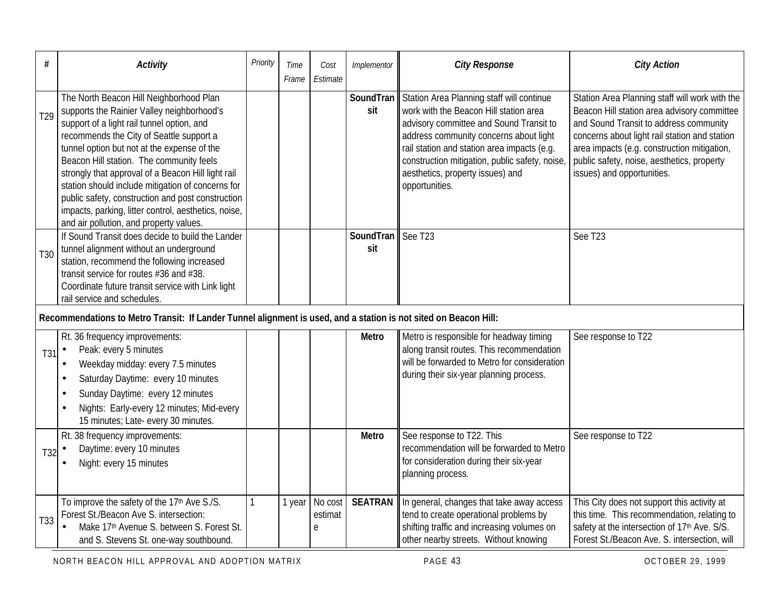| #               | <b>Activity</b>                                                                                                                                                                                                                                                                                                                                                                                                                                                                                                                               | Priority | Time<br>Frame | Cost<br>Estimate        | Implementor             | <b>City Response</b>                                                                                                                                                                                                                                                                                                            | <b>City Action</b>                                                                                                                                                                                                                                                                                                  |
|-----------------|-----------------------------------------------------------------------------------------------------------------------------------------------------------------------------------------------------------------------------------------------------------------------------------------------------------------------------------------------------------------------------------------------------------------------------------------------------------------------------------------------------------------------------------------------|----------|---------------|-------------------------|-------------------------|---------------------------------------------------------------------------------------------------------------------------------------------------------------------------------------------------------------------------------------------------------------------------------------------------------------------------------|---------------------------------------------------------------------------------------------------------------------------------------------------------------------------------------------------------------------------------------------------------------------------------------------------------------------|
| T <sub>29</sub> | The North Beacon Hill Neighborhood Plan<br>supports the Rainier Valley neighborhood's<br>support of a light rail tunnel option, and<br>recommends the City of Seattle support a<br>tunnel option but not at the expense of the<br>Beacon Hill station. The community feels<br>strongly that approval of a Beacon Hill light rail<br>station should include mitigation of concerns for<br>public safety, construction and post construction<br>impacts, parking, litter control, aesthetics, noise,<br>and air pollution, and property values. |          |               |                         | <b>SoundTran</b><br>sit | Station Area Planning staff will continue<br>work with the Beacon Hill station area<br>advisory committee and Sound Transit to<br>address community concerns about light<br>rail station and station area impacts (e.g.<br>construction mitigation, public safety, noise,<br>aesthetics, property issues) and<br>opportunities. | Station Area Planning staff will work with the<br>Beacon Hill station area advisory committee<br>and Sound Transit to address community<br>concerns about light rail station and station<br>area impacts (e.g. construction mitigation,<br>public safety, noise, aesthetics, property<br>issues) and opportunities. |
| T30             | If Sound Transit does decide to build the Lander<br>tunnel alignment without an underground<br>station, recommend the following increased<br>transit service for routes #36 and #38.<br>Coordinate future transit service with Link light<br>rail service and schedules.                                                                                                                                                                                                                                                                      |          |               |                         | SoundTran<br>sit        | See T23                                                                                                                                                                                                                                                                                                                         | See T23                                                                                                                                                                                                                                                                                                             |
|                 | Recommendations to Metro Transit: If Lander Tunnel alignment is used, and a station is not sited on Beacon Hill:                                                                                                                                                                                                                                                                                                                                                                                                                              |          |               |                         |                         |                                                                                                                                                                                                                                                                                                                                 |                                                                                                                                                                                                                                                                                                                     |
| T31             | Rt. 36 frequency improvements:<br>Peak: every 5 minutes<br>$\bullet$<br>Weekday midday: every 7.5 minutes<br>$\bullet$<br>Saturday Daytime: every 10 minutes<br>$\bullet$<br>Sunday Daytime: every 12 minutes<br>٠<br>Nights: Early-every 12 minutes; Mid-every<br>$\bullet$<br>15 minutes; Late- every 30 minutes.                                                                                                                                                                                                                           |          |               |                         | Metro                   | Metro is responsible for headway timing<br>along transit routes. This recommendation<br>will be forwarded to Metro for consideration<br>during their six-year planning process.                                                                                                                                                 | See response to T22                                                                                                                                                                                                                                                                                                 |
| T32             | Rt. 38 frequency improvements:<br>Daytime: every 10 minutes<br>$\bullet$<br>Night: every 15 minutes<br>$\bullet$                                                                                                                                                                                                                                                                                                                                                                                                                              |          |               |                         | Metro                   | See response to T22. This<br>recommendation will be forwarded to Metro<br>for consideration during their six-year<br>planning process.                                                                                                                                                                                          | See response to T22                                                                                                                                                                                                                                                                                                 |
| T33             | To improve the safety of the 17th Ave S./S.<br>Forest St./Beacon Ave S. intersection:<br>Make 17th Avenue S. between S. Forest St.<br>and S. Stevens St. one-way southbound.                                                                                                                                                                                                                                                                                                                                                                  | 1        | 1 year        | No cost<br>estimat<br>е | <b>SEATRAN</b>          | In general, changes that take away access<br>tend to create operational problems by<br>shifting traffic and increasing volumes on<br>other nearby streets. Without knowing                                                                                                                                                      | This City does not support this activity at<br>this time. This recommendation, relating to<br>safety at the intersection of 17th Ave. S/S.<br>Forest St./Beacon Ave. S. intersection, will                                                                                                                          |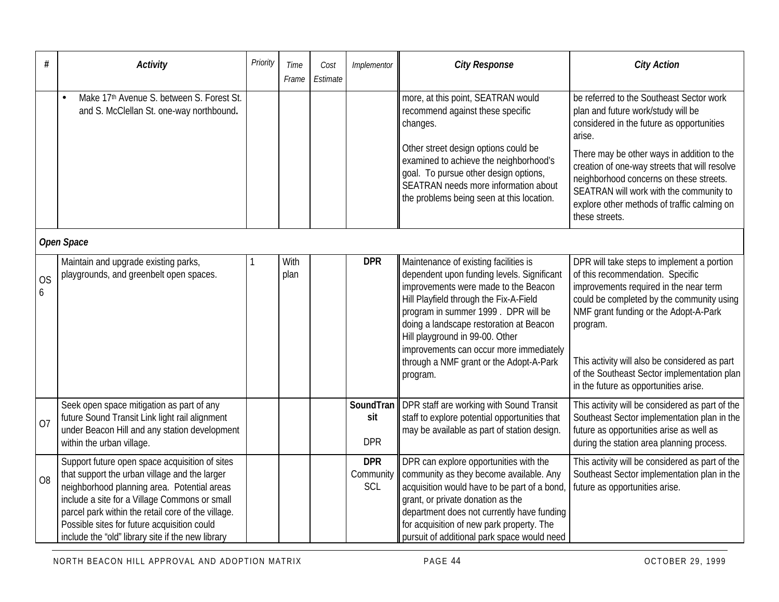| #              | <b>Activity</b>                                                                                                                                                                                                                                                                                                                                           | Priority | Time<br>Frame | Cost<br>Estimate | Implementor                    | <b>City Response</b>                                                                                                                                                                                                                                                                                                                                                                         | <b>City Action</b>                                                                                                                                                                                                                                                                                                                                                                          |  |  |
|----------------|-----------------------------------------------------------------------------------------------------------------------------------------------------------------------------------------------------------------------------------------------------------------------------------------------------------------------------------------------------------|----------|---------------|------------------|--------------------------------|----------------------------------------------------------------------------------------------------------------------------------------------------------------------------------------------------------------------------------------------------------------------------------------------------------------------------------------------------------------------------------------------|---------------------------------------------------------------------------------------------------------------------------------------------------------------------------------------------------------------------------------------------------------------------------------------------------------------------------------------------------------------------------------------------|--|--|
|                | Make 17th Avenue S. between S. Forest St.<br>and S. McClellan St. one-way northbound.                                                                                                                                                                                                                                                                     |          |               |                  |                                | more, at this point, SEATRAN would<br>recommend against these specific<br>changes.<br>Other street design options could be<br>examined to achieve the neighborhood's<br>goal. To pursue other design options,<br>SEATRAN needs more information about<br>the problems being seen at this location.                                                                                           | be referred to the Southeast Sector work<br>plan and future work/study will be<br>considered in the future as opportunities<br>arise.<br>There may be other ways in addition to the<br>creation of one-way streets that will resolve<br>neighborhood concerns on these streets.<br>SEATRAN will work with the community to<br>explore other methods of traffic calming on<br>these streets. |  |  |
|                | Open Space                                                                                                                                                                                                                                                                                                                                                |          |               |                  |                                |                                                                                                                                                                                                                                                                                                                                                                                              |                                                                                                                                                                                                                                                                                                                                                                                             |  |  |
| <b>OS</b><br>6 | Maintain and upgrade existing parks,<br>playgrounds, and greenbelt open spaces.                                                                                                                                                                                                                                                                           |          | With<br>plan  |                  | <b>DPR</b>                     | Maintenance of existing facilities is<br>dependent upon funding levels. Significant<br>improvements were made to the Beacon<br>Hill Playfield through the Fix-A-Field<br>program in summer 1999. DPR will be<br>doing a landscape restoration at Beacon<br>Hill playground in 99-00. Other<br>improvements can occur more immediately<br>through a NMF grant or the Adopt-A-Park<br>program. | DPR will take steps to implement a portion<br>of this recommendation. Specific<br>improvements required in the near term<br>could be completed by the community using<br>NMF grant funding or the Adopt-A-Park<br>program.<br>This activity will also be considered as part<br>of the Southeast Sector implementation plan<br>in the future as opportunities arise.                         |  |  |
| 07             | Seek open space mitigation as part of any<br>future Sound Transit Link light rail alignment<br>under Beacon Hill and any station development<br>within the urban village.                                                                                                                                                                                 |          |               |                  | SoundTran<br>sit<br><b>DPR</b> | DPR staff are working with Sound Transit<br>staff to explore potential opportunities that<br>may be available as part of station design.                                                                                                                                                                                                                                                     | This activity will be considered as part of the<br>Southeast Sector implementation plan in the<br>future as opportunities arise as well as<br>during the station area planning process.                                                                                                                                                                                                     |  |  |
| O <sub>8</sub> | Support future open space acquisition of sites<br>that support the urban village and the larger<br>neighborhood planning area. Potential areas<br>include a site for a Village Commons or small<br>parcel park within the retail core of the village.<br>Possible sites for future acquisition could<br>include the "old" library site if the new library |          |               |                  | <b>DPR</b><br>Community<br>SCL | DPR can explore opportunities with the<br>community as they become available. Any<br>acquisition would have to be part of a bond<br>grant, or private donation as the<br>department does not currently have funding<br>for acquisition of new park property. The<br>pursuit of additional park space would need                                                                              | This activity will be considered as part of the<br>Southeast Sector implementation plan in the<br>future as opportunities arise.                                                                                                                                                                                                                                                            |  |  |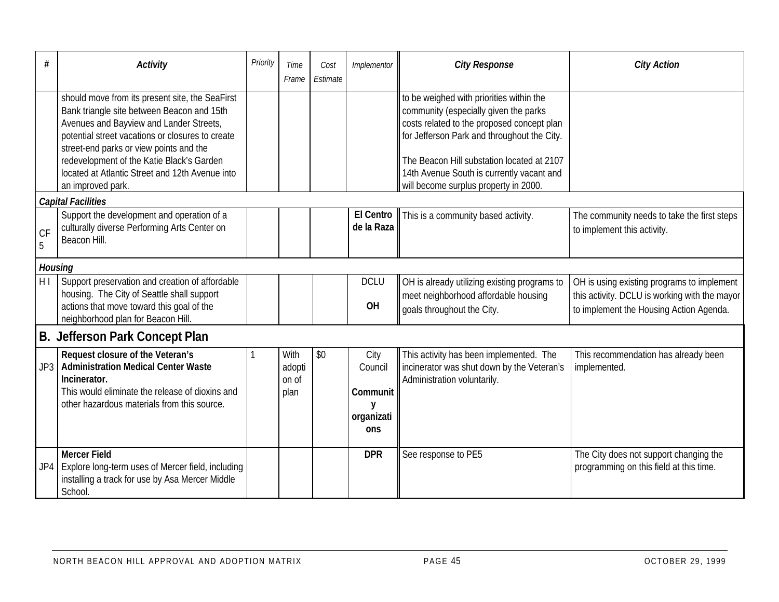| #              | <b>Activity</b>                                                                                                                                                                                                                                                                                                                                              | Priority | Time<br>Frame                   | Cost<br>Estimate | Implementor                                           | <b>City Response</b>                                                                                                                                                                                                                                                                                               | <b>City Action</b>                                                                                                                     |
|----------------|--------------------------------------------------------------------------------------------------------------------------------------------------------------------------------------------------------------------------------------------------------------------------------------------------------------------------------------------------------------|----------|---------------------------------|------------------|-------------------------------------------------------|--------------------------------------------------------------------------------------------------------------------------------------------------------------------------------------------------------------------------------------------------------------------------------------------------------------------|----------------------------------------------------------------------------------------------------------------------------------------|
|                | should move from its present site, the SeaFirst<br>Bank triangle site between Beacon and 15th<br>Avenues and Bayview and Lander Streets,<br>potential street vacations or closures to create<br>street-end parks or view points and the<br>redevelopment of the Katie Black's Garden<br>located at Atlantic Street and 12th Avenue into<br>an improved park. |          |                                 |                  |                                                       | to be weighed with priorities within the<br>community (especially given the parks<br>costs related to the proposed concept plan<br>for Jefferson Park and throughout the City.<br>The Beacon Hill substation located at 2107<br>14th Avenue South is currently vacant and<br>will become surplus property in 2000. |                                                                                                                                        |
|                | <b>Capital Facilities</b>                                                                                                                                                                                                                                                                                                                                    |          |                                 |                  |                                                       |                                                                                                                                                                                                                                                                                                                    |                                                                                                                                        |
| CF<br>5        | Support the development and operation of a<br>culturally diverse Performing Arts Center on<br>Beacon Hill.                                                                                                                                                                                                                                                   |          |                                 |                  | <b>El Centro</b><br>de la Raza                        | This is a community based activity.                                                                                                                                                                                                                                                                                | The community needs to take the first steps<br>to implement this activity.                                                             |
| <b>Housing</b> |                                                                                                                                                                                                                                                                                                                                                              |          |                                 |                  |                                                       |                                                                                                                                                                                                                                                                                                                    |                                                                                                                                        |
| H <sub>1</sub> | Support preservation and creation of affordable<br>housing. The City of Seattle shall support<br>actions that move toward this goal of the<br>neighborhood plan for Beacon Hill.                                                                                                                                                                             |          |                                 |                  | <b>DCLU</b><br>OH                                     | OH is already utilizing existing programs to<br>meet neighborhood affordable housing<br>goals throughout the City.                                                                                                                                                                                                 | OH is using existing programs to implement<br>this activity. DCLU is working with the mayor<br>to implement the Housing Action Agenda. |
|                | B. Jefferson Park Concept Plan                                                                                                                                                                                                                                                                                                                               |          |                                 |                  |                                                       |                                                                                                                                                                                                                                                                                                                    |                                                                                                                                        |
| JP3            | Request closure of the Veteran's<br>Administration Medical Center Waste<br>Incinerator.<br>This would eliminate the release of dioxins and<br>other hazardous materials from this source.                                                                                                                                                                    |          | With<br>adopti<br>on of<br>plan | \$0              | City<br>Council<br>Communit<br>y<br>organizati<br>ons | This activity has been implemented. The<br>incinerator was shut down by the Veteran's<br>Administration voluntarily.                                                                                                                                                                                               | This recommendation has already been<br>implemented.                                                                                   |
| JP4            | <b>Mercer Field</b><br>Explore long-term uses of Mercer field, including<br>installing a track for use by Asa Mercer Middle<br>School.                                                                                                                                                                                                                       |          |                                 |                  | <b>DPR</b>                                            | See response to PE5                                                                                                                                                                                                                                                                                                | The City does not support changing the<br>programming on this field at this time.                                                      |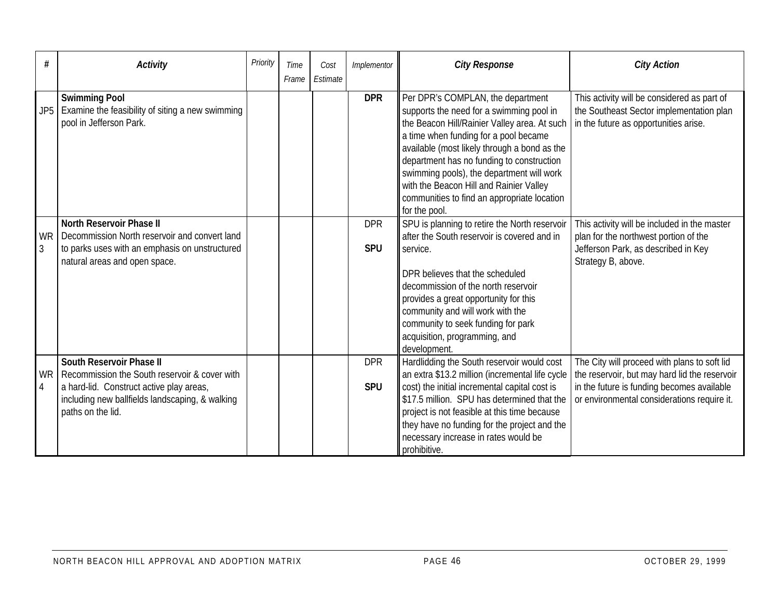| #                         | <b>Activity</b>                                                                                                                                                                               | Priority | Time  | Cost     | Implementor              | <b>City Response</b>                                                                                                                                                                                                                                                                                                                                                                                                        | <b>City Action</b>                                                                                                                                                                         |
|---------------------------|-----------------------------------------------------------------------------------------------------------------------------------------------------------------------------------------------|----------|-------|----------|--------------------------|-----------------------------------------------------------------------------------------------------------------------------------------------------------------------------------------------------------------------------------------------------------------------------------------------------------------------------------------------------------------------------------------------------------------------------|--------------------------------------------------------------------------------------------------------------------------------------------------------------------------------------------|
|                           |                                                                                                                                                                                               |          | Frame | Estimate |                          |                                                                                                                                                                                                                                                                                                                                                                                                                             |                                                                                                                                                                                            |
| JP5                       | <b>Swimming Pool</b><br>Examine the feasibility of siting a new swimming<br>pool in Jefferson Park.                                                                                           |          |       |          | <b>DPR</b>               | Per DPR's COMPLAN, the department<br>supports the need for a swimming pool in<br>the Beacon Hill/Rainier Valley area. At such<br>a time when funding for a pool became<br>available (most likely through a bond as the<br>department has no funding to construction<br>swimming pools), the department will work<br>with the Beacon Hill and Rainier Valley<br>communities to find an appropriate location<br>for the pool. | This activity will be considered as part of<br>the Southeast Sector implementation plan<br>in the future as opportunities arise.                                                           |
| <b>WR</b><br>$\mathbf{3}$ | <b>North Reservoir Phase II</b><br>Decommission North reservoir and convert land<br>to parks uses with an emphasis on unstructured<br>natural areas and open space.                           |          |       |          | <b>DPR</b><br><b>SPU</b> | SPU is planning to retire the North reservoir<br>after the South reservoir is covered and in<br>service.<br>DPR believes that the scheduled<br>decommission of the north reservoir<br>provides a great opportunity for this<br>community and will work with the<br>community to seek funding for park<br>acquisition, programming, and<br>development.                                                                      | This activity will be included in the master<br>plan for the northwest portion of the<br>Jefferson Park, as described in Key<br>Strategy B, above.                                         |
| <b>WR</b><br>4            | South Reservoir Phase II<br>Recommission the South reservoir & cover with<br>a hard-lid. Construct active play areas,<br>including new ballfields landscaping, & walking<br>paths on the lid. |          |       |          | <b>DPR</b><br><b>SPU</b> | Hardlidding the South reservoir would cost<br>an extra \$13.2 million (incremental life cycle<br>cost) the initial incremental capital cost is<br>\$17.5 million. SPU has determined that the<br>project is not feasible at this time because<br>they have no funding for the project and the<br>necessary increase in rates would be<br>prohibitive.                                                                       | The City will proceed with plans to soft lid<br>the reservoir, but may hard lid the reservoir<br>in the future is funding becomes available<br>or environmental considerations require it. |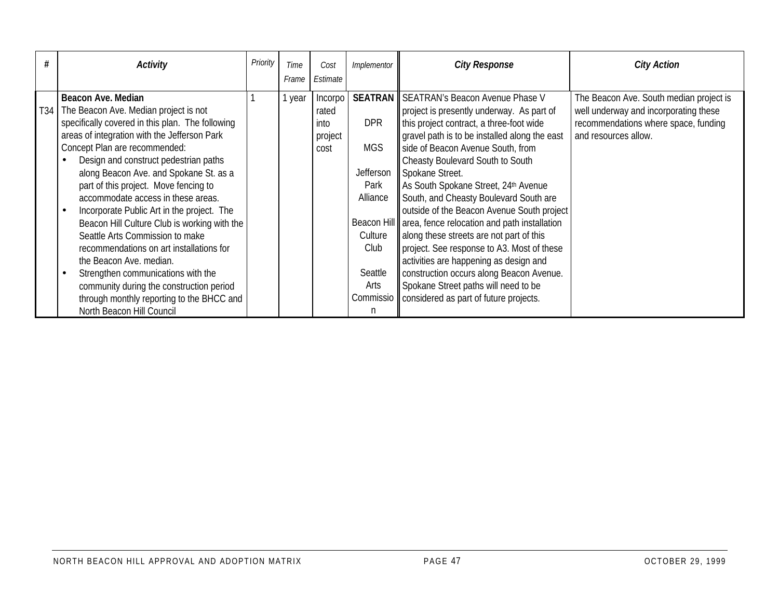| #   | Activity                                                                                         | Priority | Time  | Cost             | Implementor       | <b>City Response</b>                                                                                 | <b>City Action</b>                                                               |
|-----|--------------------------------------------------------------------------------------------------|----------|-------|------------------|-------------------|------------------------------------------------------------------------------------------------------|----------------------------------------------------------------------------------|
|     |                                                                                                  |          | Frame | Estimate         |                   |                                                                                                      |                                                                                  |
| T34 | Beacon Ave. Median<br>The Beacon Ave. Median project is not                                      |          | year  | Incorpo<br>rated |                   | <b>SEATRAN</b> SEATRAN's Beacon Avenue Phase V<br>project is presently underway. As part of          | The Beacon Ave. South median project is<br>well underway and incorporating these |
|     | specifically covered in this plan. The following<br>areas of integration with the Jefferson Park |          |       | into<br>project  | <b>DPR</b>        | this project contract, a three-foot wide<br>gravel path is to be installed along the east            | recommendations where space, funding<br>and resources allow.                     |
|     | Concept Plan are recommended:<br>Design and construct pedestrian paths                           |          |       | cost             | <b>MGS</b>        | side of Beacon Avenue South, from<br>Cheasty Boulevard South to South                                |                                                                                  |
|     | along Beacon Ave. and Spokane St. as a<br>part of this project. Move fencing to                  |          |       |                  | Jefferson<br>Park | Spokane Street.<br>As South Spokane Street, 24th Avenue                                              |                                                                                  |
|     | accommodate access in these areas.<br>Incorporate Public Art in the project. The                 |          |       |                  | Alliance          | South, and Cheasty Boulevard South are<br>outside of the Beacon Avenue South project                 |                                                                                  |
|     | Beacon Hill Culture Club is working with the<br>Seattle Arts Commission to make                  |          |       |                  | Culture           | Beacon Hill area, fence relocation and path installation<br>along these streets are not part of this |                                                                                  |
|     | recommendations on art installations for<br>the Beacon Ave. median.                              |          |       |                  | Club              | project. See response to A3. Most of these<br>activities are happening as design and                 |                                                                                  |
|     | Strengthen communications with the<br>community during the construction period                   |          |       |                  | Seattle<br>Arts   | construction occurs along Beacon Avenue.<br>Spokane Street paths will need to be                     |                                                                                  |
|     | through monthly reporting to the BHCC and<br>North Beacon Hill Council                           |          |       |                  |                   | Commissio   considered as part of future projects.                                                   |                                                                                  |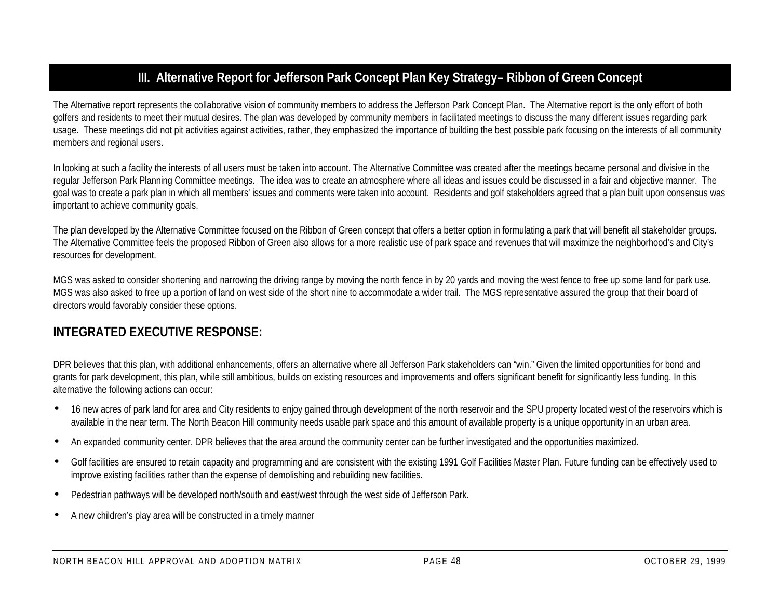# **III. Alternative Report for Jefferson Park Concept Plan Key Strategy– Ribbon of Green Concept**

The Alternative report represents the collaborative vision of community members to address the Jefferson Park Concept Plan. The Alternative report is the only effort of both golfers and residents to meet their mutual desires. The plan was developed by community members in facilitated meetings to discuss the many different issues regarding park usage. These meetings did not pit activities against activities, rather, they emphasized the importance of building the best possible park focusing on the interests of all community members and regional users.

In looking at such a facility the interests of all users must be taken into account. The Alternative Committee was created after the meetings became personal and divisive in the regular Jefferson Park Planning Committee meetings. The idea was to create an atmosphere where all ideas and issues could be discussed in a fair and objective manner. The goal was to create a park plan in which all members' issues and comments were taken into account. Residents and golf stakeholders agreed that a plan built upon consensus was important to achieve community goals.

The plan developed by the Alternative Committee focused on the Ribbon of Green concept that offers a better option in formulating a park that will benefit all stakeholder groups. The Alternative Committee feels the proposed Ribbon of Green also allows for a more realistic use of park space and revenues that will maximize the neighborhood's and City's resources for development.

MGS was asked to consider shortening and narrowing the driving range by moving the north fence in by 20 yards and moving the west fence to free up some land for park use. MGS was also asked to free up a portion of land on west side of the short nine to accommodate a wider trail. The MGS representative assured the group that their board of directors would favorably consider these options.

## **INTEGRATED EXECUTIVE RESPONSE:**

DPR believes that this plan, with additional enhancements, offers an alternative where all Jefferson Park stakeholders can "win." Given the limited opportunities for bond and grants for park development, this plan, while still ambitious, builds on existing resources and improvements and offers significant benefit for significantly less funding. In this alternative the following actions can occur:

- 16 new acres of park land for area and City residents to enjoy gained through development of the north reservoir and the SPU property located west of the reservoirs which is available in the near term. The North Beacon Hill community needs usable park space and this amount of available property is a unique opportunity in an urban area.
- An expanded community center. DPR believes that the area around the community center can be further investigated and the opportunities maximized.
- Golf facilities are ensured to retain capacity and programming and are consistent with the existing 1991 Golf Facilities Master Plan. Future funding can be effectively used to improve existing facilities rather than the expense of demolishing and rebuilding new facilities.
- Pedestrian pathways will be developed north/south and east/west through the west side of Jefferson Park.
- A new children's play area will be constructed in a timely manner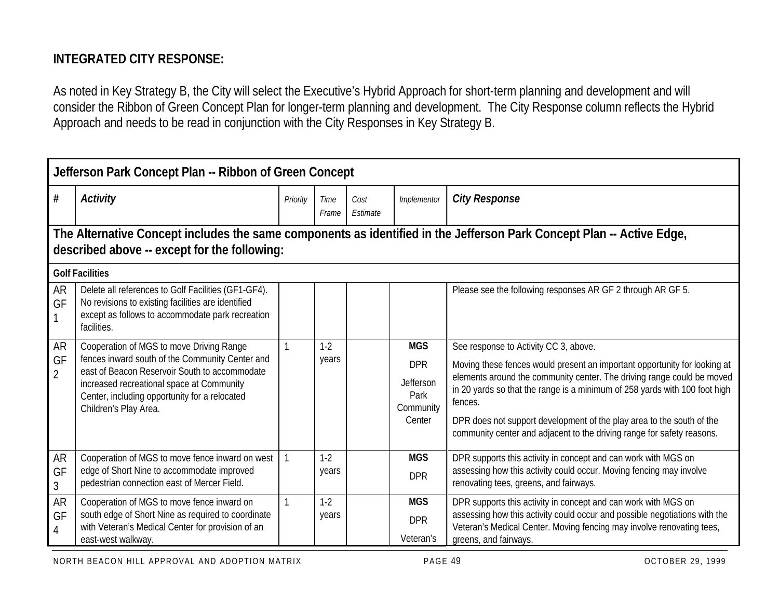# **INTEGRATED CITY RESPONSE:**

As noted in Key Strategy B, the City will select the Executive's Hybrid Approach for short-term planning and development and will consider the Ribbon of Green Concept Plan for longer-term planning and development. The City Response column reflects the Hybrid Approach and needs to be read in conjunction with the City Responses in Key Strategy B.

|                                   | Jefferson Park Concept Plan -- Ribbon of Green Concept                                                                                                                                                                                                              |              |                |                  |                                                                      |                                                                                                                                                                                                                                                                                                                                                                                                                                          |  |  |  |
|-----------------------------------|---------------------------------------------------------------------------------------------------------------------------------------------------------------------------------------------------------------------------------------------------------------------|--------------|----------------|------------------|----------------------------------------------------------------------|------------------------------------------------------------------------------------------------------------------------------------------------------------------------------------------------------------------------------------------------------------------------------------------------------------------------------------------------------------------------------------------------------------------------------------------|--|--|--|
| #                                 | <b>Activity</b>                                                                                                                                                                                                                                                     | Priority     | Time<br>Frame  | Cost<br>Estimate | Implementor                                                          | <b>City Response</b>                                                                                                                                                                                                                                                                                                                                                                                                                     |  |  |  |
|                                   | The Alternative Concept includes the same components as identified in the Jefferson Park Concept Plan -- Active Edge,<br>described above -- except for the following:                                                                                               |              |                |                  |                                                                      |                                                                                                                                                                                                                                                                                                                                                                                                                                          |  |  |  |
|                                   | <b>Golf Facilities</b>                                                                                                                                                                                                                                              |              |                |                  |                                                                      |                                                                                                                                                                                                                                                                                                                                                                                                                                          |  |  |  |
| <b>AR</b><br>GF                   | Delete all references to Golf Facilities (GF1-GF4).<br>No revisions to existing facilities are identified<br>except as follows to accommodate park recreation<br>facilities.                                                                                        |              |                |                  |                                                                      | Please see the following responses AR GF 2 through AR GF 5.                                                                                                                                                                                                                                                                                                                                                                              |  |  |  |
| AR<br>GF<br>$\overline{2}$        | Cooperation of MGS to move Driving Range<br>fences inward south of the Community Center and<br>east of Beacon Reservoir South to accommodate<br>increased recreational space at Community<br>Center, including opportunity for a relocated<br>Children's Play Area. |              | $1-2$<br>years |                  | <b>MGS</b><br><b>DPR</b><br>Jefferson<br>Park<br>Community<br>Center | See response to Activity CC 3, above.<br>Moving these fences would present an important opportunity for looking at<br>elements around the community center. The driving range could be moved<br>in 20 yards so that the range is a minimum of 258 yards with 100 foot high<br>fences.<br>DPR does not support development of the play area to the south of the<br>community center and adjacent to the driving range for safety reasons. |  |  |  |
| <b>AR</b><br>GF<br>$\mathfrak{Z}$ | Cooperation of MGS to move fence inward on west<br>edge of Short Nine to accommodate improved<br>pedestrian connection east of Mercer Field.                                                                                                                        |              | $1-2$<br>years |                  | <b>MGS</b><br><b>DPR</b>                                             | DPR supports this activity in concept and can work with MGS on<br>assessing how this activity could occur. Moving fencing may involve<br>renovating tees, greens, and fairways.                                                                                                                                                                                                                                                          |  |  |  |
| <b>AR</b><br>GF<br>4              | Cooperation of MGS to move fence inward on<br>south edge of Short Nine as required to coordinate<br>with Veteran's Medical Center for provision of an<br>east-west walkway.                                                                                         | $\mathbf{1}$ | $1-2$<br>years |                  | <b>MGS</b><br><b>DPR</b><br>Veteran's                                | DPR supports this activity in concept and can work with MGS on<br>assessing how this activity could occur and possible negotiations with the<br>Veteran's Medical Center. Moving fencing may involve renovating tees,<br>greens, and fairways.                                                                                                                                                                                           |  |  |  |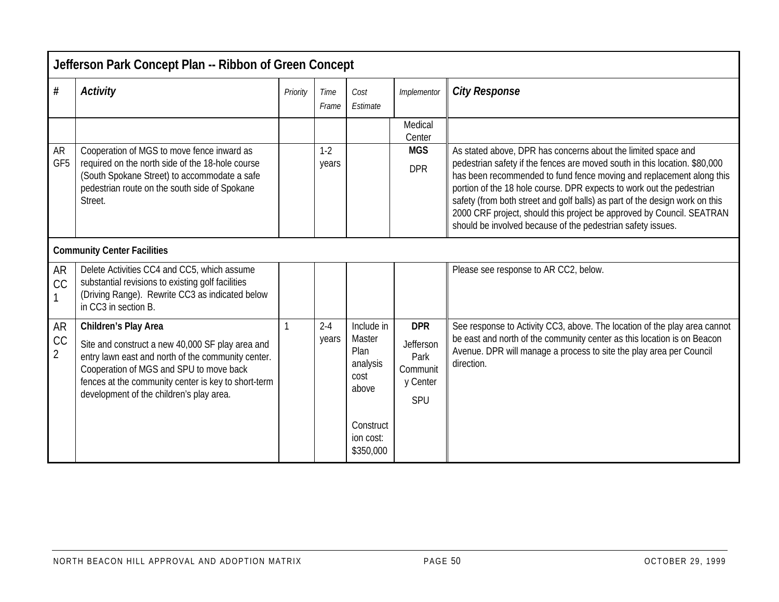|                                                  | Jefferson Park Concept Plan -- Ribbon of Green Concept                                                                                                                                                                                                                       |          |                  |                                                                                                  |                                                                |                                                                                                                                                                                                                                                                                                                                                                                                                                                                                                                     |  |  |  |  |
|--------------------------------------------------|------------------------------------------------------------------------------------------------------------------------------------------------------------------------------------------------------------------------------------------------------------------------------|----------|------------------|--------------------------------------------------------------------------------------------------|----------------------------------------------------------------|---------------------------------------------------------------------------------------------------------------------------------------------------------------------------------------------------------------------------------------------------------------------------------------------------------------------------------------------------------------------------------------------------------------------------------------------------------------------------------------------------------------------|--|--|--|--|
| $\#$                                             | <b>Activity</b>                                                                                                                                                                                                                                                              | Priority | Time<br>Frame    | Cost<br>Estimate                                                                                 | Implementor                                                    | <b>City Response</b>                                                                                                                                                                                                                                                                                                                                                                                                                                                                                                |  |  |  |  |
|                                                  |                                                                                                                                                                                                                                                                              |          |                  |                                                                                                  | Medical<br>Center                                              |                                                                                                                                                                                                                                                                                                                                                                                                                                                                                                                     |  |  |  |  |
| <b>AR</b><br>GF <sub>5</sub>                     | Cooperation of MGS to move fence inward as<br>required on the north side of the 18-hole course<br>(South Spokane Street) to accommodate a safe<br>pedestrian route on the south side of Spokane<br>Street.                                                                   |          | $1-2$<br>years   |                                                                                                  | <b>MGS</b><br><b>DPR</b>                                       | As stated above, DPR has concerns about the limited space and<br>pedestrian safety if the fences are moved south in this location. \$80,000<br>has been recommended to fund fence moving and replacement along this<br>portion of the 18 hole course. DPR expects to work out the pedestrian<br>safety (from both street and golf balls) as part of the design work on this<br>2000 CRF project, should this project be approved by Council. SEATRAN<br>should be involved because of the pedestrian safety issues. |  |  |  |  |
|                                                  | <b>Community Center Facilities</b>                                                                                                                                                                                                                                           |          |                  |                                                                                                  |                                                                |                                                                                                                                                                                                                                                                                                                                                                                                                                                                                                                     |  |  |  |  |
| <b>AR</b><br>CC                                  | Delete Activities CC4 and CC5, which assume<br>substantial revisions to existing golf facilities<br>(Driving Range). Rewrite CC3 as indicated below<br>in CC3 in section B.                                                                                                  |          |                  |                                                                                                  |                                                                | Please see response to AR CC2, below.                                                                                                                                                                                                                                                                                                                                                                                                                                                                               |  |  |  |  |
| <b>AR</b><br>$\mathop{\rm CC}$<br>$\overline{2}$ | Children's Play Area<br>Site and construct a new 40,000 SF play area and<br>entry lawn east and north of the community center.<br>Cooperation of MGS and SPU to move back<br>fences at the community center is key to short-term<br>development of the children's play area. |          | $2 - 4$<br>years | Include in<br>Master<br>Plan<br>analysis<br>cost<br>above<br>Construct<br>ion cost:<br>\$350,000 | <b>DPR</b><br>Jefferson<br>Park<br>Communit<br>y Center<br>SPU | See response to Activity CC3, above. The location of the play area cannot<br>be east and north of the community center as this location is on Beacon<br>Avenue. DPR will manage a process to site the play area per Council<br>direction.                                                                                                                                                                                                                                                                           |  |  |  |  |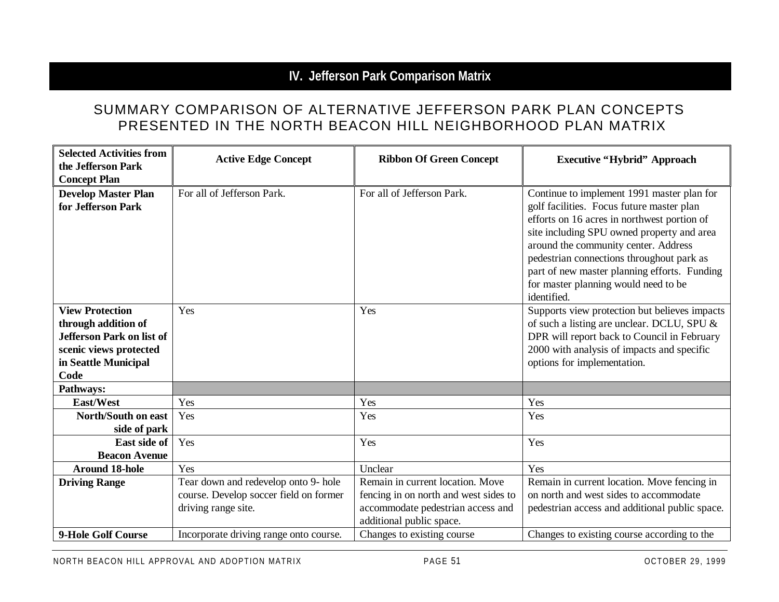# **IV. Jefferson Park Comparison Matrix**

## SUMMARY COMPARISON OF ALTERNATIVE JEFFERSON PARK PLAN CONCEPTS PRESENTED IN THE NORTH BEACON HILL NEIGHBORHOOD PLAN MATRIX

| <b>Selected Activities from</b><br>the Jefferson Park<br><b>Concept Plan</b>                                                                | <b>Active Edge Concept</b>                                                                            | <b>Ribbon Of Green Concept</b>                                                                                                             | <b>Executive "Hybrid" Approach</b>                                                                                                                                                                                                                                                                                                                                               |
|---------------------------------------------------------------------------------------------------------------------------------------------|-------------------------------------------------------------------------------------------------------|--------------------------------------------------------------------------------------------------------------------------------------------|----------------------------------------------------------------------------------------------------------------------------------------------------------------------------------------------------------------------------------------------------------------------------------------------------------------------------------------------------------------------------------|
| <b>Develop Master Plan</b><br>for Jefferson Park                                                                                            | For all of Jefferson Park.                                                                            | For all of Jefferson Park.                                                                                                                 | Continue to implement 1991 master plan for<br>golf facilities. Focus future master plan<br>efforts on 16 acres in northwest portion of<br>site including SPU owned property and area<br>around the community center. Address<br>pedestrian connections throughout park as<br>part of new master planning efforts. Funding<br>for master planning would need to be<br>identified. |
| <b>View Protection</b><br>through addition of<br><b>Jefferson Park on list of</b><br>scenic views protected<br>in Seattle Municipal<br>Code | Yes                                                                                                   | Yes                                                                                                                                        | Supports view protection but believes impacts<br>of such a listing are unclear. DCLU, SPU &<br>DPR will report back to Council in February<br>2000 with analysis of impacts and specific<br>options for implementation.                                                                                                                                                          |
| Pathways:                                                                                                                                   |                                                                                                       |                                                                                                                                            |                                                                                                                                                                                                                                                                                                                                                                                  |
| East/West                                                                                                                                   | Yes                                                                                                   | Yes                                                                                                                                        | Yes                                                                                                                                                                                                                                                                                                                                                                              |
| North/South on east<br>side of park                                                                                                         | Yes                                                                                                   | Yes                                                                                                                                        | Yes                                                                                                                                                                                                                                                                                                                                                                              |
| East side of<br><b>Beacon Avenue</b>                                                                                                        | Yes                                                                                                   | Yes                                                                                                                                        | Yes                                                                                                                                                                                                                                                                                                                                                                              |
| <b>Around 18-hole</b>                                                                                                                       | Yes                                                                                                   | Unclear                                                                                                                                    | Yes                                                                                                                                                                                                                                                                                                                                                                              |
| <b>Driving Range</b>                                                                                                                        | Tear down and redevelop onto 9- hole<br>course. Develop soccer field on former<br>driving range site. | Remain in current location. Move<br>fencing in on north and west sides to<br>accommodate pedestrian access and<br>additional public space. | Remain in current location. Move fencing in<br>on north and west sides to accommodate<br>pedestrian access and additional public space.                                                                                                                                                                                                                                          |
| 9-Hole Golf Course                                                                                                                          | Incorporate driving range onto course.                                                                | Changes to existing course                                                                                                                 | Changes to existing course according to the                                                                                                                                                                                                                                                                                                                                      |